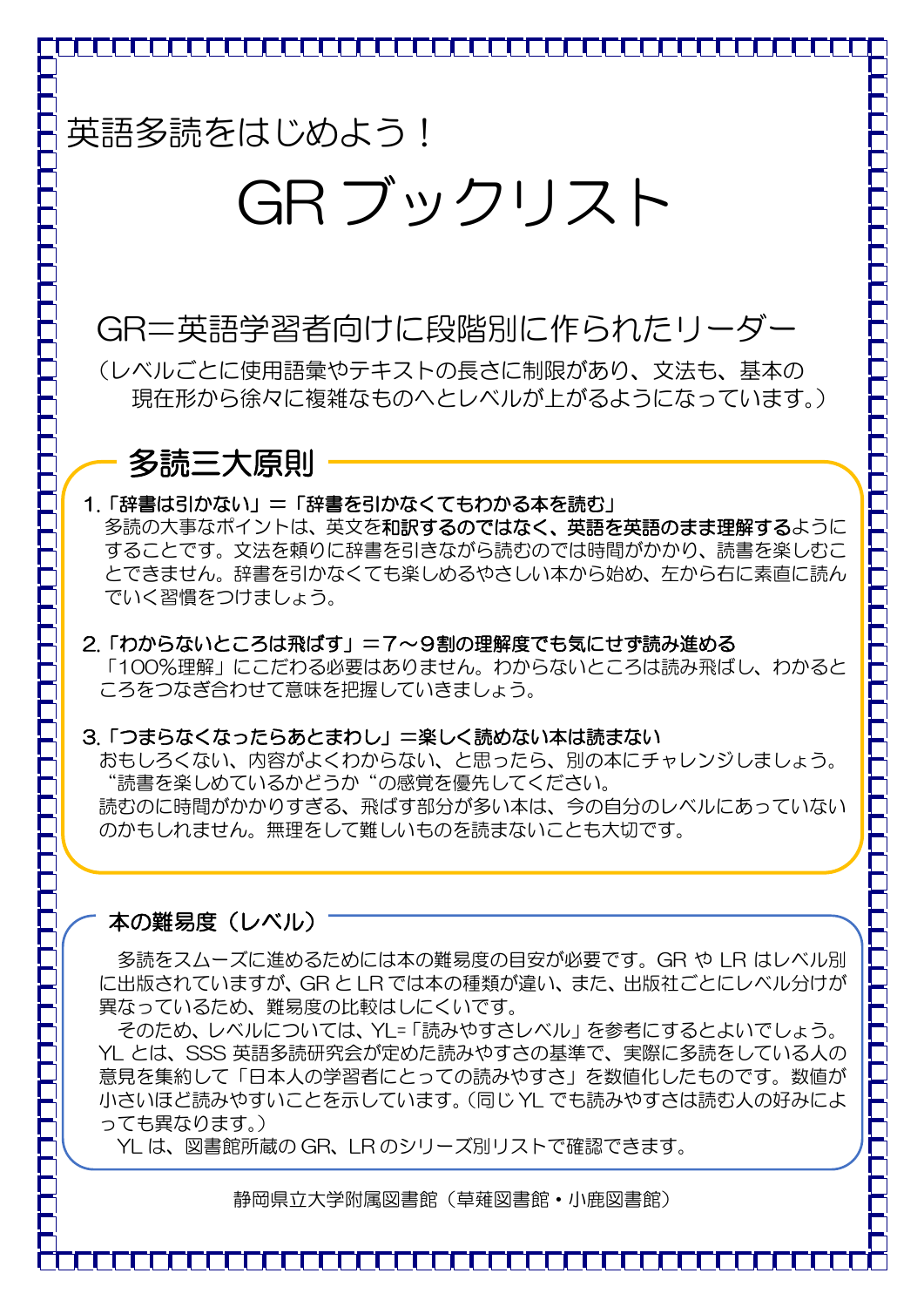# GR ブックリスト

## GR=英語学習者向けに段階別に作られたリーダー

(レベルごとに使用語彙やテキストの長さに制限があり、文法も、基本の 現在形から徐々に複雑なものへとレベルが上がるようになっています。)

## 多読三大原則

#### 1.「辞書は引かない」=「辞書を引かなくてもわかる本を読む」

多読の大事なポイントは、英文を和訳するのではなく、英語を英語のまま理解するように することです。文法を頼りに辞書を引きながら読むのでは時間がかかり、読書を楽しむこ とできません。辞書を引かなくても楽しめるやさしい本から始め、左から右に素直に読ん でいく習慣をつけましょう。

#### 2.「わからないところは飛ばす」=7~9割の理解度でも気にせず読み進める 「100%理解」にこだわる必要はありません。わからないところは読み飛ばし、わかると ころをつなぎ合わせて意味を把握していきましょう。

#### 3.「つまらなくなったらあとまわし」=楽しく読めない本は読まない

おもしろくない、内容がよくわからない、と思ったら、別の本にチャレンジしましょう。 "読書を楽しめているかどうか"の感覚を優先してください。 読むのに時間がかかりすぎる、飛ばす部分が多い本は、今の自分のレベルにあっていない のかもしれません。無理をして難しいものを読まないことも大切です。

#### 本の難易度(レベル)

多読をスムーズに進めるためには本の難易度の目安が必要です。GR や LR はレベル別 に出版されていますが、GR と LR では本の種類が違い、また、出版社ごとにレベル分けが 異なっているため、難易度の比較はしにくいです。

そのため、レベルについては、YL=「読みやすさレベル」を参考にするとよいでしょう。 YL とは、SSS 英語多読研究会が定めた読みやすさの基準で、実際に多読をしている人の 意見を集約して「日本人の学習者にとっての読みやすさ」を数値化したものです。数値が 小さいほど読みやすいことを示しています。(同じ YL でも読みやすさは読む人の好みによ っても異なります。)

YL は、図書館所蔵の GR、LR のシリーズ別リストで確認できます。

静岡県立大学附属図書館(草薙図書館・小鹿図書館)

<del>`ſ</del>ſſſſſſſſſſſſſſſſſſſſſſſſſſſſſſſſſſ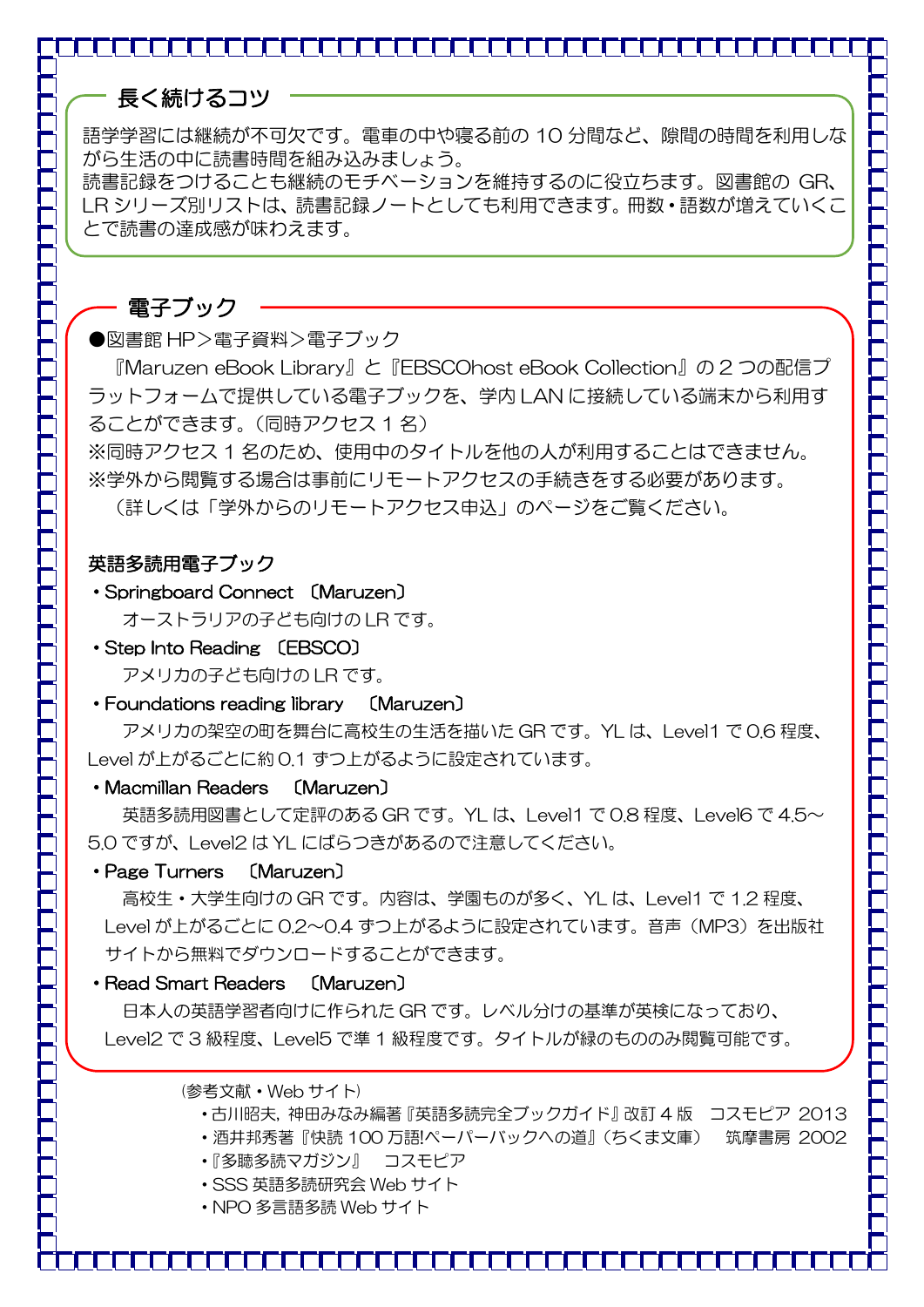### 長く続けるコツ

語学学習には継続が不可欠です。電車の中や寝る前の 10 分間など、隙間の時間を利用しな がら生活の中に読書時間を組み込みましょう。

読書記録をつけることも継続のモチベーションを維持するのに役立ちます。図書館の GR、 LR シリーズ別リストは、読書記録ノートとしても利用できます。冊数・語数が増えていくこ とで読書の達成感が味わえます。

#### 電子ブック

●図書館 HP>電子資料>電子ブック

『Maruzen eBook Library』と『EBSCOhost eBook Collection』の 2 つの配信プ ラットフォームで提供している電子ブックを、学内 LAN に接続している端末から利用す ることができます。(同時アクセス 1 名)

※同時アクセス 1 名のため、使用中のタイトルを他の人が利用することはできません。 ※学外から閲覧する場合は事前にリモートアクセスの手続きをする必要があります。

(詳しくは「学外からのリモートアクセス申込」のページをご覧ください。

#### 英語多読用電子ブック

・Springboard Connect 〔Maruzen〕

オーストラリアの子ども向けの LR です。

- ・Step Into Reading 〔EBSCO〕 アメリカの子ども向けの LR です。
- ・Foundations reading library 〔Maruzen〕

 アメリカの架空の町を舞台に高校生の生活を描いた GR です。YL は、Level1 で 0.6 程度、 Level が上がるごとに約 0.1 ずつ上がるように設定されています。

#### ・Macmillan Readers 〔Maruzen〕

 英語多読用図書として定評のある GR です。YL は、Level1 で 0.8 程度、Level6 で 4.5~ 5.0 ですが、Level2 は YL にばらつきがあるので注意してください。

#### ・Page Turners 〔Maruzen〕

 高校生・大学生向けの GR です。内容は、学園ものが多く、YL は、Level1 で 1.2 程度、 Level が上がるごとに 0.2~0.4 ずつ上がるように設定されています。音声(MP3)を出版社 サイトから無料でダウンロードすることができます。

#### ・Read Smart Readers 〔Maruzen〕

 日本人の英語学習者向けに作られた GR です。レベル分けの基準が英検になっており、 Level2 で 3 級程度、Level5 で準 1 級程度です。タイトルが緑のもののみ閲覧可能です。

#### (参考文献・Web サイト)

- ・古川昭夫, 神田みなみ編著『英語多読完全ブックガイド』改訂 4 版 コスモピア 2013
- ・酒井邦秀著『快読 100 万語!ペーパーバックへの道』(ちくま文庫) 筑摩書房 2002
	- ・『多聴多読マガジン』 コスモピア
	- ・SSS 英語多読研究会 Web サイト
	- ・NPO 多言語多読 Web サイト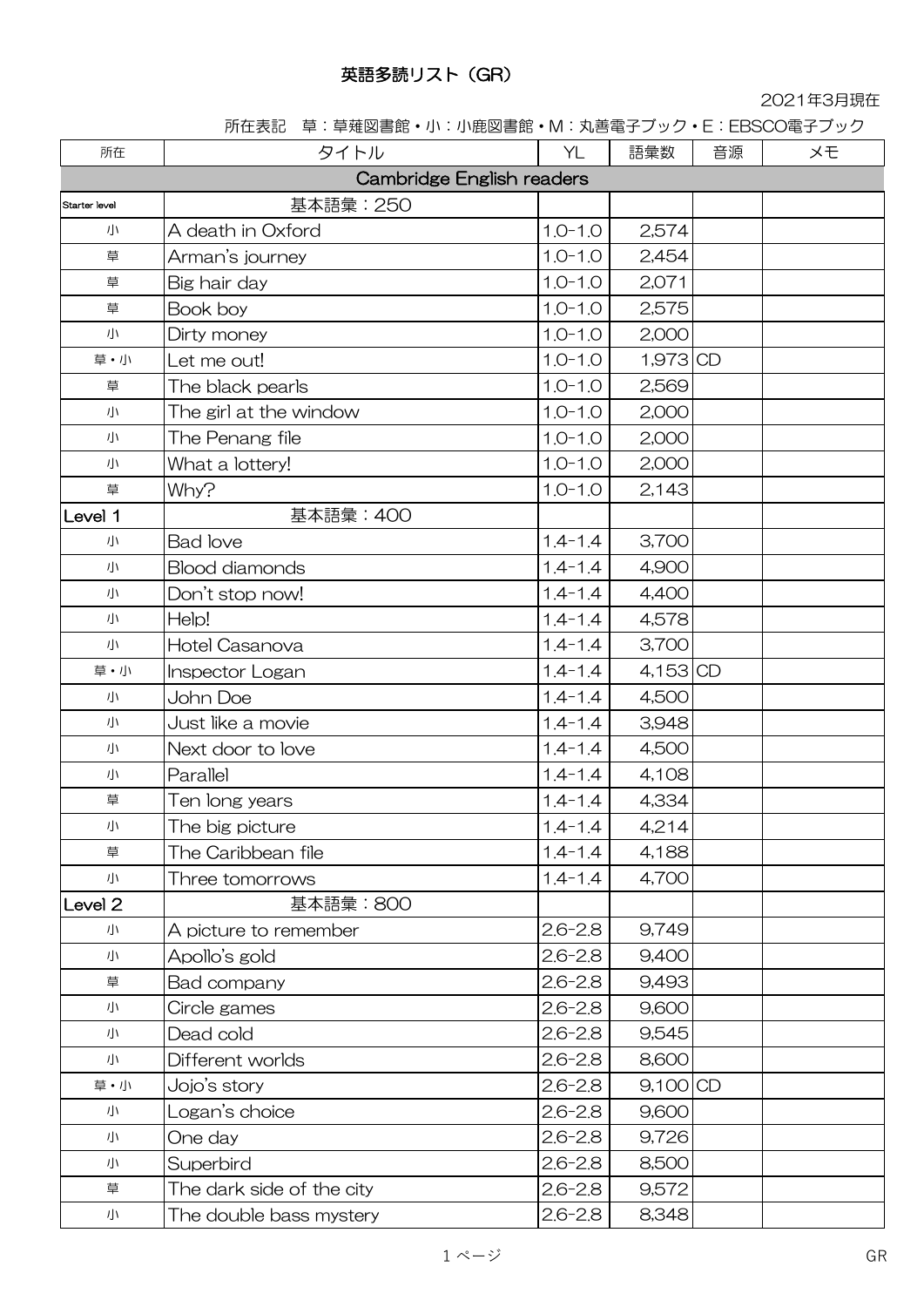#### 英語多読リスト(GR)

2021年3月現在

所在表記 草:草薙図書館・小:小鹿図書館・M:丸善電子ブック・E:EBSCO電子ブック

| 所在                 | タイトル                      | YL          | 語彙数        | 音源 | メモ |
|--------------------|---------------------------|-------------|------------|----|----|
|                    | Cambridge English readers |             |            |    |    |
| Starter level      | 基本語彙: 250                 |             |            |    |    |
| 小                  | A death in Oxford         | $1.0 - 1.0$ | 2,574      |    |    |
| 草                  | Arman's journey           | $1.0 - 1.0$ | 2,454      |    |    |
| 草                  | Big hair day              | $1.0 - 1.0$ | 2,071      |    |    |
| 草                  | Book boy                  | $1.0 - 1.0$ | 2,575      |    |    |
| 小                  | Dirty money               | $1.0 - 1.0$ | 2,000      |    |    |
| 草・小                | Let me out!               | $1.0 - 1.0$ | 1,973 CD   |    |    |
| 草                  | The black pearls          | $1.0 - 1.0$ | 2,569      |    |    |
| 小                  | The girl at the window    | $1.0 - 1.0$ | 2,000      |    |    |
| 小                  | The Penang file           | $1.0 - 1.0$ | 2,000      |    |    |
| 小                  | What a lottery!           | $1.0 - 1.0$ | 2,000      |    |    |
| 草                  | Why?                      | $1.0 - 1.0$ | 2,143      |    |    |
| Level 1            | 基本語彙: 400                 |             |            |    |    |
| 小                  | <b>Bad love</b>           | $1.4 - 1.4$ | 3,700      |    |    |
| 小                  | <b>Blood diamonds</b>     | $1.4 - 1.4$ | 4,900      |    |    |
| 小                  | Don't stop now!           | $1.4 - 1.4$ | 4,400      |    |    |
| 小                  | Help!                     | $1.4 - 1.4$ | 4,578      |    |    |
| 小                  | Hotel Casanova            | $1.4 - 1.4$ | 3,700      |    |    |
| 草·小                | Inspector Logan           | $1.4 - 1.4$ | $4,153$ CD |    |    |
| 小                  | John Doe                  | $1.4 - 1.4$ | 4,500      |    |    |
| 小                  | Just like a movie         | $1.4 - 1.4$ | 3,948      |    |    |
| 小                  | Next door to love         | $1.4 - 1.4$ | 4,500      |    |    |
| 小                  | Parallel                  | $1.4 - 1.4$ | 4,108      |    |    |
| 草                  | Ten long years            | $1.4 - 1.4$ | 4,334      |    |    |
| 小                  | The big picture           | $1.4 - 1.4$ | 4,214      |    |    |
| 草                  | The Caribbean file        | $1.4 - 1.4$ | 4,188      |    |    |
| 小                  | Three tomorrows           | $1.4 - 1.4$ | 4,700      |    |    |
| Level <sub>2</sub> | 基本語彙:800                  |             |            |    |    |
| 小                  | A picture to remember     | $2.6 - 2.8$ | 9,749      |    |    |
| 小                  | Apollo's gold             | $2.6 - 2.8$ | 9,400      |    |    |
| 草                  | Bad company               | $2.6 - 2.8$ | 9,493      |    |    |
| 小                  | Circle games              | $2.6 - 2.8$ | 9,600      |    |    |
| 小                  | Dead cold                 | $2.6 - 2.8$ | 9,545      |    |    |
| 小                  | Different worlds          | $2.6 - 2.8$ | 8,600      |    |    |
| 草·小                | Jojo's story              | $2.6 - 2.8$ | $9,100$ CD |    |    |
| 小                  | Logan's choice            | $2.6 - 2.8$ | 9,600      |    |    |
| 小                  | One day                   | $2.6 - 2.8$ | 9,726      |    |    |
| 小                  | Superbird                 | $2.6 - 2.8$ | 8,500      |    |    |
| 草                  | The dark side of the city | $2.6 - 2.8$ | 9,572      |    |    |
| 小                  | The double bass mystery   | $2.6 - 2.8$ | 8,348      |    |    |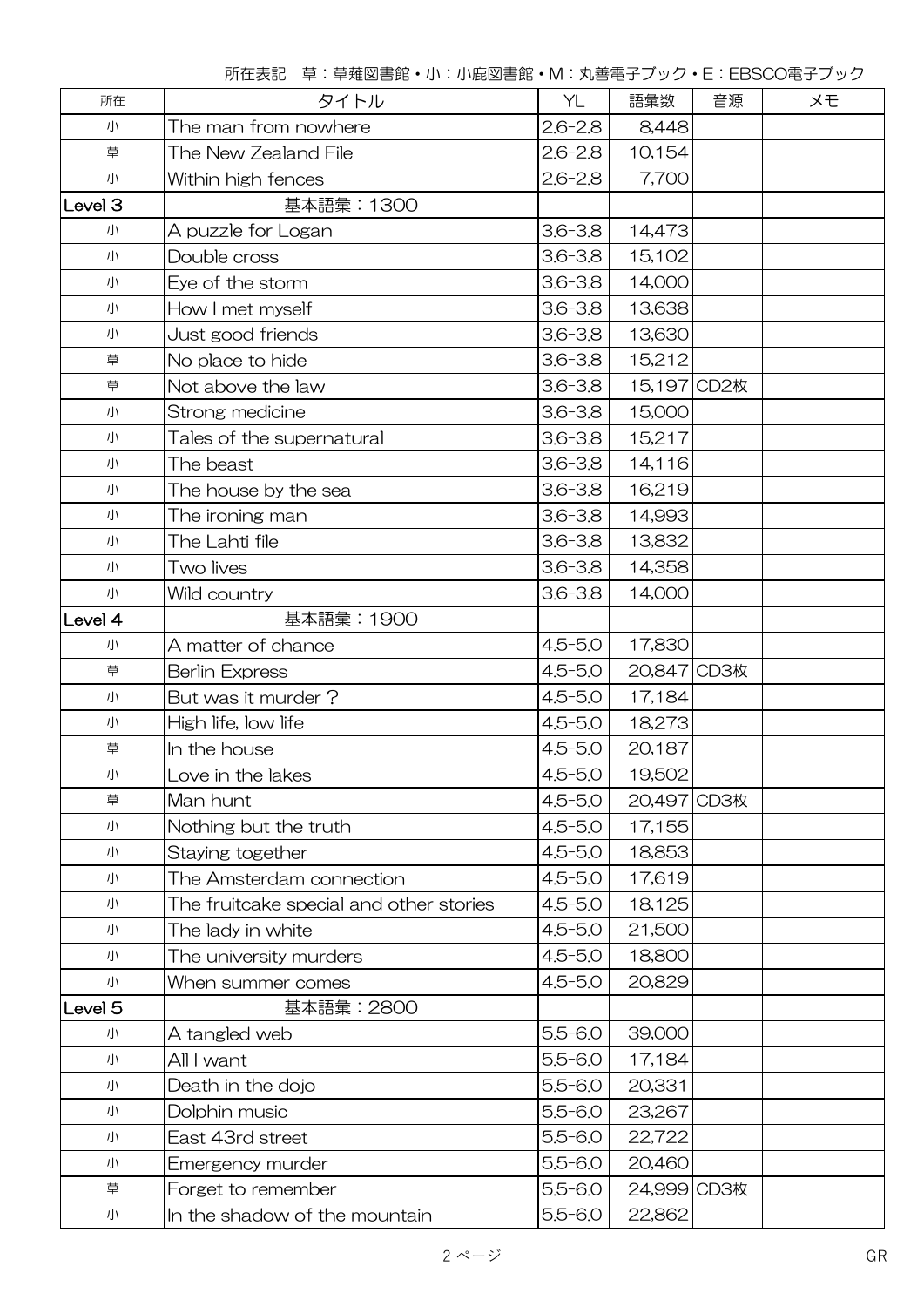| 所在      | タイトル                                         | YL          | 語彙数         | 音源 | メモ |
|---------|----------------------------------------------|-------------|-------------|----|----|
| 小       | $2.6 - 2.8$<br>The man from nowhere<br>8,448 |             |             |    |    |
| 草       | The New Zealand File                         | $2.6 - 2.8$ | 10,154      |    |    |
| 小       | Within high fences                           | $2.6 - 2.8$ | 7,700       |    |    |
| Level 3 | 基本語彙: 1300                                   |             |             |    |    |
| 小       | A puzzle for Logan                           | $3.6 - 3.8$ | 14,473      |    |    |
| 小       | Double cross                                 | $3.6 - 3.8$ | 15,102      |    |    |
| 小       | Eye of the storm                             | $3.6 - 3.8$ | 14,000      |    |    |
| 小       | How I met myself                             | $3.6 - 3.8$ | 13,638      |    |    |
| 小       | Just good friends                            | $3.6 - 3.8$ | 13,630      |    |    |
| 草       | No place to hide                             | $3.6 - 3.8$ | 15,212      |    |    |
| 草       | Not above the law                            | $3.6 - 3.8$ | 15,197 CD2枚 |    |    |
| 小       | Strong medicine                              | $3.6 - 3.8$ | 15,000      |    |    |
| 小       | Tales of the supernatural                    | $3.6 - 3.8$ | 15,217      |    |    |
| 小       | The beast                                    | $3.6 - 3.8$ | 14,116      |    |    |
| 小       | The house by the sea                         | $3.6 - 3.8$ | 16,219      |    |    |
| 小       | The ironing man                              | $3.6 - 3.8$ | 14,993      |    |    |
| 小       | The Lahti file                               | $3.6 - 3.8$ | 13,832      |    |    |
| 小       | Two lives                                    | $3.6 - 3.8$ | 14,358      |    |    |
| 小       | Wild country                                 | $3.6 - 3.8$ | 14,000      |    |    |
| Level 4 | 基本語彙: 1900                                   |             |             |    |    |
| 小       | A matter of chance                           | $4.5 - 5.0$ | 17,830      |    |    |
| 草       | <b>Berlin Express</b>                        | $4.5 - 5.0$ | 20,847 CD3枚 |    |    |
| 小       | But was it murder?                           | $4.5 - 5.0$ | 17,184      |    |    |
| 小       | High life, low life                          | $4.5 - 5.0$ | 18,273      |    |    |
| 草       | In the house                                 | $4.5 - 5.0$ | 20,187      |    |    |
| 小       | Love in the lakes                            | $4.5 - 5.0$ | 19,502      |    |    |
| 草       | Man hunt                                     | $4.5 - 5.0$ | 20,497 CD3枚 |    |    |
| 小       | Nothing but the truth                        | $4.5 - 5.0$ | 17,155      |    |    |
| 小       | Staying together                             | $4.5 - 5.0$ | 18,853      |    |    |
| 小       | The Amsterdam connection                     | $4.5 - 5.0$ | 17,619      |    |    |
| 小       | The fruitcake special and other stories      | $4.5 - 5.0$ | 18,125      |    |    |
| 小       | The lady in white                            | $4.5 - 5.0$ | 21,500      |    |    |
| 小       | The university murders                       | $4.5 - 5.0$ | 18,800      |    |    |
| 小       | When summer comes                            | $4.5 - 5.0$ | 20,829      |    |    |
| Level 5 | 基本語彙:2800                                    |             |             |    |    |
| 小       | A tangled web                                | $5.5 - 6.0$ | 39,000      |    |    |
| 小       | All I want                                   | $5.5 - 6.0$ | 17,184      |    |    |
| 小       | Death in the dojo                            | $5.5 - 6.0$ | 20,331      |    |    |
| 小       | Dolphin music                                | $5.5 - 6.0$ | 23,267      |    |    |
| 小       | East 43rd street                             | $5.5 - 6.0$ | 22,722      |    |    |
| 小       | Emergency murder                             | $5.5 - 6.0$ | 20,460      |    |    |
| 草       | Forget to remember                           | $5.5 - 6.0$ | 24,999 CD3枚 |    |    |
| 小       | In the shadow of the mountain                | $5.5 - 6.0$ | 22,862      |    |    |

所在表記 草:草薙図書館・小:小鹿図書館・M:丸善電子ブック・E:EBSCO電子ブック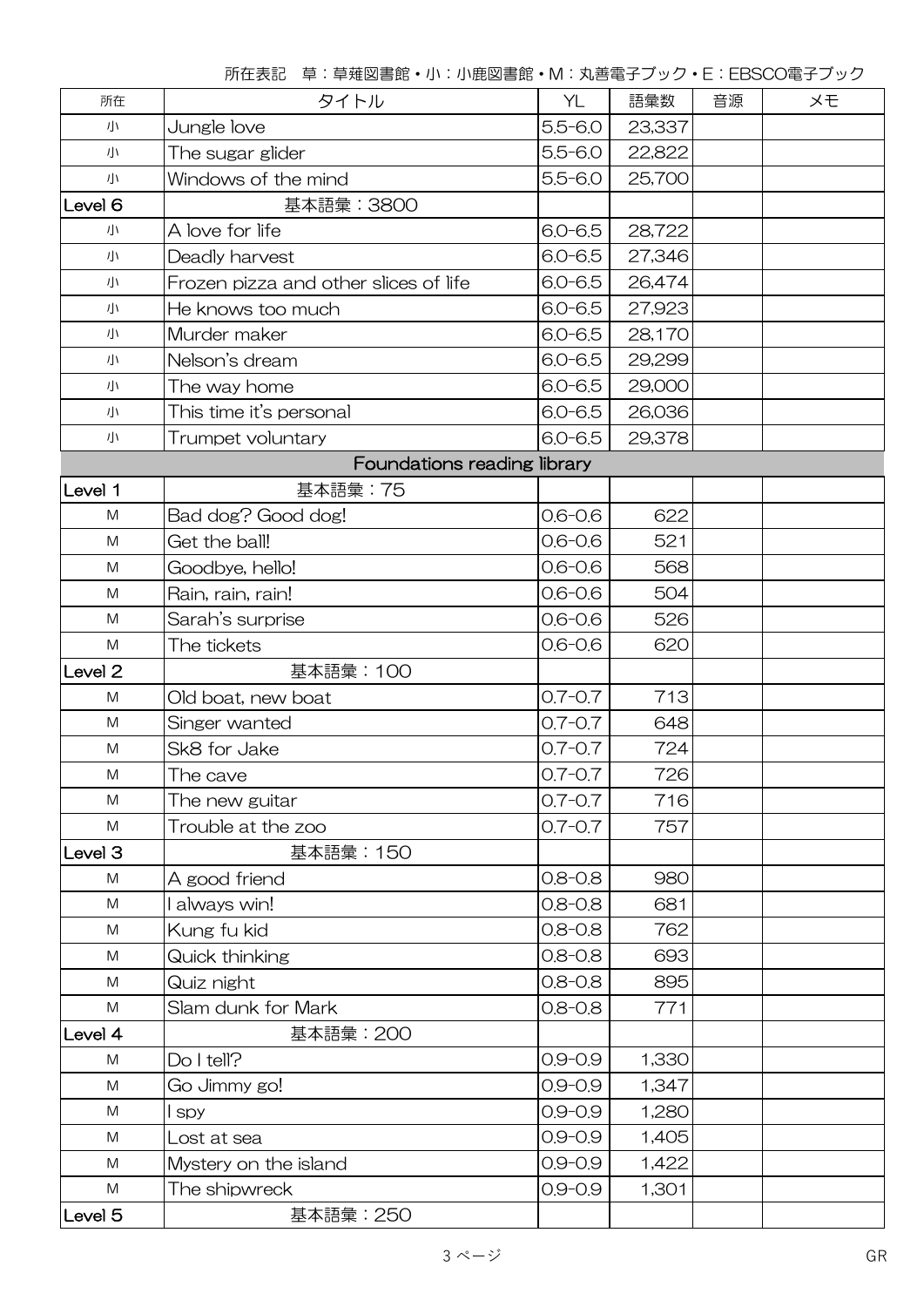| 所在                                                                                                         | タイトル                                  | YL                    | 語彙数    | 音源 | メモ |  |
|------------------------------------------------------------------------------------------------------------|---------------------------------------|-----------------------|--------|----|----|--|
| 小                                                                                                          | Jungle love                           | $5.5 - 6.0$           | 23,337 |    |    |  |
| 小                                                                                                          | The sugar glider                      | $5.5 - 6.0$           | 22,822 |    |    |  |
| 小                                                                                                          | Windows of the mind                   | $5.5 - 6.0$           | 25,700 |    |    |  |
| Level 6                                                                                                    | 基本語彙: 3800                            |                       |        |    |    |  |
| 小                                                                                                          | A love for life                       | $6.0 - 6.5$           | 28,722 |    |    |  |
| 小                                                                                                          | Deadly harvest                        | $6.0 - 6.5$           | 27,346 |    |    |  |
| 小                                                                                                          | Frozen pizza and other slices of life | $6.0 - 6.5$           | 26,474 |    |    |  |
| 小                                                                                                          | He knows too much                     | $6.0 - 6.5$           | 27,923 |    |    |  |
| 小                                                                                                          | Murder maker                          | $6.0 - 6.5$           | 28,170 |    |    |  |
| 小                                                                                                          | Nelson's dream                        | $6.0 - 6.5$           | 29,299 |    |    |  |
| 小                                                                                                          | The way home                          | $6.0 - 6.5$           | 29,000 |    |    |  |
| 小                                                                                                          | This time it's personal               | $6.0 - 6.5$           | 26,036 |    |    |  |
| 小                                                                                                          | Trumpet voluntary                     | $6.0 - 6.5$<br>29,378 |        |    |    |  |
|                                                                                                            | Foundations reading library           |                       |        |    |    |  |
| Level 1                                                                                                    | 基本語彙: 75                              |                       |        |    |    |  |
| M                                                                                                          | Bad dog? Good dog!                    | $0.6 - 0.6$           | 622    |    |    |  |
| M                                                                                                          | Get the ball!                         | $0.6 - 0.6$           | 521    |    |    |  |
| M                                                                                                          | Goodbye, hello!                       | $0.6 - 0.6$           | 568    |    |    |  |
| M                                                                                                          | Rain, rain, rain!                     | $0.6 - 0.6$           | 504    |    |    |  |
| M                                                                                                          | Sarah's surprise                      | $0.6 - 0.6$           | 526    |    |    |  |
| M                                                                                                          | The tickets                           | $0.6 - 0.6$           | 620    |    |    |  |
| Level <sub>2</sub>                                                                                         | 基本語彙: 100                             |                       |        |    |    |  |
| $\mathsf{M}% _{T}=\mathsf{M}_{T}\!\left( a,b\right) ,\ \mathsf{M}_{T}=\mathsf{M}_{T}\!\left( a,b\right) ,$ | Old boat, new boat                    | $0.7 - 0.7$           | 713    |    |    |  |
| $\mathsf{M}% _{T}=\mathsf{M}_{T}\!\left( a,b\right) ,\ \mathsf{M}_{T}=\mathsf{M}_{T}\!\left( a,b\right) ,$ | Singer wanted                         | $0.7 - 0.7$           | 648    |    |    |  |
| M                                                                                                          | Sk8 for Jake                          | $0.7 - 0.7$           | 724    |    |    |  |
| M                                                                                                          | The cave                              | $0.7 - 0.7$           | 726    |    |    |  |
| M                                                                                                          | The new guitar                        | $0.7 - 0.7$           | 716    |    |    |  |
| M                                                                                                          | Trouble at the zoo                    | $0.7 - 0.7$           | 757    |    |    |  |
| Level <sub>3</sub>                                                                                         | 基本語彙: 150                             |                       |        |    |    |  |
| M                                                                                                          | A good friend                         | $0.8 - 0.8$           | 980    |    |    |  |
| ${\sf M}$                                                                                                  | always win!                           | $0.8 - 0.8$           | 681    |    |    |  |
| M                                                                                                          | Kung fu kid                           | $0.8 - 0.8$           | 762    |    |    |  |
| M                                                                                                          | Quick thinking                        | $0.8 - 0.8$           | 693    |    |    |  |
| M                                                                                                          | Quiz night                            | $0.8 - 0.8$           | 895    |    |    |  |
| M                                                                                                          | Slam dunk for Mark                    | $0.8 - 0.8$           | 771    |    |    |  |
| Level 4                                                                                                    | 基本語彙:200                              |                       |        |    |    |  |
| M                                                                                                          | Do I tell?                            | $0.9 - 0.9$           | 1,330  |    |    |  |
| ${\sf M}$                                                                                                  | Go Jimmy go!                          | $0.9 - 0.9$           | 1,347  |    |    |  |
| M                                                                                                          | l spy                                 | $0.9 - 0.9$           | 1,280  |    |    |  |
| M                                                                                                          | Lost at sea                           | $0.9 - 0.9$           | 1,405  |    |    |  |
| M                                                                                                          | Mystery on the island                 | $0.9 - 0.9$           | 1,422  |    |    |  |
| M                                                                                                          | The shipwreck                         | $0.9 - 0.9$           | 1,301  |    |    |  |
| Level 5                                                                                                    | 基本語彙: 250                             |                       |        |    |    |  |

所在表記 草:草薙図書館・小:小鹿図書館・M:丸善電子ブック・E:EBSCO電子ブック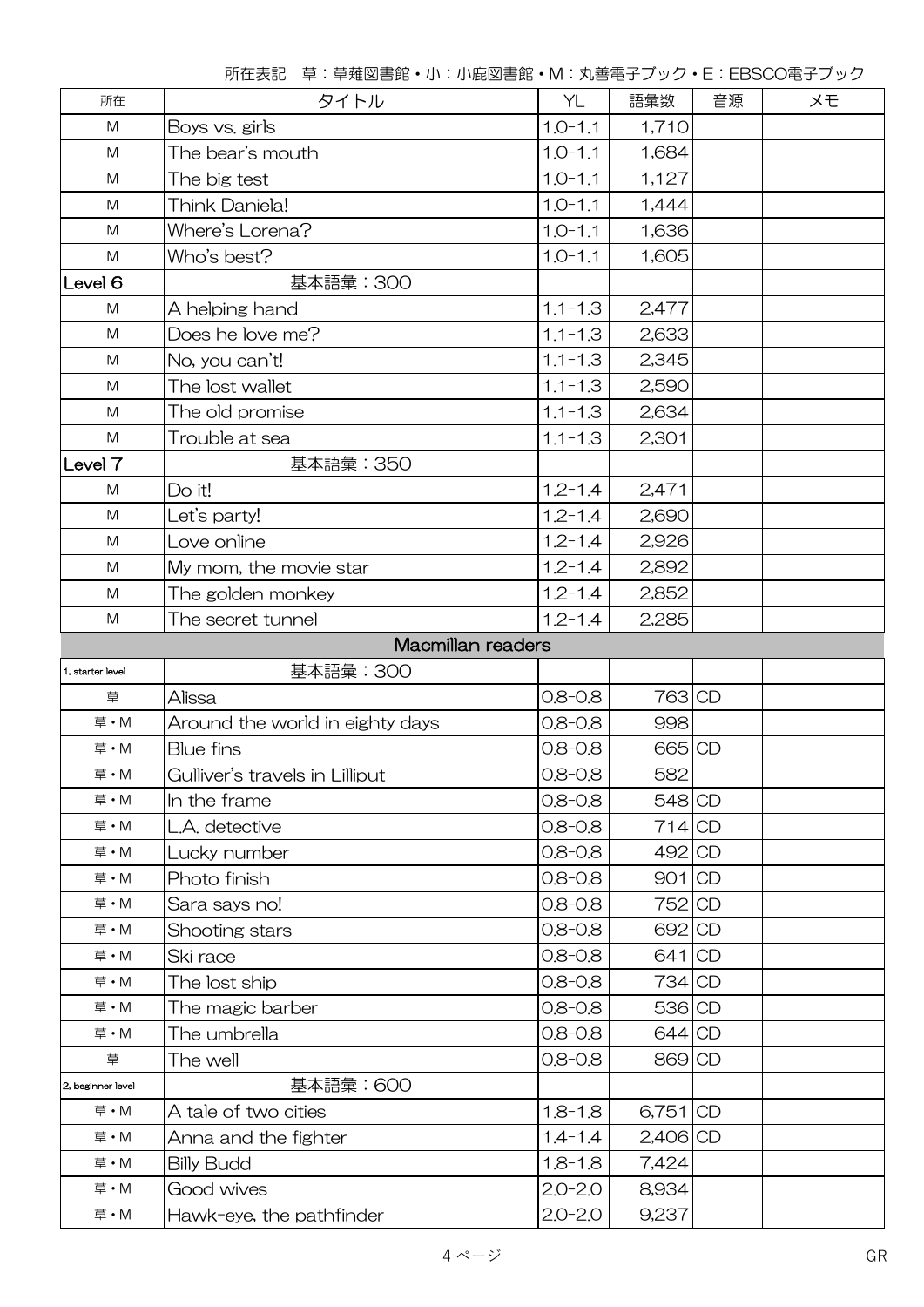| 所在                | タイトル                                   | YL                   | 語彙数        | 音源 | ×Đ |  |
|-------------------|----------------------------------------|----------------------|------------|----|----|--|
| M                 | $1.0 - 1.1$<br>1,710<br>Boys vs. girls |                      |            |    |    |  |
| M                 | The bear's mouth                       | $1.0 - 1.1$          | 1,684      |    |    |  |
| M                 | The big test                           | $1.0 - 1.1$          | 1,127      |    |    |  |
| M                 | Think Daniela!                         | $1.0 - 1.1$          | 1,444      |    |    |  |
| ${\sf M}$         | Where's Lorena?                        | $1.0 - 1.1$          | 1,636      |    |    |  |
| ${\sf M}$         | Who's best?                            | $1.0 - 1.1$          | 1,605      |    |    |  |
| Level 6           | 基本語彙:300                               |                      |            |    |    |  |
| M                 | A helping hand                         | $1.1 - 1.3$          | 2,477      |    |    |  |
| M                 | Does he love me?                       | $1.1 - 1.3$          | 2,633      |    |    |  |
| M                 | No, you can't!                         | $1.1 - 1.3$          | 2,345      |    |    |  |
| M                 | The lost wallet                        | $1.1 - 1.3$          | 2,590      |    |    |  |
| M                 | The old promise                        | $1.1 - 1.3$          | 2,634      |    |    |  |
| ${\sf M}$         | Trouble at sea                         | $1.1 - 1.3$          | 2,301      |    |    |  |
| Level 7           | 基本語彙: 350                              |                      |            |    |    |  |
| ${\sf M}$         | Do it!                                 | $1.2 - 1.4$          | 2,471      |    |    |  |
| M                 | Let's party!                           | $1.2 - 1.4$          | 2,690      |    |    |  |
| M                 | Love online                            | $1.2 - 1.4$          | 2,926      |    |    |  |
| ${\sf M}$         | My mom, the movie star                 | $1.2 - 1.4$          | 2,892      |    |    |  |
| M                 | The golden monkey                      | $1.2 - 1.4$          | 2,852      |    |    |  |
| ${\sf M}$         | The secret tunnel                      | $1.2 - 1.4$          | 2,285      |    |    |  |
|                   | Macmillan readers                      |                      |            |    |    |  |
| 1, starter level  | 基本語彙: 300                              |                      |            |    |    |  |
| 草                 | Alissa                                 | $0.8 - 0.8$          | 763 CD     |    |    |  |
| 草·M               | Around the world in eighty days        | $0.8 - 0.8$          | 998        |    |    |  |
| 草·M               | <b>Blue fins</b>                       | $0.8 - 0.8$          | 665 CD     |    |    |  |
| 草·M               | Gulliver's travels in Lilliput         | $0.8 - 0.8$          | 582        |    |    |  |
| 草·M               | In the frame                           | $0.8 - 0.8$          | $548$ CD   |    |    |  |
| 草·M               | L.A. detective                         | $0.8 - 0.8$          | $714$ CD   |    |    |  |
| 草·M               | Lucky number                           | $0.8 - 0.8$          | 492 CD     |    |    |  |
| 草·M               | Photo finish                           | $0.8 - 0.8$          | $901$ CD   |    |    |  |
| 草·M               | Sara says no!                          | $0.8 - 0.8$          | $752$ CD   |    |    |  |
| 草·M               | Shooting stars                         | $0.8 - 0.8$          | 692 CD     |    |    |  |
| 草·M               | Ski race                               | $0.8 - 0.8$          | $641$ CD   |    |    |  |
| 草·M               | The lost ship                          | $0.8 - 0.8$          | 734 CD     |    |    |  |
| 草·M               | The magic barber                       | $0.8 - 0.8$          | 536 CD     |    |    |  |
| 草·M               | The umbrella                           | $0.8 - 0.8$          | $644$ CD   |    |    |  |
| 草                 | The well                               | $0.8 - 0.8$          | 869 CD     |    |    |  |
| 2, beginner level | 基本語彙:600                               |                      |            |    |    |  |
| 草·M               | A tale of two cities                   | $1.8 - 1.8$          | 6,751 CD   |    |    |  |
| 草·M               | Anna and the fighter                   | $1.4 - 1.4$          | $2,406$ CD |    |    |  |
| 草·M               | <b>Billy Budd</b>                      | $1.8 - 1.8$          | 7,424      |    |    |  |
| 草·M               | Good wives                             | $2.0 - 2.0$          | 8,934      |    |    |  |
| 草·M               | Hawk-eye, the pathfinder               | 9,237<br>$2.0 - 2.0$ |            |    |    |  |

所在表記 草:草薙図書館・小:小鹿図書館・M:丸善電子ブック・E:EBSCO電子ブック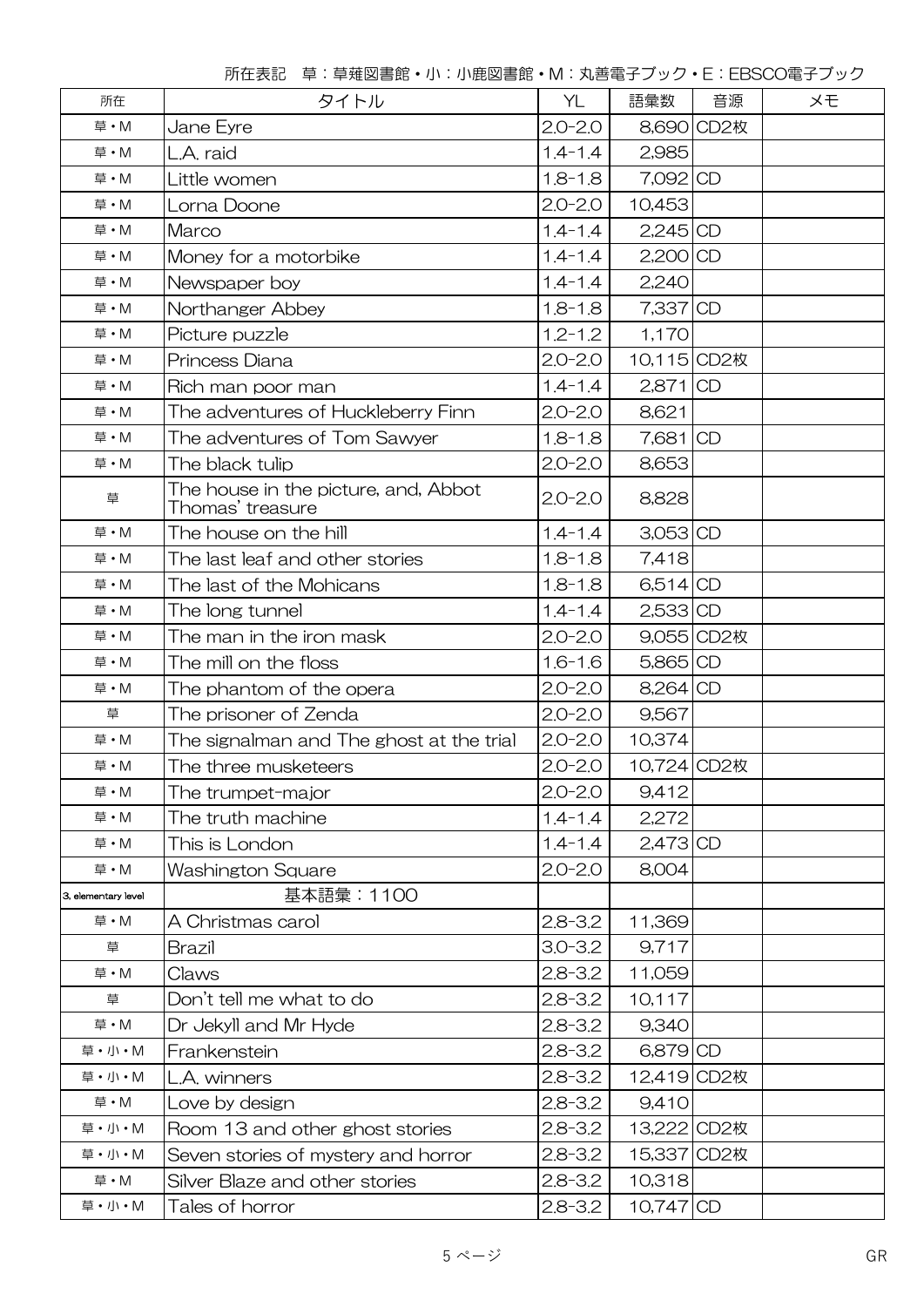| 所在                  | タイトル                                                     | YL          | 語彙数         | 音源         | メモ |
|---------------------|----------------------------------------------------------|-------------|-------------|------------|----|
| 草·M                 | Jane Eyre                                                | $2.0 - 2.0$ |             | 8,690 CD2枚 |    |
| 草·M                 | L.A. raid                                                | $1.4 - 1.4$ | 2,985       |            |    |
| 草·M                 | Little women                                             | $1.8 - 1.8$ | 7,092 CD    |            |    |
| 草·M                 | Lorna Doone                                              | $2.0 - 2.0$ | 10,453      |            |    |
| 草·M                 | Marco                                                    | $1.4 - 1.4$ | $2,245$ CD  |            |    |
| 草·M                 | Money for a motorbike                                    | $1.4 - 1.4$ | 2,200 CD    |            |    |
| 草·M                 | Newspaper boy                                            | $1.4 - 1.4$ | 2,240       |            |    |
| 草·M                 | Northanger Abbey                                         | $1.8 - 1.8$ | 7,337 CD    |            |    |
| 草·M                 | Picture puzzle                                           | $1.2 - 1.2$ | 1,170       |            |    |
| 草·M                 | Princess Diana                                           | $2.0 - 2.0$ | 10,115 CD2枚 |            |    |
| 草·M                 | Rich man poor man                                        | $1.4 - 1.4$ | $2,871$ CD  |            |    |
| 草·M                 | The adventures of Huckleberry Finn                       | $2.0 - 2.0$ | 8,621       |            |    |
| 草·M                 | The adventures of Tom Sawyer                             | $1.8 - 1.8$ | 7,681 CD    |            |    |
| 草·M                 | The black tulip                                          | $2.0 - 2.0$ | 8,653       |            |    |
| 草                   | The house in the picture, and, Abbot<br>Thomas' treasure | $2.0 - 2.0$ | 8,828       |            |    |
| 草·M                 | The house on the hill                                    | $1.4 - 1.4$ | $3,053$ CD  |            |    |
| 草·M                 | The last leaf and other stories                          | $1.8 - 1.8$ | 7,418       |            |    |
| 草·M                 | The last of the Mohicans                                 | $1.8 - 1.8$ | 6,514 CD    |            |    |
| 草·M                 | The long tunnel                                          | $1.4 - 1.4$ | $2,533$ CD  |            |    |
| 草·M                 | The man in the iron mask                                 | $2.0 - 2.0$ |             | 9,055 CD2枚 |    |
| 草·M                 | The mill on the floss                                    | $1.6 - 1.6$ | 5,865 CD    |            |    |
| 草·M                 | The phantom of the opera                                 | $2.0 - 2.0$ | 8,264 CD    |            |    |
| 草                   | The prisoner of Zenda                                    | $2.0 - 2.0$ | 9,567       |            |    |
| 草·M                 | The signalman and The ghost at the trial                 | $2.0 - 2.0$ | 10,374      |            |    |
| 草·M                 | The three musketeers                                     | $2.0 - 2.0$ | 10,724 CD2枚 |            |    |
| 草·M                 | The trumpet-major                                        | $2.0 - 2.0$ | 9,412       |            |    |
| 草·M                 | The truth machine                                        | $1.4 - 1.4$ | 2,272       |            |    |
| 草·M                 | This is London                                           | $1.4 - 1.4$ | $2,473$ CD  |            |    |
| 草・M                 | Washington Square                                        | $2.0 - 2.0$ | 8,004       |            |    |
| 3. elementary level | 基本語彙:1100                                                |             |             |            |    |
| 草·M                 | A Christmas carol                                        | $2.8 - 3.2$ | 11,369      |            |    |
| 草                   | <b>Brazil</b>                                            | $3.0 - 3.2$ | 9,717       |            |    |
| 草·M                 | Claws                                                    | $2.8 - 3.2$ | 11,059      |            |    |
| 草                   | Don't tell me what to do                                 | $2.8 - 3.2$ | 10,117      |            |    |
| 草·M                 | Dr Jekyll and Mr Hyde                                    | $2.8 - 3.2$ | 9,340       |            |    |
| 草·小·M               | Frankenstein                                             | $2.8 - 3.2$ | 6,879 CD    |            |    |
| 草·小·M               | L.A. winners                                             | $2.8 - 3.2$ | 12,419 CD2枚 |            |    |
| 草·M                 | Love by design                                           | $2.8 - 3.2$ | 9,410       |            |    |
| 草·小·M               | Room 13 and other ghost stories                          | $2.8 - 3.2$ | 13,222 CD2枚 |            |    |
| 草·小·M               | Seven stories of mystery and horror                      | $2.8 - 3.2$ | 15,337 CD2枚 |            |    |
| 草·M                 | Silver Blaze and other stories                           | $2.8 - 3.2$ | 10,318      |            |    |
| 草·小·M               | $2.8 - 3.2$<br>10,747 CD<br>Tales of horror              |             |             |            |    |

所在表記 草:草薙図書館・小:小鹿図書館・M:丸善電子ブック・E:EBSCO電子ブック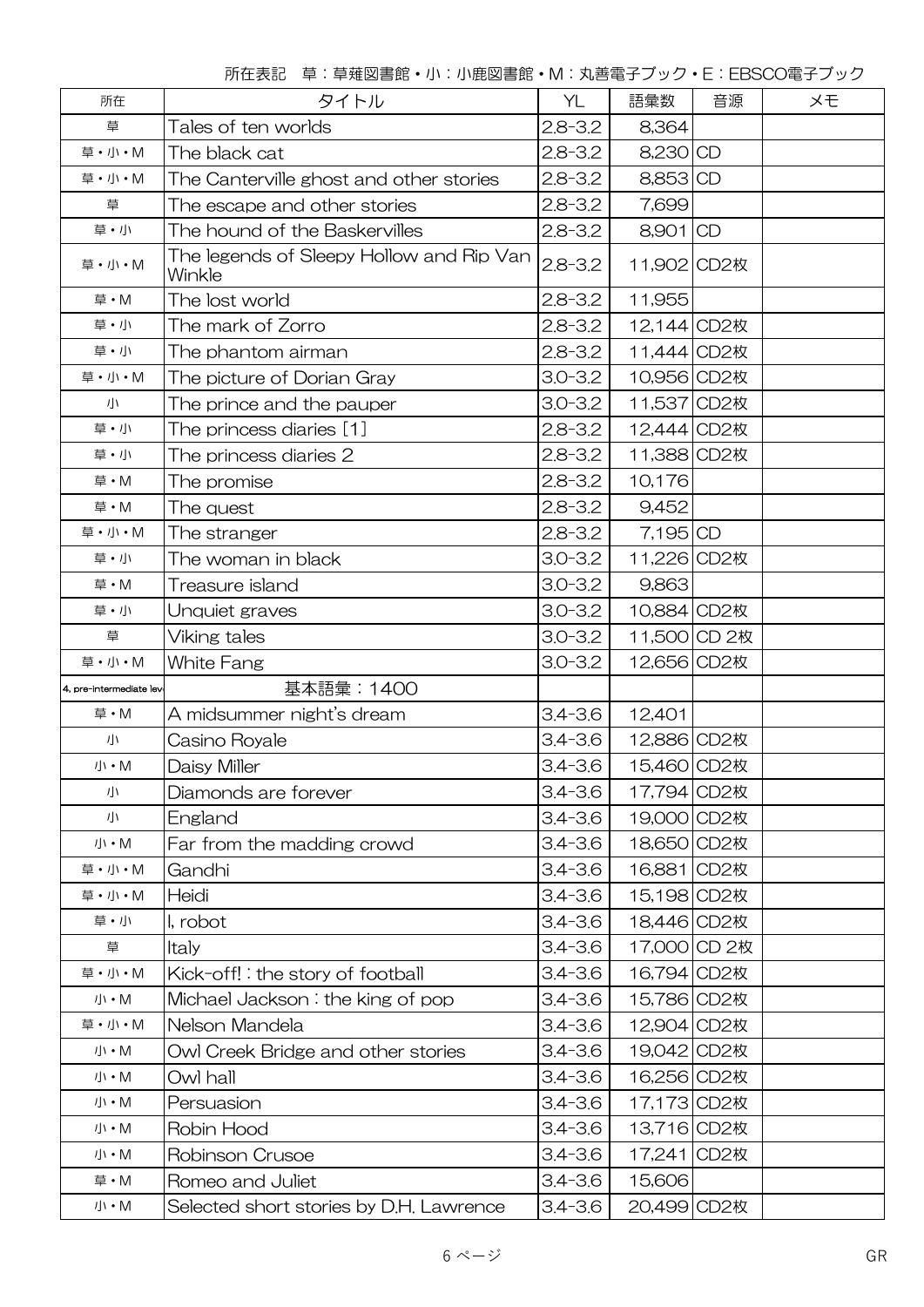所在表記 草:草薙図書館・小:小鹿図書館・M:丸善電子ブック・E:EBSCO電子ブック

| 所在                                                                   | タイトル                                               |             | 語彙数          | 音源 | メモ |
|----------------------------------------------------------------------|----------------------------------------------------|-------------|--------------|----|----|
| 草                                                                    | Tales of ten worlds                                | $2.8 - 3.2$ | 8,364        |    |    |
| 草·小·M                                                                | The black cat                                      | $2.8 - 3.2$ | 8,230 CD     |    |    |
| 草·小·M                                                                | The Canterville ghost and other stories            | $2.8 - 3.2$ | 8,853 CD     |    |    |
| 草                                                                    | The escape and other stories                       | $2.8 - 3.2$ | 7,699        |    |    |
| 草・小                                                                  | The hound of the Baskervilles                      | $2.8 - 3.2$ | 8,901 CD     |    |    |
| 草·小·M                                                                | The legends of Sleepy Hollow and Rip Van<br>Winkle | $2.8 - 3.2$ | 11,902 CD2枚  |    |    |
| 草·M                                                                  | The lost world                                     | $2.8 - 3.2$ | 11,955       |    |    |
| 草・小                                                                  | The mark of Zorro                                  | $2.8 - 3.2$ | 12,144 CD2枚  |    |    |
| 草·小                                                                  | The phantom airman                                 | $2.8 - 3.2$ | 11,444 CD2枚  |    |    |
| 草·小·M                                                                | The picture of Dorian Gray                         | $3.0 - 3.2$ | 10,956 CD2枚  |    |    |
| 小                                                                    | The prince and the pauper                          | $3.0 - 3.2$ | 11,537 CD2枚  |    |    |
| 草・小                                                                  | The princess diaries [1]                           | $2.8 - 3.2$ | 12,444 CD2枚  |    |    |
| 草・小                                                                  | The princess diaries 2                             | $2.8 - 3.2$ | 11,388 CD2枚  |    |    |
| 草・M                                                                  | The promise                                        | $2.8 - 3.2$ | 10,176       |    |    |
| 草·M                                                                  | The quest                                          | $2.8 - 3.2$ | 9,452        |    |    |
| 草·小·M                                                                | The stranger                                       | $2.8 - 3.2$ | 7,195 CD     |    |    |
| 草・小                                                                  | $3.0 - 3.2$<br>The woman in black                  |             | 11,226 CD2枚  |    |    |
| 草·M                                                                  | Treasure island                                    | $3.0 - 3.2$ | 9,863        |    |    |
| 草・小                                                                  | Unquiet graves                                     | $3.0 - 3.2$ | 10,884 CD2枚  |    |    |
| 草                                                                    | Viking tales                                       | $3.0 - 3.2$ | 11,500 CD 2枚 |    |    |
| 草·小·M                                                                | White Fang                                         | $3.0 - 3.2$ | 12,656 CD2枚  |    |    |
| 4, pre-intermediate lev                                              | 基本語彙: 1400                                         |             |              |    |    |
| 草·M                                                                  | A midsummer night's dream                          | $3.4 - 3.6$ | 12,401       |    |    |
| 小                                                                    | Casino Royale                                      | $3.4 - 3.6$ | 12,886 CD2枚  |    |    |
| $J\!\!\!\downarrow\!\!{}'\bullet M$                                  | Daisy Miller                                       | $3.4 - 3.6$ | 15,460 CD2枚  |    |    |
| 小                                                                    | Diamonds are forever                               | $3.4 - 3.6$ | 17,794 CD2枚  |    |    |
| 小                                                                    | England                                            | $3.4 - 3.6$ | 19,000 CD2枚  |    |    |
| 小 · M                                                                | Far from the madding crowd                         | $3.4 - 3.6$ | 18,650 CD2枚  |    |    |
| 草·小·M                                                                | Gandhi                                             | $3.4 - 3.6$ | 16,881 CD2枚  |    |    |
| 草·小·M                                                                | Heidi                                              | $3.4 - 3.6$ | 15,198 CD2枚  |    |    |
| 草・小                                                                  | I, robot                                           | $3.4 - 3.6$ | 18,446 CD2枚  |    |    |
| 草                                                                    | Italy                                              | $3.4 - 3.6$ | 17,000 CD 2枚 |    |    |
| 草·小·M                                                                | Kick-off!: the story of football                   | $3.4 - 3.6$ | 16,794 CD2枚  |    |    |
| $J\!\!\!\downarrow\!\!{}'\cdot M$                                    | Michael Jackson: the king of pop                   | $3.4 - 3.6$ | 15,786 CD2枚  |    |    |
| 草·小·M                                                                | Nelson Mandela                                     | $3.4 - 3.6$ | 12,904 CD2枚  |    |    |
| $J\mskip-1mu\mathrm{l}\mskip1mu\cdot\mskip1mu\mathsf{M}$ . M         | Owl Creek Bridge and other stories                 | $3.4 - 3.6$ | 19,042 CD2枚  |    |    |
| 小 • M                                                                | Owl hall                                           | $3.4 - 3.6$ | 16,256 CD2枚  |    |    |
| 小 • M                                                                | Persuasion                                         | $3.4 - 3.6$ | 17,173 CD2枚  |    |    |
| 小 • M                                                                | Robin Hood                                         | $3.4 - 3.6$ | 13,716 CD2枚  |    |    |
| 小 • M                                                                | Robinson Crusoe                                    | $3.4 - 3.6$ | 17,241 CD2枚  |    |    |
| 草·M                                                                  | Romeo and Juliet                                   | $3.4 - 3.6$ | 15,606       |    |    |
| $J\hspace{-.1em}/\hspace{.1em}\backslash\hspace{.1em} \cdot {\sf M}$ | Selected short stories by D.H. Lawrence            | $3.4 - 3.6$ | 20,499 CD2枚  |    |    |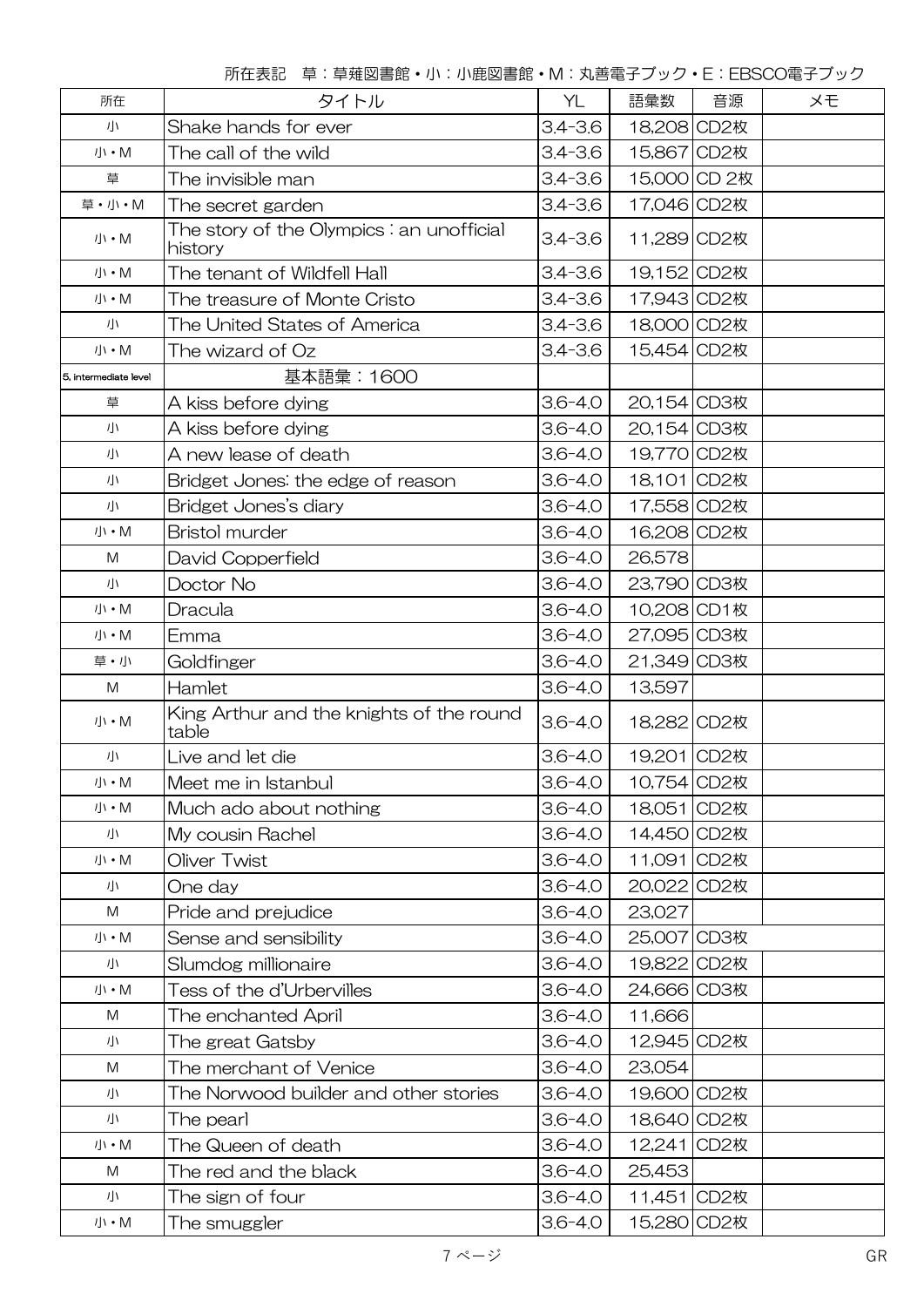所在表記 草:草薙図書館・小:小鹿図書館・M:丸善電子ブック・E:EBSCO電子ブック

| 所在                                                                           | タイトル                                                 | YL          | 語彙数          | 音源 | メモ |
|------------------------------------------------------------------------------|------------------------------------------------------|-------------|--------------|----|----|
| 小                                                                            | Shake hands for ever                                 | $3.4 - 3.6$ | 18,208 CD2枚  |    |    |
| 小 · M                                                                        | The call of the wild                                 | $3.4 - 3.6$ | 15,867 CD2枚  |    |    |
| 草                                                                            | The invisible man                                    | $3.4 - 3.6$ | 15,000 CD 2枚 |    |    |
| 草·小·M                                                                        | The secret garden                                    | $3.4 - 3.6$ | 17,046 CD2枚  |    |    |
| 小・M                                                                          | The story of the Olympics : an unofficial<br>history | $3.4 - 3.6$ | 11,289 CD2枚  |    |    |
| 小·M                                                                          | The tenant of Wildfell Hall                          | $3.4 - 3.6$ | 19,152 CD2枚  |    |    |
| 小·M                                                                          | The treasure of Monte Cristo                         | $3.4 - 3.6$ | 17,943 CD2枚  |    |    |
| 小                                                                            | The United States of America                         | $3.4 - 3.6$ | 18,000 CD2枚  |    |    |
| 小 · M                                                                        | The wizard of Oz                                     | $3.4 - 3.6$ | 15,454 CD2枚  |    |    |
| 5, intermediate level                                                        | 基本語彙:1600                                            |             |              |    |    |
| 草                                                                            | A kiss before dying                                  | $3.6 - 4.0$ | 20,154 CD3枚  |    |    |
| 小                                                                            | A kiss before dying                                  | $3.6 - 4.0$ | 20,154 CD3枚  |    |    |
| 小                                                                            | A new lease of death                                 | $3.6 - 4.0$ | 19,770 CD2枚  |    |    |
| 小                                                                            | Bridget Jones: the edge of reason                    | $3.6 - 4.0$ | 18,101 CD2枚  |    |    |
| 小                                                                            | Bridget Jones's diary                                | $3.6 - 4.0$ | 17,558 CD2枚  |    |    |
| $J\mskip-1mu\mathrm{l}\mskip1mu\cdot\mskip1mu\mathsf{M}$ . M                 | <b>Bristol murder</b>                                | $3.6 - 4.0$ | 16,208 CD2枚  |    |    |
| M                                                                            | David Copperfield                                    | $3.6 - 4.0$ | 26,578       |    |    |
| 小                                                                            | Doctor No                                            | $3.6 - 4.0$ | 23,790 CD3枚  |    |    |
| 小 · M                                                                        | Dracula                                              | $3.6 - 4.0$ | 10,208 CD1枚  |    |    |
| $J\mskip-1mu\mathrm{l}\mskip1mu\cdot\mskip1mu\mathsf{M}$ . M                 | Emma                                                 | $3.6 - 4.0$ | 27,095 CD3枚  |    |    |
| 草·小                                                                          | Goldfinger                                           | $3.6 - 4.0$ | 21,349 CD3枚  |    |    |
| M                                                                            | Hamlet                                               | $3.6 - 4.0$ | 13,597       |    |    |
| $J\mskip-1mu\mathrm{l}\mskip1mu\cdot\mskip1mu\mathsf{M}$ . M                 | King Arthur and the knights of the round<br>table    | $3.6 - 4.0$ | 18,282 CD2枚  |    |    |
| 小                                                                            | Live and let die                                     | $3.6 - 4.0$ | 19,201 CD2枚  |    |    |
| 小 · M                                                                        | Meet me in Istanbul                                  | $3.6 - 4.0$ | 10,754 CD2枚  |    |    |
| 小・M                                                                          | Much ado about nothing                               | $3.6 - 4.0$ | 18,051 CD2枚  |    |    |
| 小                                                                            | My cousin Rachel                                     | $3.6 - 4.0$ | 14,450 CD2枚  |    |    |
| $J\mskip-1mu\mathrm{l} \cdot \mathsf{M}$                                     | Oliver Twist                                         | $3.6 - 4.0$ | 11,091 CD2枚  |    |    |
| 小                                                                            | One day                                              | $3.6 - 4.0$ | 20,022 CD2枚  |    |    |
| M                                                                            | Pride and prejudice                                  | $3.6 - 4.0$ | 23,027       |    |    |
| 小 · M                                                                        | Sense and sensibility                                | $3.6 - 4.0$ | 25,007 CD3枚  |    |    |
| 小                                                                            | Slumdog millionaire                                  | $3.6 - 4.0$ | 19,822 CD2枚  |    |    |
| $J\mskip-1mu\mathrm{l} \cdot \mathsf{M}$                                     | Tess of the d'Urbervilles                            | $3.6 - 4.0$ | 24,666 CD3枚  |    |    |
| M                                                                            | The enchanted April                                  | $3.6 - 4.0$ | 11,666       |    |    |
| 小                                                                            | The great Gatsby                                     | $3.6 - 4.0$ | 12,945 CD2枚  |    |    |
| M                                                                            | The merchant of Venice                               | $3.6 - 4.0$ | 23,054       |    |    |
| 小                                                                            | The Norwood builder and other stories                | $3.6 - 4.0$ | 19,600 CD2枚  |    |    |
| 小                                                                            | The pearl                                            | $3.6 - 4.0$ | 18,640 CD2枚  |    |    |
| 小 · M                                                                        | The Queen of death                                   | $3.6 - 4.0$ | 12,241 CD2枚  |    |    |
| M                                                                            | The red and the black                                | $3.6 - 4.0$ | 25,453       |    |    |
| 小                                                                            | The sign of four                                     | $3.6 - 4.0$ | 11,451 CD2枚  |    |    |
| $J\hspace{-0.1cm}J\hspace{-0.1cm}\prime\hspace{-0.1cm}\cdot\hspace{-0.1cm}M$ | The smuggler                                         | $3.6 - 4.0$ | 15,280 CD2枚  |    |    |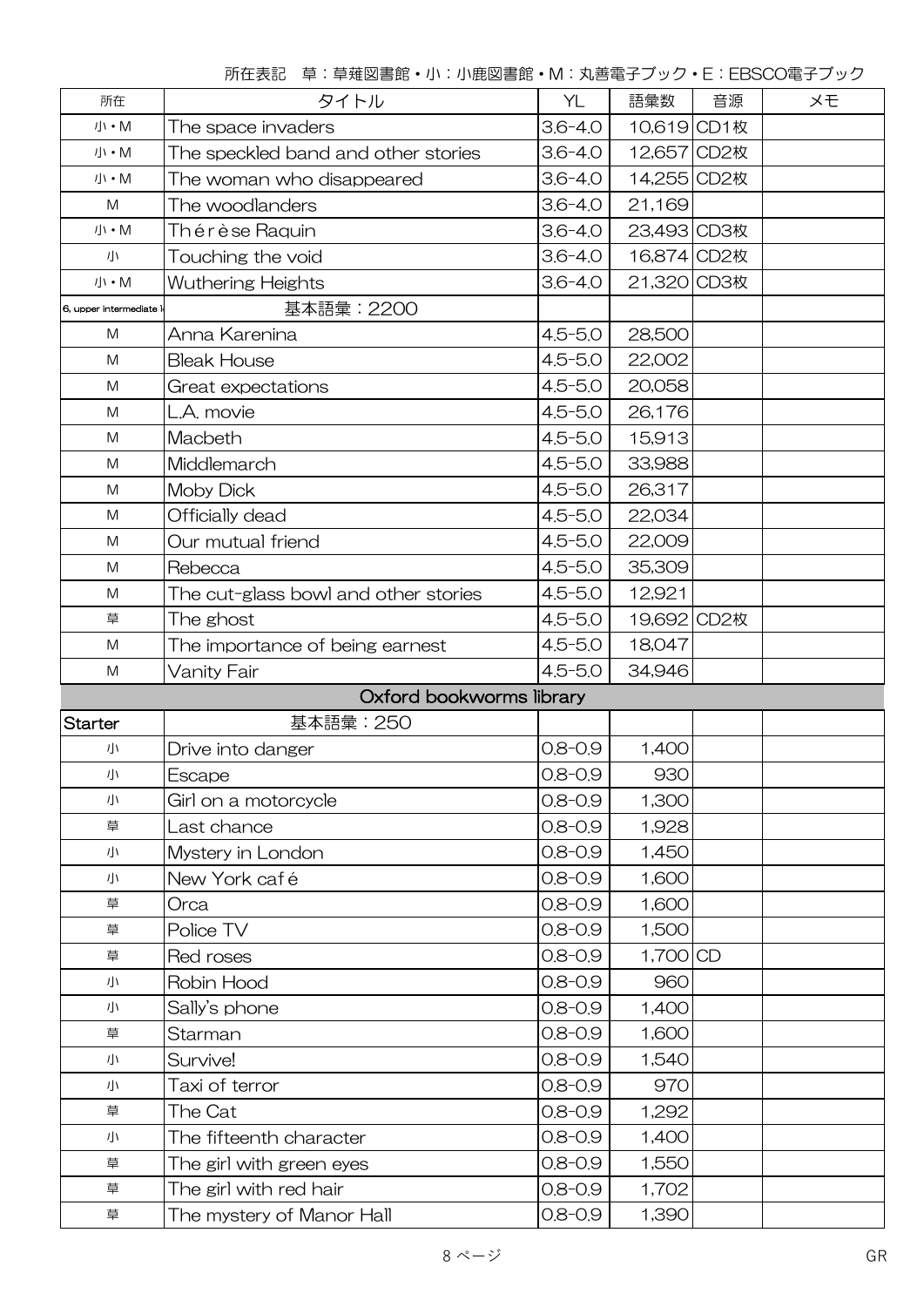|                                                                                                            | 所在表記 草:草薙図書館·小:小鹿図書館·M:丸善電子ブック·E:EBSCO電子ブック |             |             |    |    |
|------------------------------------------------------------------------------------------------------------|---------------------------------------------|-------------|-------------|----|----|
| 所在                                                                                                         | タイトル                                        | YL          | 語彙数         | 音源 | メモ |
| 小・M                                                                                                        | The space invaders                          | $3.6 - 4.0$ | 10,619 CD1枚 |    |    |
| 小 • M                                                                                                      | The speckled band and other stories         | $3.6 - 4.0$ | 12,657 CD2枚 |    |    |
| 小・M                                                                                                        | The woman who disappeared                   | $3.6 - 4.0$ | 14,255 CD2枚 |    |    |
| M                                                                                                          | The woodlanders                             | $3.6 - 4.0$ | 21,169      |    |    |
| 小・M                                                                                                        | Th é r è se Raquin                          | $3.6 - 4.0$ | 23,493 CD3枚 |    |    |
| 小                                                                                                          | Touching the void                           | $3.6 - 4.0$ | 16,874 CD2枚 |    |    |
| 小 • M                                                                                                      | Wuthering Heights                           | $3.6 - 4.0$ | 21,320 CD3枚 |    |    |
| 6, upper intermediate                                                                                      | 基本語彙: 2200                                  |             |             |    |    |
| M                                                                                                          | Anna Karenina                               | $4.5 - 5.0$ | 28,500      |    |    |
| M                                                                                                          | <b>Bleak House</b>                          | $4.5 - 5.0$ | 22,002      |    |    |
| M                                                                                                          | Great expectations                          | $4.5 - 5.0$ | 20,058      |    |    |
| M                                                                                                          | L.A. movie                                  | $4.5 - 5.0$ | 26,176      |    |    |
| M                                                                                                          | Macbeth                                     | $4.5 - 5.0$ | 15,913      |    |    |
| M                                                                                                          | Middlemarch                                 | $4.5 - 5.0$ | 33,988      |    |    |
| M                                                                                                          | <b>Moby Dick</b>                            | $4.5 - 5.0$ | 26,317      |    |    |
| M                                                                                                          | Officially dead                             | $4.5 - 5.0$ | 22,034      |    |    |
| $\mathsf{M}% _{T}=\mathsf{M}_{T}\!\left( a,b\right) ,\ \mathsf{M}_{T}=\mathsf{M}_{T}\!\left( a,b\right) ,$ | Our mutual friend                           | $4.5 - 5.0$ | 22,009      |    |    |
| M                                                                                                          | Rebecca                                     | $4.5 - 5.0$ | 35,309      |    |    |
| M                                                                                                          | The cut-glass bowl and other stories        | $4.5 - 5.0$ | 12,921      |    |    |
| 草                                                                                                          | The ghost                                   | $4.5 - 5.0$ | 19,692 CD2枚 |    |    |
| M                                                                                                          | The importance of being earnest             | $4.5 - 5.0$ | 18,047      |    |    |
| $\mathsf{M}% _{T}=\mathsf{M}_{T}\!\left( a,b\right) ,\ \mathsf{M}_{T}=\mathsf{M}_{T}\!\left( a,b\right) ,$ | Vanity Fair                                 | $4.5 - 5.0$ | 34,946      |    |    |
|                                                                                                            | Oxford bookworms library                    |             |             |    |    |
| <b>Starter</b>                                                                                             | 基本語彙:250                                    |             |             |    |    |
| 小                                                                                                          | Drive into danger                           | $0.8 - 0.9$ | 1,400       |    |    |
| 小                                                                                                          | Escape                                      | $0.8 - 0.9$ | 930         |    |    |
| 小                                                                                                          | Girl on a motorcycle                        | $0.8 - 0.9$ | 1,300       |    |    |
| 草                                                                                                          | Last chance                                 | $0.8 - 0.9$ | 1,928       |    |    |
| 小                                                                                                          | Mystery in London                           | $0.8 - 0.9$ | 1,450       |    |    |
| 小                                                                                                          | New York café                               | $0.8 - 0.9$ | 1,600       |    |    |
| 草                                                                                                          | Orca                                        | $0.8 - 0.9$ | 1,600       |    |    |

所在表記 草:草薙図書館・小:小鹿図書館・M:丸善電子ブック・E:EBSCO電子ブック

草 Police TV 0.8-0.9 1,500

草 Red roses 2008-0.9 1,700 CD 小 Robin Hood 0.8-0.9 960  $\sqrt{11}$  Sally's phone 0.8-0.9 1,400 草 Starman 0.8-0.9 1,600 小 Survive! (0.8-0.9 1,540) 小 Taxi of terror 0.8-0.9 970 草 The Cat 0.8-0.9 1,292 小 The fifteenth character  $0.8-0.9$  1,400  $\overline{p}$  The girl with green eyes  $0.8-0.9$  1,550 草 The girl with red hair 20.8-0.9 1,702  $\overline{p}$  The mystery of Manor Hall  $\overline{q}$  0.8-0.9 1,390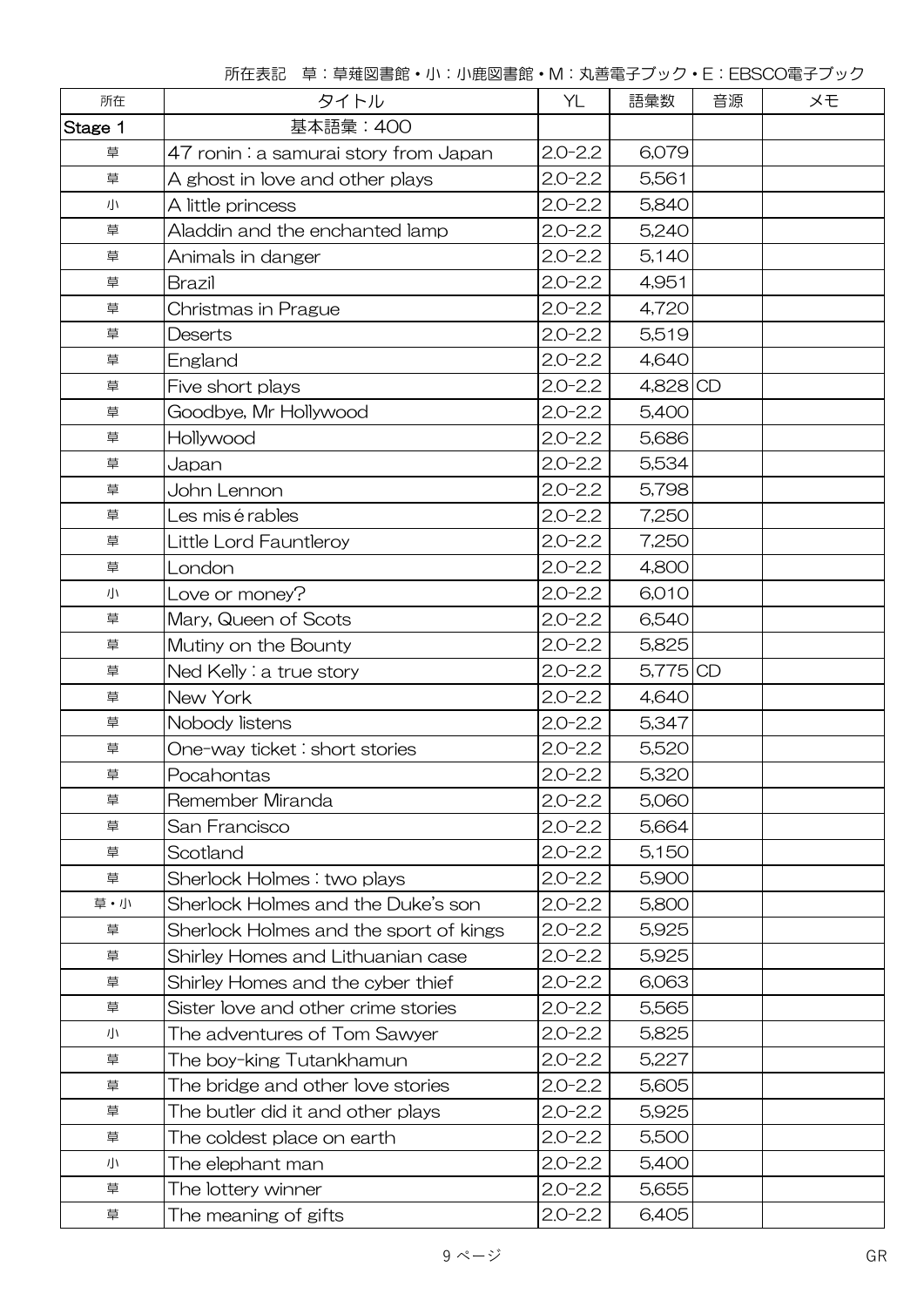所在表記 草:草薙図書館・小:小鹿図書館・M:丸善電子ブック・E:EBSCO電子ブック

| 所在      | タイトル                                   |             | 語彙数        | 音源 | メモ |
|---------|----------------------------------------|-------------|------------|----|----|
| Stage 1 | 基本語彙: 400                              |             |            |    |    |
| 草       | 47 ronin: a samurai story from Japan   | $2.0 - 2.2$ | 6,079      |    |    |
| 草       | A ghost in love and other plays        | $2.0 - 2.2$ | 5,561      |    |    |
| 小       | A little princess                      | $2.0 - 2.2$ | 5,840      |    |    |
| 草       | Aladdin and the enchanted lamp         | $2.0 - 2.2$ | 5,240      |    |    |
| 草       | Animals in danger                      | $2.0 - 2.2$ | 5,140      |    |    |
| 草       | <b>Brazil</b>                          | $2.0 - 2.2$ | 4,951      |    |    |
| 草       | Christmas in Prague                    | $2.0 - 2.2$ | 4,720      |    |    |
| 草       | Deserts                                | $2.0 - 2.2$ | 5,519      |    |    |
| 草       | England                                | $2.0 - 2.2$ | 4,640      |    |    |
| 草       | Five short plays                       | $2.0 - 2.2$ | 4,828 CD   |    |    |
| 草       | Goodbye, Mr Hollywood                  | $2.0 - 2.2$ | 5,400      |    |    |
| 草       | Hollywood                              | $2.0 - 2.2$ | 5,686      |    |    |
| 草       | Japan                                  | $2.0 - 2.2$ | 5,534      |    |    |
| 草       | John Lennon                            | $2.0 - 2.2$ | 5,798      |    |    |
| 草       | Les mis é rables                       | $2.0 - 2.2$ | 7,250      |    |    |
| 草       | Little Lord Fauntleroy                 | $2.0 - 2.2$ | 7,250      |    |    |
| 草       | London                                 | $2.0 - 2.2$ | 4,800      |    |    |
| 小       | Love or money?                         | $2.0 - 2.2$ | 6,010      |    |    |
| 草       | Mary, Queen of Scots                   | $2.0 - 2.2$ | 6,540      |    |    |
| 草       | Mutiny on the Bounty                   | $2.0 - 2.2$ | 5,825      |    |    |
| 草       | Ned Kelly: a true story                | $2.0 - 2.2$ | $5,775$ CD |    |    |
| 草       | New York                               | $2.0 - 2.2$ | 4,640      |    |    |
| 草       | Nobody listens                         | $2.0 - 2.2$ | 5,347      |    |    |
| 草       | One-way ticket: short stories          | $2.0 - 2.2$ | 5,520      |    |    |
| 草       | Pocahontas                             | $2.0 - 2.2$ | 5,320      |    |    |
| 草       | Remember Miranda                       | $2.0 - 2.2$ | 5,060      |    |    |
| 草       | San Francisco                          | $2.0 - 2.2$ | 5,664      |    |    |
| 草       | Scotland                               | $2.0 - 2.2$ | 5,150      |    |    |
| 草       | Sherlock Holmes: two plays             | $2.0 - 2.2$ | 5,900      |    |    |
| 草·小     | Sherlock Holmes and the Duke's son     | $2.0 - 2.2$ | 5,800      |    |    |
| 草       | Sherlock Holmes and the sport of kings | $2.0 - 2.2$ | 5,925      |    |    |
| 草       | Shirley Homes and Lithuanian case      | $2.0 - 2.2$ | 5,925      |    |    |
| 草       | Shirley Homes and the cyber thief      | $2.0 - 2.2$ | 6,063      |    |    |
| 草       | Sister love and other crime stories    | $2.0 - 2.2$ | 5,565      |    |    |
| 小       | The adventures of Tom Sawyer           | $2.0 - 2.2$ | 5,825      |    |    |
| 草       | The boy-king Tutankhamun               | $2.0 - 2.2$ | 5,227      |    |    |
| 草       | The bridge and other love stories      | $2.0 - 2.2$ | 5,605      |    |    |
| 草       | The butler did it and other plays      | $2.0 - 2.2$ | 5,925      |    |    |
| 草       | The coldest place on earth             | $2.0 - 2.2$ | 5,500      |    |    |
| 小       | The elephant man                       | $2.0 - 2.2$ | 5,400      |    |    |
| 草       | The lottery winner                     | $2.0 - 2.2$ | 5,655      |    |    |
| 草       | The meaning of gifts                   | $2.0 - 2.2$ | 6,405      |    |    |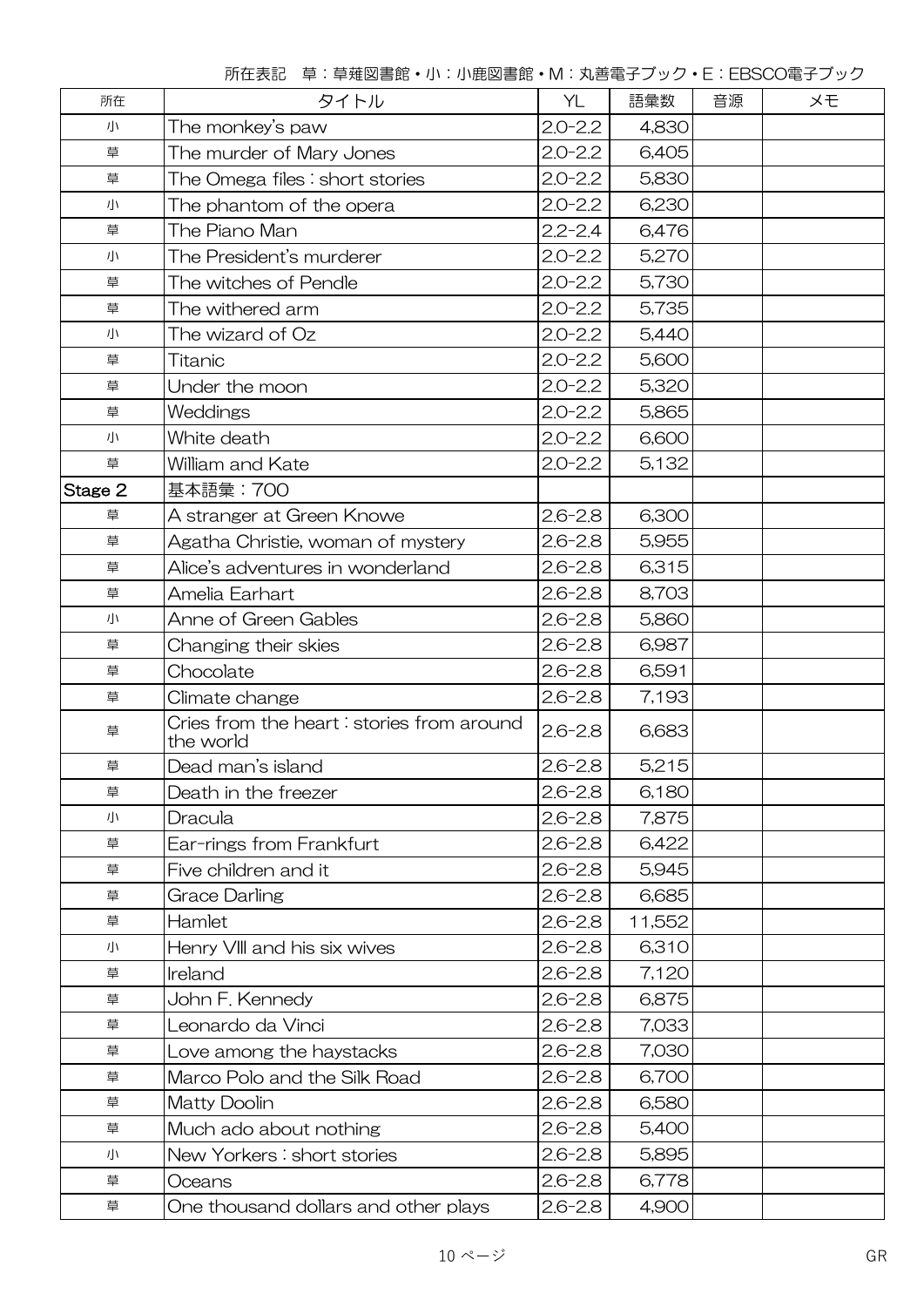|  |  |  | 所在表記 草:草薙図書館・小:小鹿図書館・M:丸善電子ブック・E:EBSCO電子ブック |
|--|--|--|---------------------------------------------|
|--|--|--|---------------------------------------------|

| 所在      | タイトル                                                    | YL          | 語彙数    | 音源 | メモ |
|---------|---------------------------------------------------------|-------------|--------|----|----|
| 小       | The monkey's paw                                        | $2.0 - 2.2$ | 4,830  |    |    |
| 草       | The murder of Mary Jones                                | $2.0 - 2.2$ | 6,405  |    |    |
| 草       | The Omega files : short stories                         | $2.0 - 2.2$ | 5,830  |    |    |
| 小       | The phantom of the opera                                | $2.0 - 2.2$ | 6,230  |    |    |
| 草       | The Piano Man                                           | $2.2 - 2.4$ | 6,476  |    |    |
| 小       | The President's murderer                                | $2.0 - 2.2$ | 5,270  |    |    |
| 草       | The witches of Pendle                                   | $2.0 - 2.2$ | 5,730  |    |    |
| 草       | The withered arm                                        | $2.0 - 2.2$ | 5,735  |    |    |
| 小       | The wizard of Oz                                        | $2.0 - 2.2$ | 5,440  |    |    |
| 草       | Titanic                                                 | $2.0 - 2.2$ | 5,600  |    |    |
| 草       | Under the moon                                          | $2.0 - 2.2$ | 5,320  |    |    |
| 草       | Weddings                                                | $2.0 - 2.2$ | 5,865  |    |    |
| 小       | White death                                             | $2.0 - 2.2$ | 6,600  |    |    |
| 草       | William and Kate                                        | $2.0 - 2.2$ | 5,132  |    |    |
| Stage 2 | 基本語彙: 700                                               |             |        |    |    |
| 草       | A stranger at Green Knowe                               | $2.6 - 2.8$ | 6,300  |    |    |
| 草       | Agatha Christie, woman of mystery                       | $2.6 - 2.8$ | 5,955  |    |    |
| 草       | Alice's adventures in wonderland                        | $2.6 - 2.8$ | 6,315  |    |    |
| 草       | Amelia Earhart                                          | $2.6 - 2.8$ | 8,703  |    |    |
| 小       | Anne of Green Gables                                    | $2.6 - 2.8$ | 5,860  |    |    |
| 草       | Changing their skies                                    | $2.6 - 2.8$ | 6,987  |    |    |
| 草       | Chocolate                                               | $2.6 - 2.8$ | 6,591  |    |    |
| 草       | Climate change                                          | $2.6 - 2.8$ | 7,193  |    |    |
| 草       | Cries from the heart : stories from around<br>the world | $2.6 - 2.8$ | 6,683  |    |    |
| 草       | Dead man's island                                       | $2.6 - 2.8$ | 5,215  |    |    |
| 草       | Death in the freezer                                    | $2.6 - 2.8$ | 6,180  |    |    |
| 小       | Dracula                                                 | $2.6 - 2.8$ | 7,875  |    |    |
| 草       | Ear-rings from Frankfurt                                | $2.6 - 2.8$ | 6,422  |    |    |
| 草       | Five children and it                                    | $2.6 - 2.8$ | 5,945  |    |    |
| 草       | <b>Grace Darling</b>                                    | $2.6 - 2.8$ | 6,685  |    |    |
| 草       | Hamlet                                                  | $2.6 - 2.8$ | 11,552 |    |    |
| 小       | Henry VIII and his six wives                            | $2.6 - 2.8$ | 6,310  |    |    |
| 草       | Ireland                                                 | $2.6 - 2.8$ | 7,120  |    |    |
| 草       | John F. Kennedy                                         | $2.6 - 2.8$ | 6,875  |    |    |
| 草       | Leonardo da Vinci                                       | $2.6 - 2.8$ | 7,033  |    |    |
| 草       | Love among the haystacks                                | $2.6 - 2.8$ | 7,030  |    |    |
| 草       | Marco Polo and the Silk Road                            | $2.6 - 2.8$ | 6,700  |    |    |
| 草       | <b>Matty Doolin</b>                                     | $2.6 - 2.8$ | 6,580  |    |    |
| 草       | Much ado about nothing                                  | $2.6 - 2.8$ | 5,400  |    |    |
| 小       | New Yorkers: short stories                              | $2.6 - 2.8$ | 5,895  |    |    |
| 草       | Oceans                                                  | $2.6 - 2.8$ | 6,778  |    |    |
| 草       | One thousand dollars and other plays                    | $2.6 - 2.8$ | 4,900  |    |    |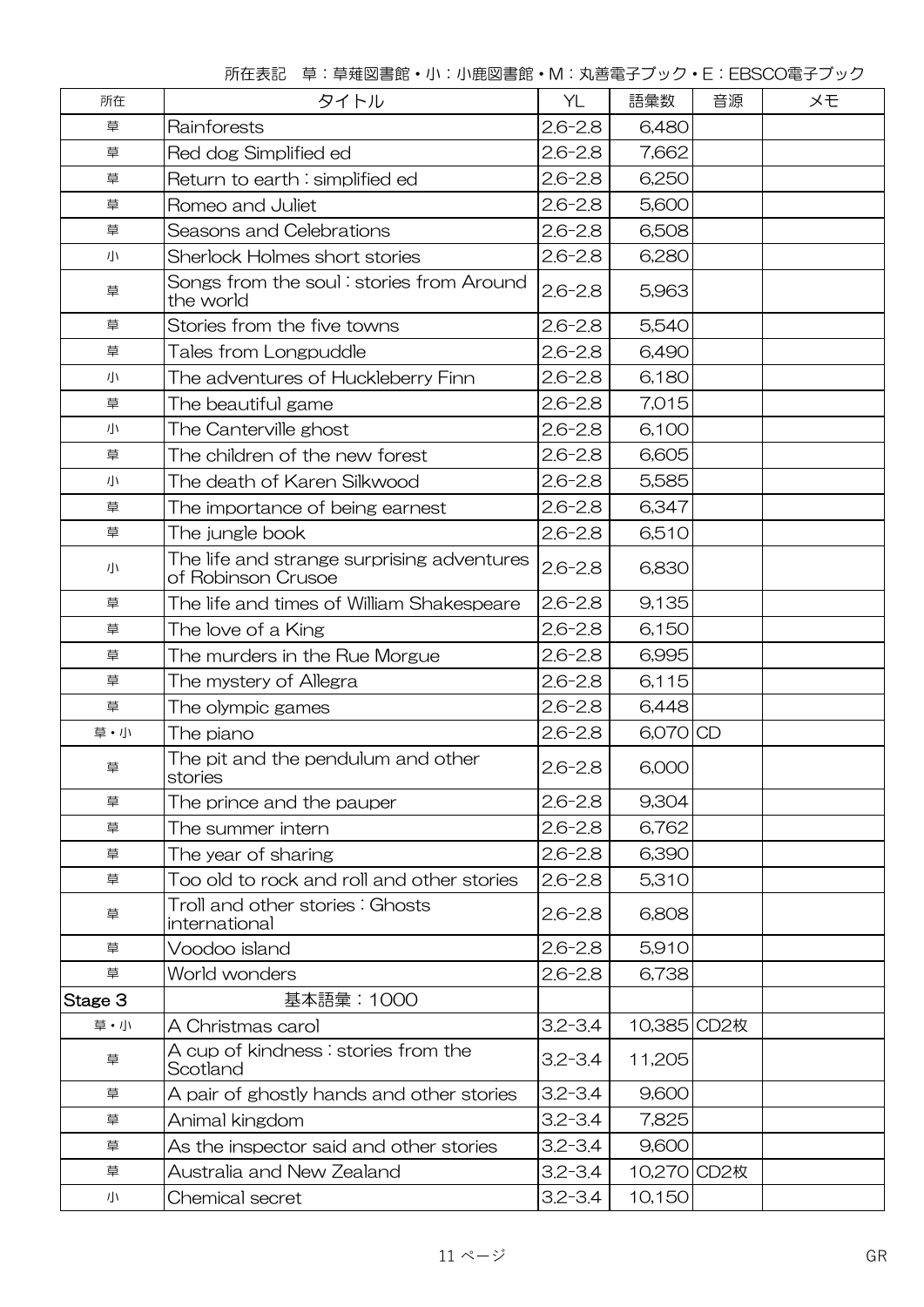|  |  |  | 所在表記 草:草薙図書館・小:小鹿図書館・M:丸善電子ブック・E:EBSCO電子ブック |
|--|--|--|---------------------------------------------|
|--|--|--|---------------------------------------------|

| 所在      | タイトル                                                             | YL          | 語彙数         | 音源 | メモ |  |
|---------|------------------------------------------------------------------|-------------|-------------|----|----|--|
| 草       | Rainforests                                                      | $2.6 - 2.8$ | 6,480       |    |    |  |
| 草       | Red dog Simplified ed                                            | $2.6 - 2.8$ | 7,662       |    |    |  |
| 草       | Return to earth: simplified ed                                   | $2.6 - 2.8$ | 6,250       |    |    |  |
| 草       | Romeo and Juliet                                                 | $2.6 - 2.8$ | 5,600       |    |    |  |
| 草       | Seasons and Celebrations                                         | $2.6 - 2.8$ | 6,508       |    |    |  |
| 小       | Sherlock Holmes short stories                                    | $2.6 - 2.8$ | 6,280       |    |    |  |
| 草       | Songs from the soul: stories from Around<br>the world            | $2.6 - 2.8$ | 5,963       |    |    |  |
| 草       | Stories from the five towns                                      | $2.6 - 2.8$ | 5,540       |    |    |  |
| 草       | Tales from Longpuddle                                            | $2.6 - 2.8$ | 6,490       |    |    |  |
| 小       | The adventures of Huckleberry Finn                               | $2.6 - 2.8$ | 6,180       |    |    |  |
| 草       | The beautiful game                                               | $2.6 - 2.8$ | 7,015       |    |    |  |
| 小       | The Canterville ghost                                            | $2.6 - 2.8$ | 6,100       |    |    |  |
| 草       | The children of the new forest                                   | $2.6 - 2.8$ | 6,605       |    |    |  |
| 小       | The death of Karen Silkwood                                      | $2.6 - 2.8$ | 5,585       |    |    |  |
| 草       | The importance of being earnest                                  | $2.6 - 2.8$ | 6,347       |    |    |  |
| 草       | The jungle book                                                  | $2.6 - 2.8$ | 6,510       |    |    |  |
| 小       | The life and strange surprising adventures<br>of Robinson Crusoe | $2.6 - 2.8$ | 6,830       |    |    |  |
| 草       | The life and times of William Shakespeare                        | $2.6 - 2.8$ | 9,135       |    |    |  |
| 草       | The love of a King                                               | $2.6 - 2.8$ | 6,150       |    |    |  |
| 草       | The murders in the Rue Morgue                                    | $2.6 - 2.8$ | 6,995       |    |    |  |
| 草       | The mystery of Allegra                                           | $2.6 - 2.8$ | 6,115       |    |    |  |
| 草       | The olympic games                                                | $2.6 - 2.8$ | 6,448       |    |    |  |
| 草・小     | The piano                                                        | $2.6 - 2.8$ | 6,070 CD    |    |    |  |
| 草       | The pit and the pendulum and other<br>stories                    | $2.6 - 2.8$ | 6,000       |    |    |  |
| 草       | The prince and the pauper                                        | $2.6 - 2.8$ | 9,304       |    |    |  |
| 草       | The summer intern                                                | $2.6 - 2.8$ | 6,762       |    |    |  |
| 草       | The year of sharing                                              | $2.6 - 2.8$ | 6,390       |    |    |  |
| 草       | Too old to rock and roll and other stories                       | $2.6 - 2.8$ | 5,310       |    |    |  |
| 草       | Troll and other stories: Ghosts<br>international                 | $2.6 - 2.8$ | 6,808       |    |    |  |
| 草       | Voodoo island                                                    | $2.6 - 2.8$ | 5,910       |    |    |  |
| 草       | World wonders                                                    | $2.6 - 2.8$ | 6,738       |    |    |  |
| Stage 3 | 基本語彙:1000                                                        |             |             |    |    |  |
| 草·小     | A Christmas carol                                                | $3.2 - 3.4$ | 10,385 CD2枚 |    |    |  |
| 草       | A cup of kindness : stories from the<br>Scotland                 | $3.2 - 3.4$ | 11,205      |    |    |  |
| 草       | A pair of ghostly hands and other stories                        | $3.2 - 3.4$ | 9,600       |    |    |  |
| 草       | Animal kingdom                                                   | $3.2 - 3.4$ | 7,825       |    |    |  |
| 草       | As the inspector said and other stories                          | $3.2 - 3.4$ | 9,600       |    |    |  |
| 草       | Australia and New Zealand                                        | $3.2 - 3.4$ | 10,270 CD2枚 |    |    |  |
| 小       | Chemical secret                                                  | $3.2 - 3.4$ | 10,150      |    |    |  |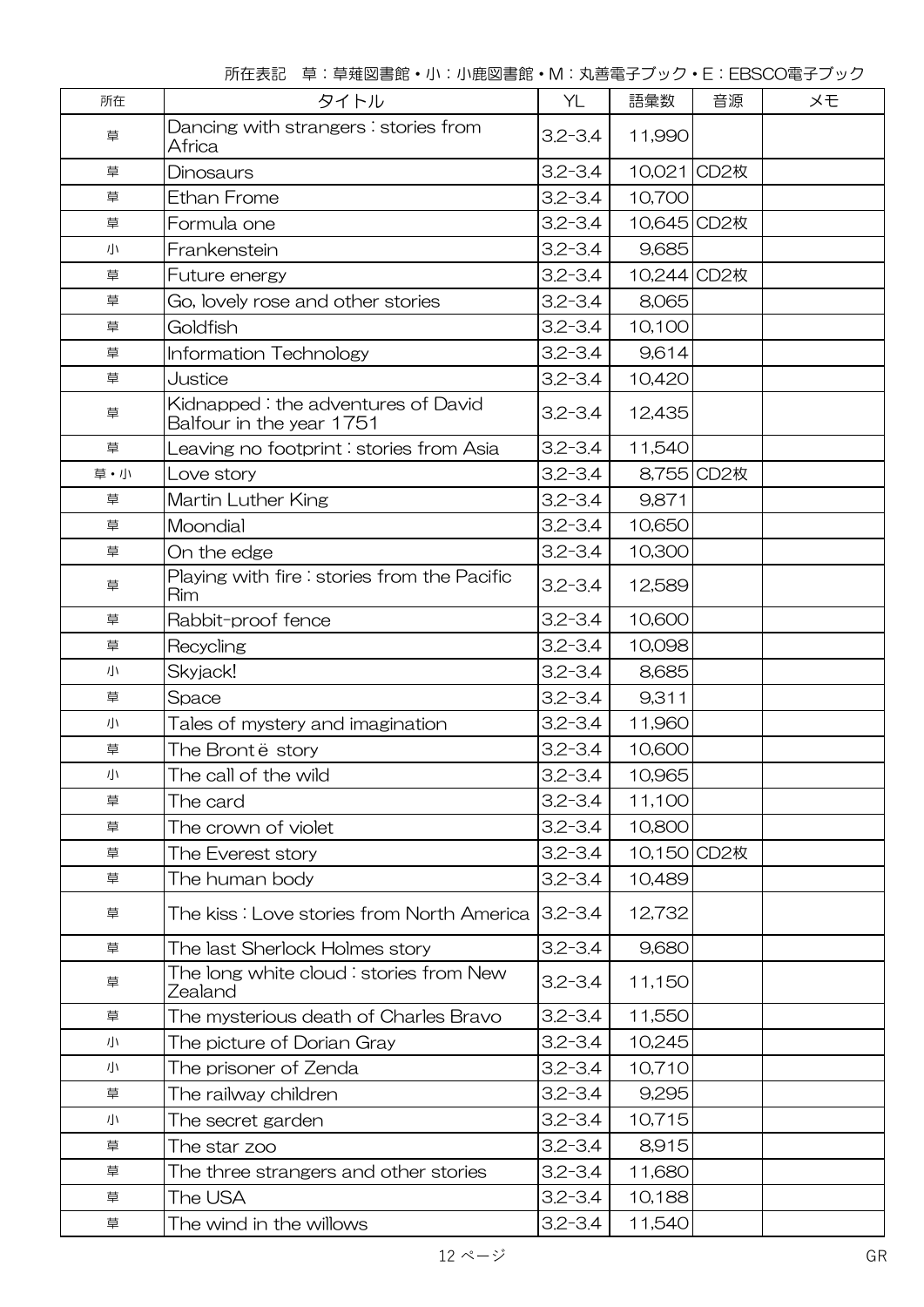| 所在  | タイトル                                                           | YL          | 語彙数         | 音源<br>メモ   |  |  |
|-----|----------------------------------------------------------------|-------------|-------------|------------|--|--|
| 草   | Dancing with strangers: stories from<br>Africa                 | $3.2 - 3.4$ | 11,990      |            |  |  |
| 草   | Dinosaurs                                                      | $3.2 - 3.4$ | 10,021 CD2枚 |            |  |  |
| 草   | <b>Ethan Frome</b>                                             | $3.2 - 3.4$ | 10,700      |            |  |  |
| 草   | Formula one                                                    | $3.2 - 3.4$ | 10,645 CD2枚 |            |  |  |
| 小   | Frankenstein                                                   | $3.2 - 3.4$ | 9,685       |            |  |  |
| 草   | Future energy                                                  | $3.2 - 3.4$ | 10,244 CD2枚 |            |  |  |
| 草   | Go, lovely rose and other stories                              | $3.2 - 3.4$ | 8,065       |            |  |  |
| 草   | Goldfish                                                       | $3.2 - 3.4$ | 10,100      |            |  |  |
| 草   | <b>Information Technology</b>                                  | $3.2 - 3.4$ | 9,614       |            |  |  |
| 草   | Justice                                                        | $3.2 - 3.4$ | 10,420      |            |  |  |
| 草   | Kidnapped: the adventures of David<br>Balfour in the year 1751 | $3.2 - 3.4$ | 12,435      |            |  |  |
| 草   | Leaving no footprint : stories from Asia                       | $3.2 - 3.4$ | 11,540      |            |  |  |
| 草・小 | Love story                                                     | $3.2 - 3.4$ |             | 8,755 CD2枚 |  |  |
| 草   | Martin Luther King                                             | $3.2 - 3.4$ | 9,871       |            |  |  |
| 草   | Moondial                                                       | $3.2 - 3.4$ | 10,650      |            |  |  |
| 草   | On the edge                                                    | $3.2 - 3.4$ | 10,300      |            |  |  |
| 草   | Playing with fire: stories from the Pacific<br>Rim             | $3.2 - 3.4$ | 12,589      |            |  |  |
| 草   | Rabbit-proof fence                                             | $3.2 - 3.4$ | 10,600      |            |  |  |
| 草   | Recycling                                                      | $3.2 - 3.4$ | 10,098      |            |  |  |
| 小   | Skyjack!                                                       | $3.2 - 3.4$ | 8,685       |            |  |  |
| 草   | Space                                                          | $3.2 - 3.4$ | 9,311       |            |  |  |
| 小   | Tales of mystery and imagination                               | $3.2 - 3.4$ | 11,960      |            |  |  |
| 草   | The Brontë story                                               | $3.2 - 3.4$ | 10,600      |            |  |  |
| 小   | The call of the wild                                           | $3.2 - 3.4$ | 10,965      |            |  |  |
| 草   | The card                                                       | $3.2 - 3.4$ | 11,100      |            |  |  |
| 草   | The crown of violet                                            | $3.2 - 3.4$ | 10,800      |            |  |  |
| 草   | The Everest story                                              | $3.2 - 3.4$ | 10,150 CD2枚 |            |  |  |
| 草   | The human body                                                 | $3.2 - 3.4$ | 10,489      |            |  |  |
| 草   | The kiss : Love stories from North America                     | $3.2 - 3.4$ | 12,732      |            |  |  |
| 草   | The last Sherlock Holmes story                                 | $3.2 - 3.4$ | 9,680       |            |  |  |
| 草   | The long white cloud : stories from New<br>Zealand             | $3.2 - 3.4$ | 11,150      |            |  |  |
| 草   | The mysterious death of Charles Bravo                          | $3.2 - 3.4$ | 11,550      |            |  |  |
| 小   | The picture of Dorian Gray                                     | $3.2 - 3.4$ | 10,245      |            |  |  |
| 小   | The prisoner of Zenda                                          | $3.2 - 3.4$ | 10,710      |            |  |  |
| 草   | The railway children                                           | $3.2 - 3.4$ | 9,295       |            |  |  |
| 小   | The secret garden                                              | $3.2 - 3.4$ | 10,715      |            |  |  |
| 草   | The star zoo                                                   | $3.2 - 3.4$ | 8,915       |            |  |  |
| 草   | The three strangers and other stories                          | $3.2 - 3.4$ | 11,680      |            |  |  |
| 草   | The USA                                                        | $3.2 - 3.4$ | 10,188      |            |  |  |
| 草   | The wind in the willows                                        | $3.2 - 3.4$ | 11,540      |            |  |  |

所在表記 草:草薙図書館・小:小鹿図書館・M:丸善電子ブック・E:EBSCO電子ブック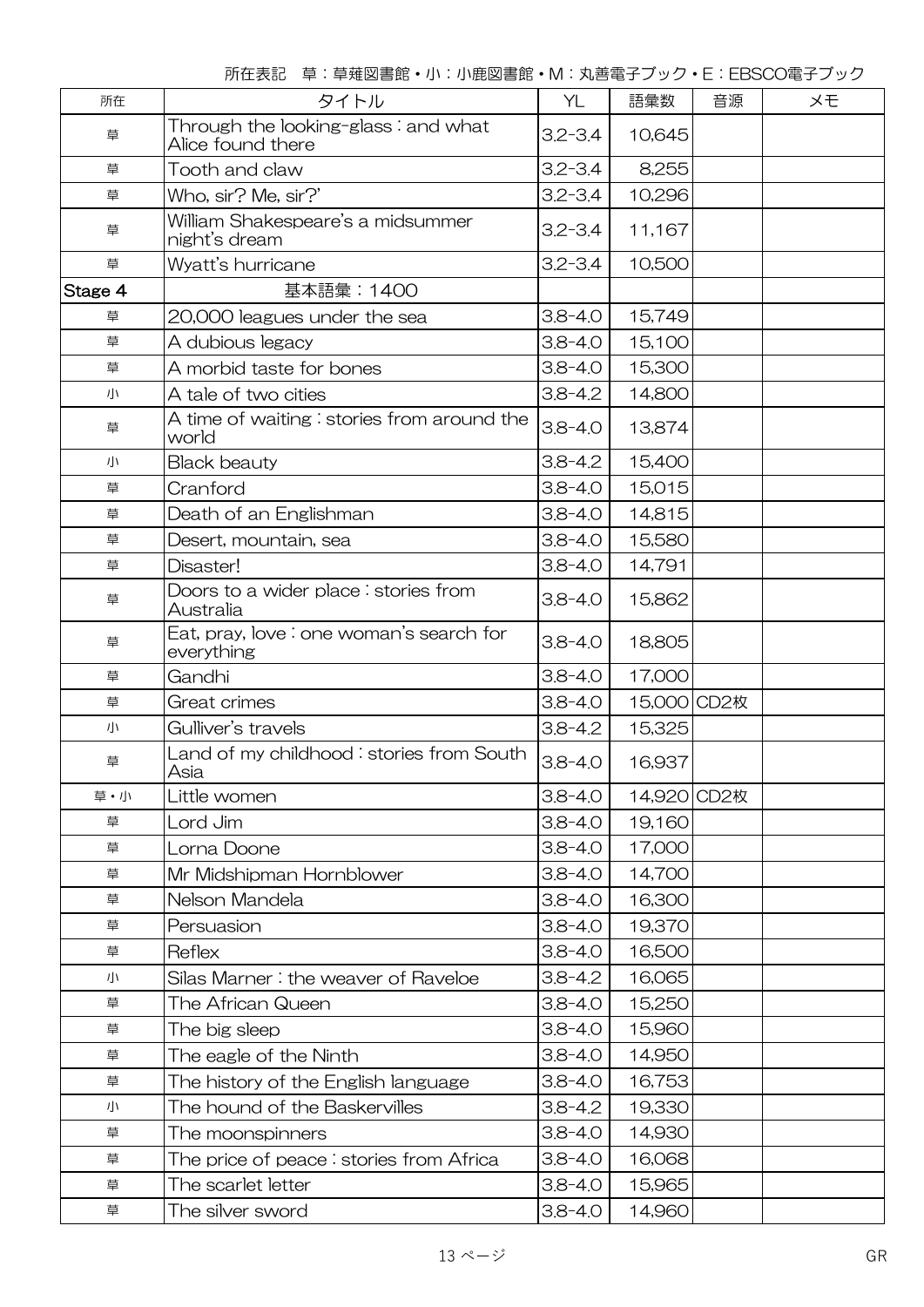所在表記 草:草薙図書館・小:小鹿図書館・M:丸善電子ブック・E:EBSCO電子ブック

| 所在      | タイトル                                                     | YL          | 語彙数         | 音源 | メモ |
|---------|----------------------------------------------------------|-------------|-------------|----|----|
| 草       | Through the looking-glass: and what<br>Alice found there | $3.2 - 3.4$ | 10,645      |    |    |
| 草       | Tooth and claw                                           | $3.2 - 3.4$ | 8,255       |    |    |
| 草       | Who, sir? Me, sir?'                                      | $3.2 - 3.4$ | 10,296      |    |    |
| 草       | William Shakespeare's a midsummer<br>night's dream       | $3.2 - 3.4$ | 11,167      |    |    |
| 草       | Wyatt's hurricane                                        | $3.2 - 3.4$ | 10,500      |    |    |
| Stage 4 | 基本語彙:1400                                                |             |             |    |    |
| 草       | 20,000 leagues under the sea                             | $3.8 - 4.0$ | 15,749      |    |    |
| 草       | A dubious legacy                                         | $3.8 - 4.0$ | 15,100      |    |    |
| 草       | A morbid taste for bones                                 | $3.8 - 4.0$ | 15,300      |    |    |
| 小       | A tale of two cities                                     | $3.8 - 4.2$ | 14,800      |    |    |
| 草       | A time of waiting : stories from around the<br>world     | $3.8 - 4.0$ | 13,874      |    |    |
| 小       | <b>Black beauty</b>                                      | $3.8 - 4.2$ | 15,400      |    |    |
| 草       | Cranford                                                 | $3.8 - 4.0$ | 15,015      |    |    |
| 草       | Death of an Englishman                                   | $3.8 - 4.0$ | 14,815      |    |    |
| 草       | Desert, mountain, sea                                    | $3.8 - 4.0$ | 15,580      |    |    |
| 草       | Disaster!                                                | $3.8 - 4.0$ | 14,791      |    |    |
| 草       | Doors to a wider place: stories from<br>Australia        | $3.8 - 4.0$ | 15,862      |    |    |
| 草       | Eat, pray, love : one woman's search for<br>everything   | $3.8 - 4.0$ | 18,805      |    |    |
| 草       | Gandhi                                                   | $3.8 - 4.0$ | 17,000      |    |    |
| 草       | Great crimes                                             | $3.8 - 4.0$ | 15,000 CD2枚 |    |    |
| 小       | Gulliver's travels                                       | $3.8 - 4.2$ | 15,325      |    |    |
| 草       | Land of my childhood : stories from South<br>Asia        | $3.8 - 4.0$ | 16,937      |    |    |
| 草・小     | Little women                                             | $3.8 - 4.0$ | 14,920 CD2枚 |    |    |
| 草       | Lord Jim                                                 | $3.8 - 4.0$ | 19,160      |    |    |
| 草       | Lorna Doone                                              | $3.8 - 4.0$ | 17,000      |    |    |
| 草       | Mr Midshipman Hornblower                                 | $3.8 - 4.0$ | 14,700      |    |    |
| 草       | Nelson Mandela                                           | $3.8 - 4.0$ | 16,300      |    |    |
| 草       | Persuasion                                               | $3.8 - 4.0$ | 19,370      |    |    |
| 草       | Reflex                                                   | $3.8 - 4.0$ | 16,500      |    |    |
| 小       | Silas Marner: the weaver of Raveloe                      | $3.8 - 4.2$ | 16,065      |    |    |
| 草       | The African Queen                                        | $3.8 - 4.0$ | 15,250      |    |    |
| 草       | The big sleep                                            | $3.8 - 4.0$ | 15,960      |    |    |
| 草       | The eagle of the Ninth                                   | $3.8 - 4.0$ | 14,950      |    |    |
| 草       | The history of the English language                      | $3.8 - 4.0$ | 16,753      |    |    |
| 小       | The hound of the Baskervilles                            | $3.8 - 4.2$ | 19,330      |    |    |
| 草       | The moonspinners                                         | $3.8 - 4.0$ | 14,930      |    |    |
| 草       | The price of peace: stories from Africa                  | $3.8 - 4.0$ | 16,068      |    |    |
| 草       | The scarlet letter                                       | $3.8 - 4.0$ | 15,965      |    |    |
| 草       | The silver sword                                         | $3.8 - 4.0$ | 14,960      |    |    |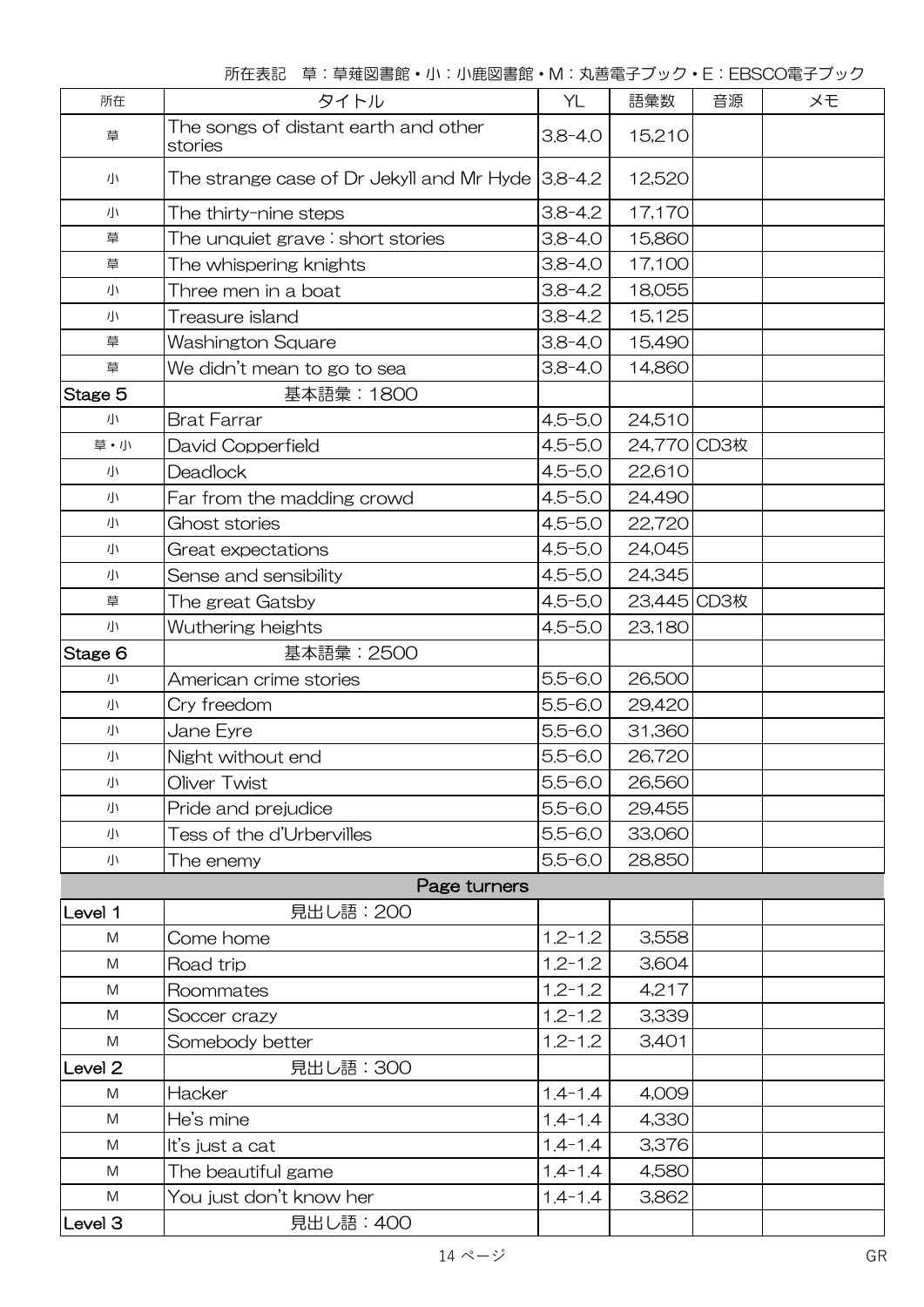| 所在                 | タイトル                                                      | YL          | 語彙数         | 音源 | メモ |
|--------------------|-----------------------------------------------------------|-------------|-------------|----|----|
| 草                  | The songs of distant earth and other<br>stories           | $3.8 - 4.0$ | 15,210      |    |    |
| 小                  | The strange case of Dr Jekyll and Mr Hyde $3.8$ -4.2 $\,$ |             | 12,520      |    |    |
| 小                  | The thirty-nine steps                                     | $3.8 - 4.2$ | 17,170      |    |    |
| 草                  | The unquiet grave $\colon$ short stories                  | $3.8 - 4.0$ | 15,860      |    |    |
| 草                  | The whispering knights                                    | $3.8 - 4.0$ | 17,100      |    |    |
| 小                  | Three men in a boat                                       | $3.8 - 4.2$ | 18,055      |    |    |
| 小                  | Treasure island                                           | $3.8 - 4.2$ | 15,125      |    |    |
| 草                  | Washington Square                                         | $3.8 - 4.0$ | 15,490      |    |    |
| 草                  | We didn't mean to go to sea                               | $3.8 - 4.0$ | 14,860      |    |    |
| Stage 5            | 基本語彙:1800                                                 |             |             |    |    |
| 小                  | <b>Brat Farrar</b>                                        | $4.5 - 5.0$ | 24,510      |    |    |
| 草・小                | David Copperfield                                         | $4.5 - 5.0$ | 24,770 CD3枚 |    |    |
| 小                  | <b>Deadlock</b>                                           | $4.5 - 5.0$ | 22,610      |    |    |
| 小                  | Far from the madding crowd                                | $4.5 - 5.0$ | 24,490      |    |    |
| 小                  | Ghost stories                                             | $4.5 - 5.0$ | 22,720      |    |    |
| 小                  | Great expectations                                        | $4.5 - 5.0$ | 24,045      |    |    |
| 小                  | Sense and sensibility                                     | $4.5 - 5.0$ | 24,345      |    |    |
| 草                  | The great Gatsby                                          | $4.5 - 5.0$ | 23,445 CD3枚 |    |    |
| 小                  | Wuthering heights                                         | $4.5 - 5.0$ | 23,180      |    |    |
| Stage 6            | 基本語彙: 2500                                                |             |             |    |    |
| 小                  | American crime stories                                    | $5.5 - 6.0$ | 26,500      |    |    |
| 小                  | Cry freedom                                               | $5.5 - 6.0$ | 29,420      |    |    |
| 小                  | Jane Eyre                                                 | $5.5 - 6.0$ | 31,360      |    |    |
| 小                  | Night without end                                         | $5.5 - 6.0$ | 26,720      |    |    |
| 小                  | Oliver Twist                                              | $5.5 - 6.0$ | 26,560      |    |    |
| 小                  | Pride and prejudice                                       | $5.5 - 6.0$ | 29,455      |    |    |
| 小                  | Tess of the d'Urbervilles                                 | $5.5 - 6.0$ | 33,060      |    |    |
| 小                  | The enemy                                                 | $5.5 - 6.0$ | 28,850      |    |    |
|                    | Page turners                                              |             |             |    |    |
| Level 1            | 見出し語: 200                                                 |             |             |    |    |
| M                  | Come home                                                 | $1.2 - 1.2$ | 3,558       |    |    |
| M                  | Road trip                                                 | $1.2 - 1.2$ | 3,604       |    |    |
| M                  | Roommates                                                 | $1.2 - 1.2$ | 4,217       |    |    |
| M                  | Soccer crazy                                              | $1.2 - 1.2$ | 3,339       |    |    |
| M                  | Somebody better                                           | $1.2 - 1.2$ | 3,401       |    |    |
| Level <sub>2</sub> | 見出し語: 300                                                 |             |             |    |    |
| M                  | Hacker                                                    | $1.4 - 1.4$ | 4,009       |    |    |
| M                  | He's mine                                                 | $1.4 - 1.4$ | 4,330       |    |    |
| M                  | It's just a cat                                           | $1.4 - 1.4$ | 3,376       |    |    |
| M                  | The beautiful game                                        | $1.4 - 1.4$ | 4,580       |    |    |
| M                  | You just don't know her                                   | $1.4 - 1.4$ | 3,862       |    |    |
| Level 3            | 見出し語: 400                                                 |             |             |    |    |

所在表記 草:草薙図書館・小:小鹿図書館・M:丸善電子ブック・E:EBSCO電子ブック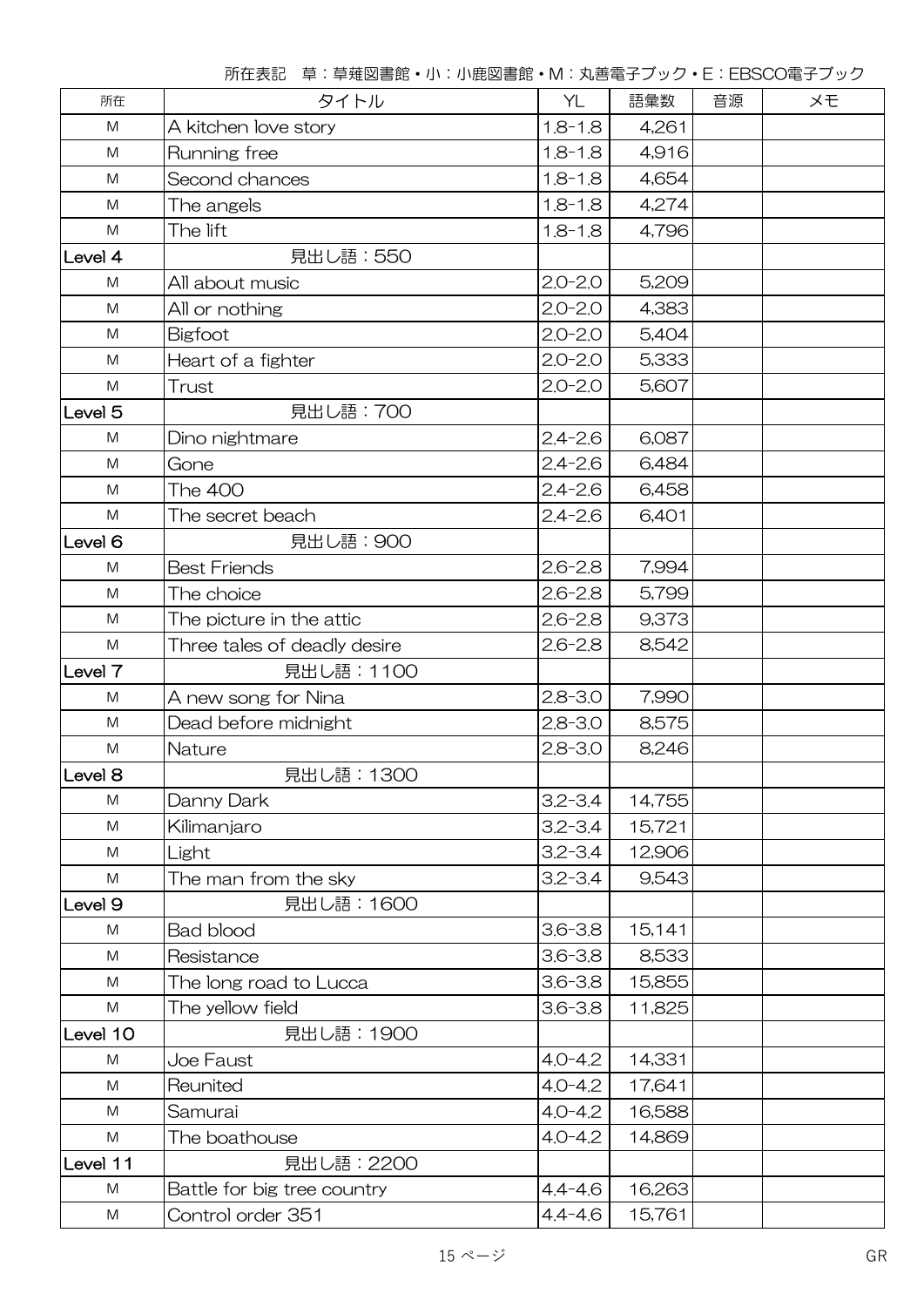| 所在                 | タイトル                         | YL          | 語彙数    | 音源 | メモ |
|--------------------|------------------------------|-------------|--------|----|----|
| ${\sf M}$          | A kitchen love story         | $1.8 - 1.8$ | 4,261  |    |    |
| M                  | Running free                 | $1.8 - 1.8$ | 4,916  |    |    |
| ${\sf M}$          | Second chances               | $1.8 - 1.8$ | 4,654  |    |    |
| M                  | The angels                   | $1.8 - 1.8$ | 4,274  |    |    |
| M                  | The lift                     | $1.8 - 1.8$ | 4,796  |    |    |
| Level 4            | 見出し語: 550                    |             |        |    |    |
| M                  | All about music              | $2.0 - 2.0$ | 5,209  |    |    |
| M                  | All or nothing               | $2.0 - 2.0$ | 4,383  |    |    |
| M                  | Bigfoot                      | $2.0 - 2.0$ | 5,404  |    |    |
| M                  | Heart of a fighter           | $2.0 - 2.0$ | 5,333  |    |    |
| M                  | Trust                        | $2.0 - 2.0$ | 5,607  |    |    |
| Level <sub>5</sub> | 見出し語: 700                    |             |        |    |    |
| ${\sf M}$          | Dino nightmare               | $2.4 - 2.6$ | 6,087  |    |    |
| M                  | Gone                         | $2.4 - 2.6$ | 6,484  |    |    |
| M                  | <b>The 400</b>               | $2.4 - 2.6$ | 6,458  |    |    |
| ${\sf M}$          | The secret beach             | $2.4 - 2.6$ | 6,401  |    |    |
| Level <sub>6</sub> | 見出し語: 900                    |             |        |    |    |
| ${\sf M}$          | <b>Best Friends</b>          | $2.6 - 2.8$ | 7,994  |    |    |
| M                  | The choice                   | $2.6 - 2.8$ | 5,799  |    |    |
| M                  | The picture in the attic     | $2.6 - 2.8$ | 9,373  |    |    |
| ${\sf M}$          | Three tales of deadly desire | $2.6 - 2.8$ | 8,542  |    |    |
| Level 7            | 見出し語: 1100                   |             |        |    |    |
| M                  | A new song for Nina          | $2.8 - 3.0$ | 7,990  |    |    |
| M                  | Dead before midnight         | $2.8 - 3.0$ | 8,575  |    |    |
| M                  | Nature                       | $2.8 - 3.0$ | 8,246  |    |    |
| Level <sub>8</sub> | 見出し語: 1300                   |             |        |    |    |
| ${\sf M}$          | Danny Dark                   | $3.2 - 3.4$ | 14,755 |    |    |
| ${\sf M}$          | Kilimanjaro                  | $3.2 - 3.4$ | 15,721 |    |    |
| M                  | Light                        | $3.2 - 3.4$ | 12,906 |    |    |
| M                  | The man from the sky         | $3.2 - 3.4$ | 9,543  |    |    |
| Level 9            | 見出し語: 1600                   |             |        |    |    |
| M                  | <b>Bad blood</b>             | $3.6 - 3.8$ | 15,141 |    |    |
| ${\sf M}$          | Resistance                   | $3.6 - 3.8$ | 8,533  |    |    |
| M                  | The long road to Lucca       | $3.6 - 3.8$ | 15,855 |    |    |
| M                  | The yellow field             | $3.6 - 3.8$ | 11,825 |    |    |
| Level 10           | 見出し語: 1900                   |             |        |    |    |
| ${\sf M}$          | Joe Faust                    | $4.0 - 4.2$ | 14,331 |    |    |
| M                  | Reunited                     | $4.0 - 4.2$ | 17,641 |    |    |
| M                  | Samurai                      | $4.0 - 4.2$ | 16,588 |    |    |
| M                  | The boathouse                | $4.0 - 4.2$ | 14,869 |    |    |
| Level 11           | 見出し語: 2200                   |             |        |    |    |
| M                  | Battle for big tree country  | $4.4 - 4.6$ | 16,263 |    |    |
| M                  | Control order 351            | $4.4 - 4.6$ | 15,761 |    |    |

所在表記 草:草薙図書館・小:小鹿図書館・M:丸善電子ブック・E:EBSCO電子ブック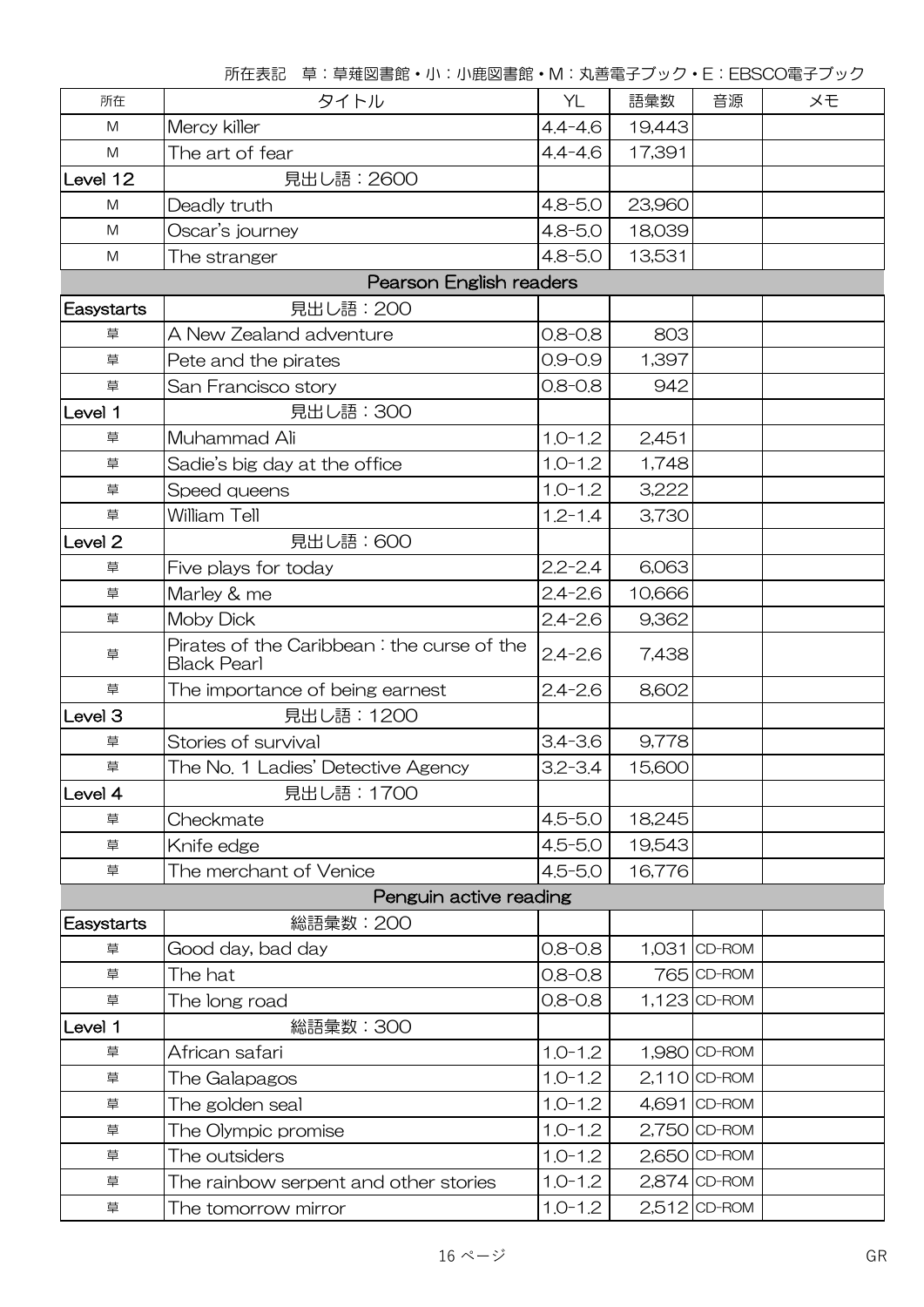|                    | キ・キ椎凶目如 'J'''J'吃凶目如 IVI'が口电」ノフノ L'LDOOO电」ノフノ               |             |        |                |    |  |
|--------------------|------------------------------------------------------------|-------------|--------|----------------|----|--|
| 所在                 | タイトル                                                       | YL          | 語彙数    | 音源             | メモ |  |
| M                  | Mercy killer                                               | $4.4 - 4.6$ | 19,443 |                |    |  |
| M                  | The art of fear                                            | $4.4 - 4.6$ | 17,391 |                |    |  |
| Level 12           | 見出し語: 2600                                                 |             |        |                |    |  |
| M                  | Deadly truth                                               | $4.8 - 5.0$ | 23,960 |                |    |  |
| M                  | Oscar's journey                                            | $4.8 - 5.0$ | 18,039 |                |    |  |
| M                  | The stranger                                               | $4.8 - 5.0$ | 13,531 |                |    |  |
|                    | <b>Pearson English readers</b>                             |             |        |                |    |  |
| <b>Easystarts</b>  | 見出し語: 200                                                  |             |        |                |    |  |
| 草                  | A New Zealand adventure                                    | $0.8 - 0.8$ | 803    |                |    |  |
| 草                  | Pete and the pirates                                       | $0.9 - 0.9$ | 1,397  |                |    |  |
| 草                  | San Francisco story                                        | $0.8 - 0.8$ | 942    |                |    |  |
| Level 1            | 見出し語: 300                                                  |             |        |                |    |  |
| 草                  | Muhammad Ali                                               | $1.0 - 1.2$ | 2,451  |                |    |  |
| 草                  | Sadie's big day at the office                              | $1.0 - 1.2$ | 1,748  |                |    |  |
| 草                  | Speed queens                                               | $1.0 - 1.2$ | 3,222  |                |    |  |
| 草                  | William Tell                                               | $1.2 - 1.4$ | 3,730  |                |    |  |
| Level <sub>2</sub> | 見出し語: 600                                                  |             |        |                |    |  |
| 草                  | Five plays for today                                       | $2.2 - 2.4$ | 6,063  |                |    |  |
| 草                  | Marley & me                                                | $2.4 - 2.6$ | 10,666 |                |    |  |
| 草                  | <b>Moby Dick</b>                                           | $2.4 - 2.6$ | 9,362  |                |    |  |
| 草                  | Pirates of the Caribbean : the curse of the<br>Black Pearl | $2.4 - 2.6$ | 7,438  |                |    |  |
| 草                  | The importance of being earnest                            | $2.4 - 2.6$ | 8,602  |                |    |  |
| Level 3            | 見出し語: 1200                                                 |             |        |                |    |  |
| 草                  | Stories of survival                                        | $3.4 - 3.6$ | 9,778  |                |    |  |
| 草                  | The No. 1 Ladies' Detective Agency                         | $3.2 - 3.4$ | 15,600 |                |    |  |
| Level 4            | 見出し語: 1700                                                 |             |        |                |    |  |
| 草                  | Checkmate                                                  | $4.5 - 5.0$ | 18,245 |                |    |  |
| 草                  | Knife edge                                                 | $4.5 - 5.0$ | 19,543 |                |    |  |
| 草                  | The merchant of Venice                                     | $4.5 - 5.0$ | 16,776 |                |    |  |
|                    | Penguin active reading                                     |             |        |                |    |  |
| <b>Easystarts</b>  | 総語彙数:200                                                   |             |        |                |    |  |
| 草                  | Good day, bad day                                          | $0.8 - 0.8$ |        | 1,031 CD-ROM   |    |  |
| 草                  | The hat                                                    | $0.8 - 0.8$ |        | 765 CD-ROM     |    |  |
| 草                  | The long road                                              | $0.8 - 0.8$ |        | 1,123 CD-ROM   |    |  |
| Level 1            | 総語彙数:300                                                   |             |        |                |    |  |
| 草                  | African safari                                             | $1.0 - 1.2$ |        | 1,980 CD-ROM   |    |  |
| 草                  | The Galapagos                                              | $1.0 - 1.2$ |        | $2,110$ CD-ROM |    |  |
| 草                  | The golden seal                                            | $1.0 - 1.2$ |        | 4,691 CD-ROM   |    |  |
| 草                  | The Olympic promise                                        | $1.0 - 1.2$ |        | 2,750 CD-ROM   |    |  |
| 草                  | The outsiders                                              | $1.0 - 1.2$ |        | 2,650 CD-ROM   |    |  |
| 草                  | The rainbow serpent and other stories                      | $1.0 - 1.2$ |        | 2,874 CD-ROM   |    |  |
| 草                  | The tomorrow mirror                                        | $1.0 - 1.2$ |        | $2,512$ CD-ROM |    |  |
|                    |                                                            |             |        |                |    |  |

所在表記 草:草薙図書館・小:小鹿図書館・M:丸善電子ブック・E:EBSCO電子ブック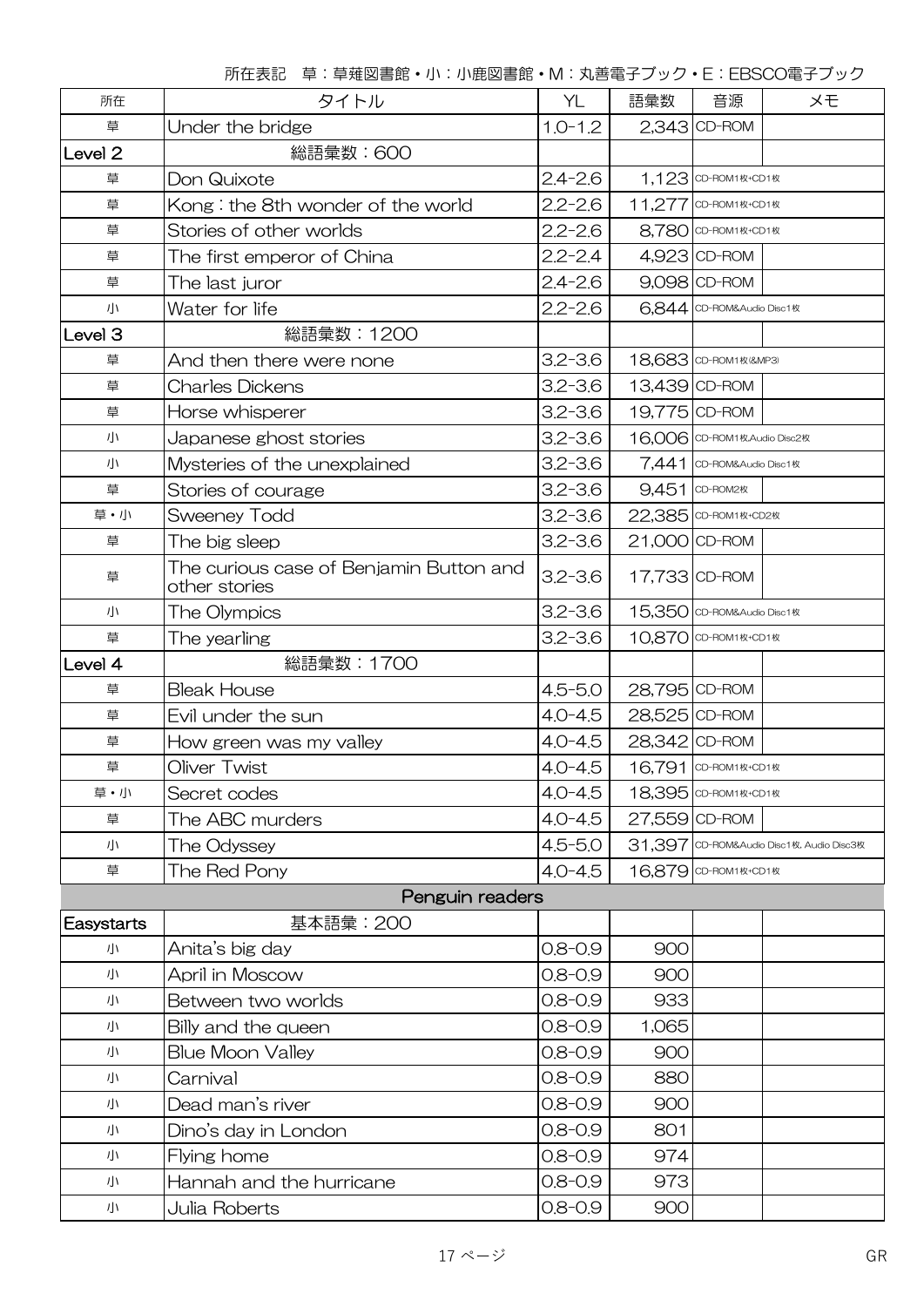| 所在                 | タイトル                                                     | YL          | 語彙数           | 音源                           | メモ                                       |
|--------------------|----------------------------------------------------------|-------------|---------------|------------------------------|------------------------------------------|
| 草                  | Under the bridge                                         | $1.0 - 1.2$ |               | 2,343 CD-ROM                 |                                          |
| Level <sub>2</sub> | 総語彙数:600                                                 |             |               |                              |                                          |
| 草                  | Don Quixote                                              | $2.4 - 2.6$ |               | 1,123 CD-ROM1枚+CD1枚          |                                          |
| 草                  | Kong: the 8th wonder of the world                        | $2.2 - 2.6$ |               | 11,277 CD-ROM1枚+CD1枚         |                                          |
| 草                  | Stories of other worlds                                  | $2.2 - 2.6$ |               | 8,780 CD-ROM1枚+CD1枚          |                                          |
| 草                  | The first emperor of China                               | $2.2 - 2.4$ |               | 4,923 CD-ROM                 |                                          |
| 草                  | The last juror                                           | $2.4 - 2.6$ |               | 9,098 CD-ROM                 |                                          |
| 小                  | Water for life                                           | $2.2 - 2.6$ |               | 6,844 CD-ROM&Audio Disc1枚    |                                          |
| Level <sub>3</sub> | 総語彙数:1200                                                |             |               |                              |                                          |
| 草                  | And then there were none                                 | $3.2 - 3.6$ |               | 18,683 CD-ROM1枚(&MP3)        |                                          |
| 草                  | Charles Dickens                                          | $3.2 - 3.6$ |               | 13,439 CD-ROM                |                                          |
| 草                  | Horse whisperer                                          | $3.2 - 3.6$ |               | 19,775 CD-ROM                |                                          |
| 小                  | Japanese ghost stories                                   | $3.2 - 3.6$ |               | 16,006 CD-ROM1枚,Audio Disc2枚 |                                          |
| 小                  | Mysteries of the unexplained                             | $3.2 - 3.6$ |               | 7,441 CD-ROM&Audio Disc1枚    |                                          |
| 草                  | Stories of courage                                       | $3.2 - 3.6$ |               | 9,451 CD-ROM2枚               |                                          |
| 草・小                | <b>Sweeney Todd</b>                                      | $3.2 - 3.6$ |               | 22,385 CD-ROM1枚+CD2枚         |                                          |
| 草                  | The big sleep                                            | $3.2 - 3.6$ | 21,000 CD-ROM |                              |                                          |
| 草                  | The curious case of Benjamin Button and<br>other stories | $3.2 - 3.6$ | 17,733 CD-ROM |                              |                                          |
| 小                  | The Olympics                                             | $3.2 - 3.6$ |               | 15,350 CD-ROM&Audio Disc1枚   |                                          |
| 草                  | The yearling                                             | $3.2 - 3.6$ |               | 10,870 CD-ROM1枚+CD1枚         |                                          |
| Level 4            | 総語彙数: 1700                                               |             |               |                              |                                          |
| 草                  | <b>Bleak House</b>                                       | $4.5 - 5.0$ | 28,795 CD-ROM |                              |                                          |
| 草                  | Evil under the sun                                       | $4.0 - 4.5$ | 28,525 CD-ROM |                              |                                          |
| 草                  | How green was my valley                                  | $4.0 - 4.5$ | 28,342 CD-ROM |                              |                                          |
| 草                  | Oliver Twist                                             | $4.0 - 4.5$ |               | 16,791 CD-ROM1枚+CD1枚         |                                          |
| 草・小                | Secret codes                                             | $4.0 - 4.5$ |               | 18,395 CD-ROM1枚+CD1枚         |                                          |
| 草                  | The ABC murders                                          | $4.0 - 4.5$ | 27,559 CD-ROM |                              |                                          |
| 小                  | The Odyssey                                              | $4.5 - 5.0$ |               |                              | 31,397 CD-ROM&Audio Disc1枚, Audio Disc3枚 |
| 草                  | The Red Pony                                             | $4.0 - 4.5$ |               | 16,879 CD-ROM1枚+CD1枚         |                                          |
|                    | Penguin readers                                          |             |               |                              |                                          |
| Easystarts         | 基本語彙: 200                                                |             |               |                              |                                          |
| 小                  | Anita's big day                                          | $0.8 - 0.9$ | 900           |                              |                                          |
| 小                  | April in Moscow                                          | $0.8 - 0.9$ | 900           |                              |                                          |
| 小                  | Between two worlds                                       | $0.8 - 0.9$ | 933           |                              |                                          |
| 小                  | Billy and the queen                                      | $0.8 - 0.9$ | 1,065         |                              |                                          |
| 小                  | <b>Blue Moon Valley</b>                                  | $0.8 - 0.9$ | 900           |                              |                                          |
| 小                  | Carnival                                                 | $0.8 - 0.9$ | 880           |                              |                                          |
| 小                  | Dead man's river                                         | $0.8 - 0.9$ | 900           |                              |                                          |
| 小                  | Dino's day in London                                     | $0.8 - 0.9$ | 801           |                              |                                          |
| 小                  | Flying home                                              | $0.8 - 0.9$ | 974           |                              |                                          |
|                    |                                                          |             |               |                              |                                          |
| 小                  | Hannah and the hurricane                                 | $0.8 - 0.9$ | 973           |                              |                                          |

所在表記 草:草薙図書館・小:小鹿図書館・M:丸善電子ブック・E:EBSCO電子ブック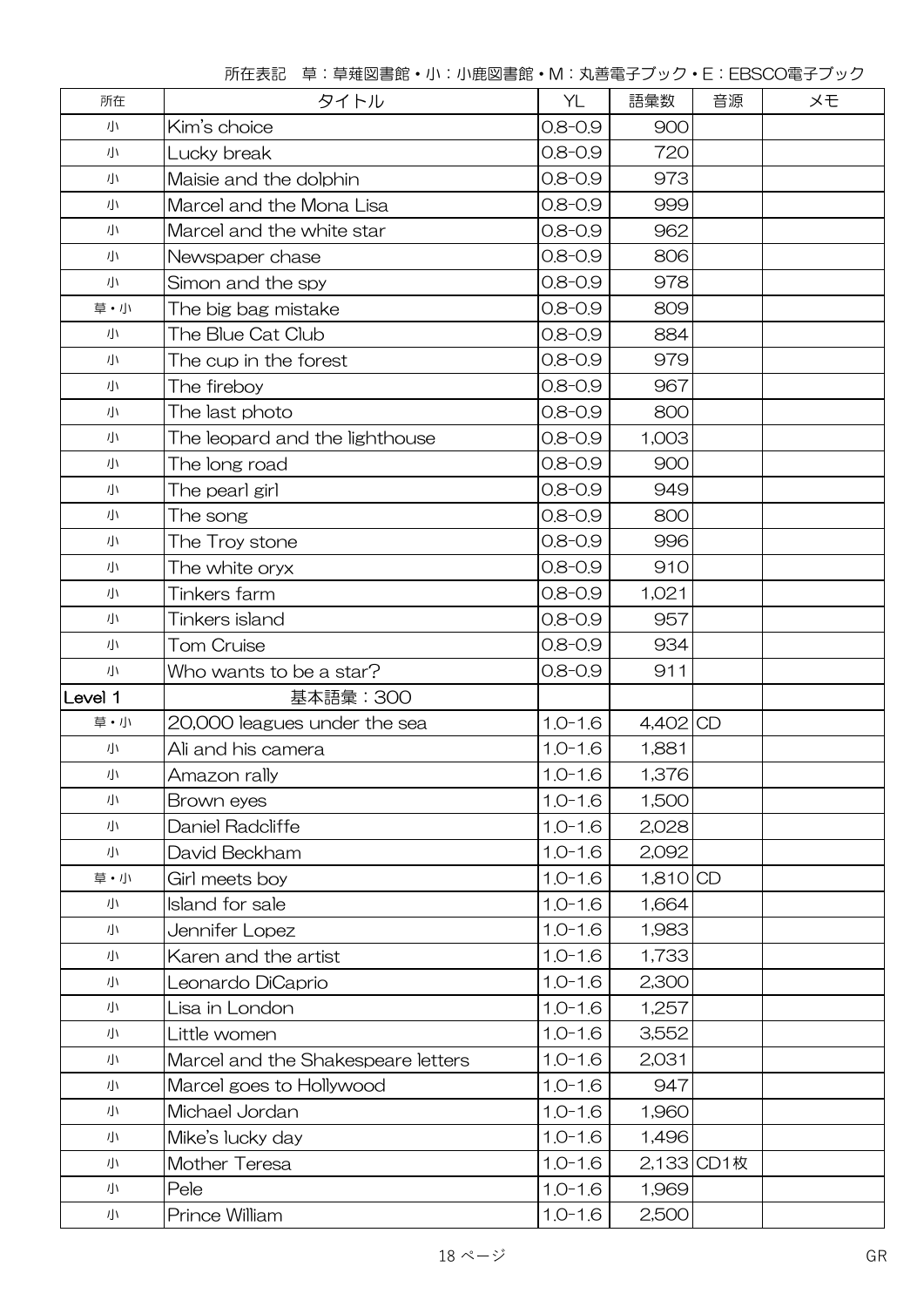| 所在      | タイトル                               | <b>YL</b>   | 語彙数        | 音源         | メモ |
|---------|------------------------------------|-------------|------------|------------|----|
| 小       | Kim's choice                       | $0.8 - 0.9$ | 900        |            |    |
| 小       | Lucky break                        | $0.8 - 0.9$ | 720        |            |    |
| 小       | Maisie and the dolphin             | $0.8 - 0.9$ | 973        |            |    |
| 小       | Marcel and the Mona Lisa           | $0.8 - 0.9$ | 999        |            |    |
| 小       | Marcel and the white star          | $0.8 - 0.9$ | 962        |            |    |
| 小       | Newspaper chase                    | $0.8 - 0.9$ | 806        |            |    |
| 小       | Simon and the spy                  | $0.8 - 0.9$ | 978        |            |    |
| 草·小     | The big bag mistake                | $0.8 - 0.9$ | 809        |            |    |
| 小       | The Blue Cat Club                  | $0.8 - 0.9$ | 884        |            |    |
| 小       | The cup in the forest              | $0.8 - 0.9$ | 979        |            |    |
| 小       | The fireboy                        | $0.8 - 0.9$ | 967        |            |    |
| 小       | The last photo                     | $0.8 - 0.9$ | 800        |            |    |
| 小       | The leopard and the lighthouse     | $0.8 - 0.9$ | 1,003      |            |    |
| 小       | The long road                      | $0.8 - 0.9$ | 900        |            |    |
| 小       | The pearl girl                     | $0.8 - 0.9$ | 949        |            |    |
| 小       | The song                           | $0.8 - 0.9$ | 800        |            |    |
| 小       | The Troy stone                     | $0.8 - 0.9$ | 996        |            |    |
| 小       | The white oryx                     | $0.8 - 0.9$ | 910        |            |    |
| 小       | Tinkers farm                       | $0.8 - 0.9$ | 1,021      |            |    |
| 小       | Tinkers island                     | $0.8 - 0.9$ | 957        |            |    |
| 小       | <b>Tom Cruise</b>                  | $0.8 - 0.9$ | 934        |            |    |
| 小       | Who wants to be a star?            | $0.8 - 0.9$ | 911        |            |    |
| Level 1 | 基本語彙: 300                          |             |            |            |    |
| 草·小     | 20,000 leagues under the sea       | $1.0 - 1.6$ | 4,402 CD   |            |    |
| 小       | Ali and his camera                 | $1.0 - 1.6$ | 1,881      |            |    |
| 小       | Amazon rally                       | $1.0 - 1.6$ | 1,376      |            |    |
| 小       | Brown eyes                         | $1.0 - 1.6$ | 1,500      |            |    |
| 小       | Daniel Radcliffe                   | $1.0 - 1.6$ | 2,028      |            |    |
| 小       | David Beckham                      | $1.0 - 1.6$ | 2,092      |            |    |
| 草・小     | Girl meets boy                     | $1.0 - 1.6$ | $1,810$ CD |            |    |
| 小       | Island for sale                    | $1.0 - 1.6$ | 1,664      |            |    |
| 小       | Jennifer Lopez                     | $1.0 - 1.6$ | 1,983      |            |    |
| 小       | Karen and the artist               | $1.0 - 1.6$ | 1,733      |            |    |
| 小       | Leonardo DiCaprio                  | $1.0 - 1.6$ | 2,300      |            |    |
| 小       | Lisa in London                     | $1.0 - 1.6$ | 1,257      |            |    |
| 小       | Little women                       | $1.0 - 1.6$ | 3,552      |            |    |
| 小       | Marcel and the Shakespeare letters | $1.0 - 1.6$ | 2,031      |            |    |
| 小       | Marcel goes to Hollywood           | $1.0 - 1.6$ | 947        |            |    |
| 小       | Michael Jordan                     | $1.0 - 1.6$ | 1,960      |            |    |
| 小       | Mike's lucky day                   | $1.0 - 1.6$ | 1,496      |            |    |
| 小       | Mother Teresa                      | $1.0 - 1.6$ |            | 2,133 CD1枚 |    |
| 小       | Pele                               | $1.0 - 1.6$ | 1,969      |            |    |
| 小       | Prince William                     | $1.0 - 1.6$ | 2,500      |            |    |

所在表記 草:草薙図書館・小:小鹿図書館・M:丸善電子ブック・E:EBSCO電子ブック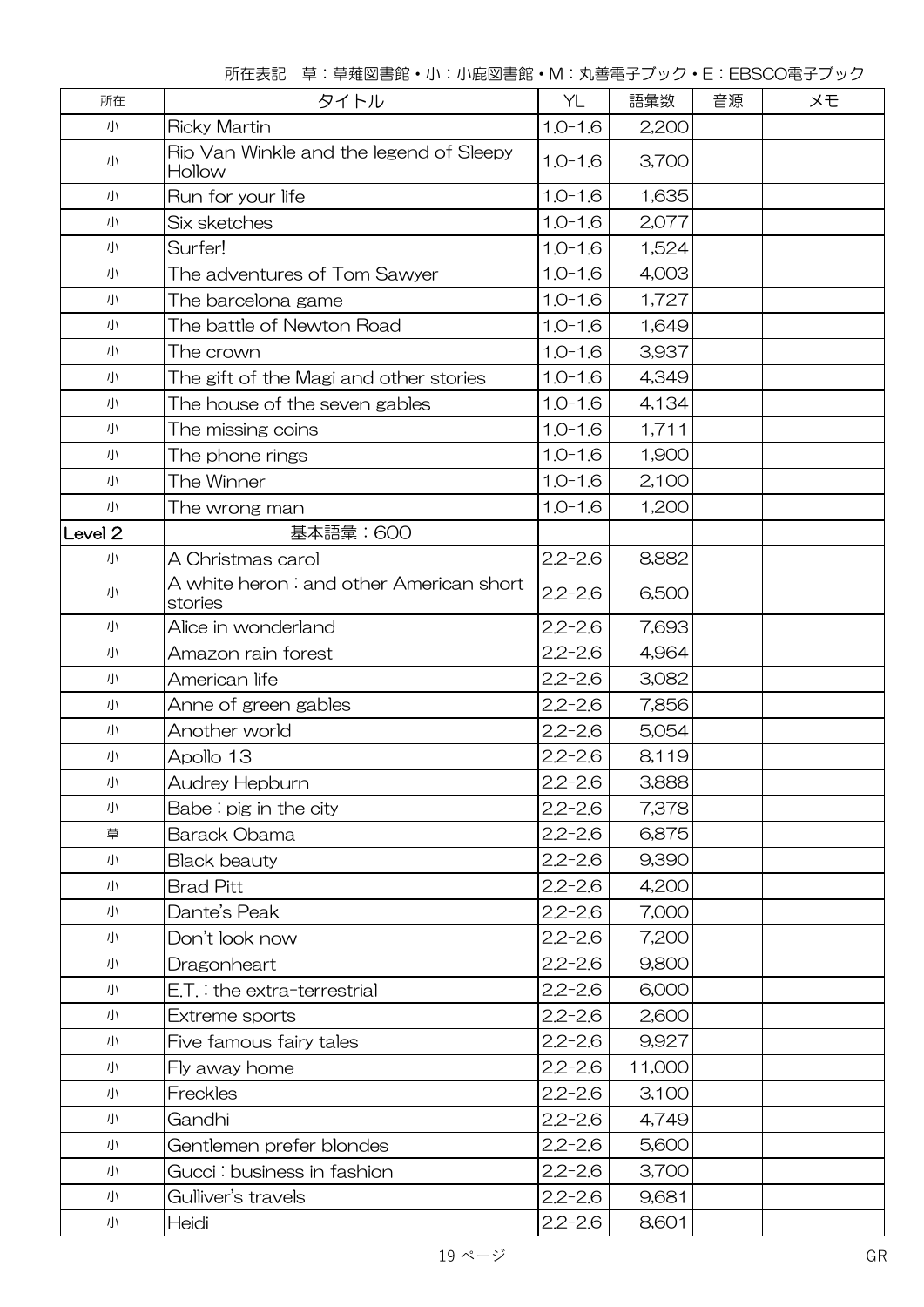| 所在                 | タイトル                                                | YL                   | 語彙数    | 音源 | ×Đ |  |
|--------------------|-----------------------------------------------------|----------------------|--------|----|----|--|
| 小                  | <b>Ricky Martin</b>                                 | $1.0 - 1.6$<br>2,200 |        |    |    |  |
| 小                  | Rip Van Winkle and the legend of Sleepy<br>Hollow   | $1.0 - 1.6$          | 3,700  |    |    |  |
| 小                  | Run for your life                                   | $1.0 - 1.6$          | 1,635  |    |    |  |
| 小                  | Six sketches                                        | $1.0 - 1.6$          | 2,077  |    |    |  |
| 小                  | Surfer!                                             | $1.0 - 1.6$          | 1,524  |    |    |  |
| 小                  | The adventures of Tom Sawyer                        | $1.0 - 1.6$          | 4,003  |    |    |  |
| 小                  | The barcelona game                                  | $1.0 - 1.6$          | 1,727  |    |    |  |
| 小                  | The battle of Newton Road                           | $1.0 - 1.6$          | 1,649  |    |    |  |
| 小                  | The crown                                           | $1.0 - 1.6$          | 3,937  |    |    |  |
| 小                  | The gift of the Magi and other stories              | $1.0 - 1.6$          | 4,349  |    |    |  |
| 小                  | The house of the seven gables                       | $1.0 - 1.6$          | 4,134  |    |    |  |
| 小                  | The missing coins                                   | $1.0 - 1.6$          | 1,711  |    |    |  |
| 小                  | The phone rings                                     | $1.0 - 1.6$          | 1,900  |    |    |  |
| 小                  | The Winner                                          | $1.0 - 1.6$          | 2,100  |    |    |  |
| 小                  | The wrong man                                       | $1.0 - 1.6$          | 1,200  |    |    |  |
| Level <sub>2</sub> | 基本語彙:600                                            |                      |        |    |    |  |
| 小                  | A Christmas carol                                   | $2.2 - 2.6$          | 8,882  |    |    |  |
| 小                  | A white heron : and other American short<br>stories | $2.2 - 2.6$          | 6,500  |    |    |  |
| 小                  | Alice in wonderland                                 | $2.2 - 2.6$          | 7,693  |    |    |  |
| 小                  | Amazon rain forest                                  | $2.2 - 2.6$          | 4,964  |    |    |  |
| 小                  | American life                                       | $2.2 - 2.6$          | 3,082  |    |    |  |
| 小                  | Anne of green gables                                | $2.2 - 2.6$          | 7,856  |    |    |  |
| 小                  | Another world                                       | $2.2 - 2.6$          | 5,054  |    |    |  |
| 小                  | Apollo 13                                           | $2.2 - 2.6$          | 8,119  |    |    |  |
| 小                  | Audrey Hepburn                                      | $2.2 - 2.6$          | 3,888  |    |    |  |
| 小                  | Babe: $pis$ in the city                             | $2.2 - 2.6$          | 7,378  |    |    |  |
| 草                  | Barack Obama                                        | $2.2 - 2.6$          | 6,875  |    |    |  |
| 小                  | <b>Black beauty</b>                                 | $2.2 - 2.6$          | 9,390  |    |    |  |
| 小                  | <b>Brad Pitt</b>                                    | $2.2 - 2.6$          | 4,200  |    |    |  |
| 小                  | Dante's Peak                                        | $2.2 - 2.6$          | 7,000  |    |    |  |
| 小                  | Don't look now                                      | $2.2 - 2.6$          | 7,200  |    |    |  |
| 小                  | Dragonheart                                         | $2.2 - 2.6$          | 9,800  |    |    |  |
| 小                  | $E.T.$ : the extra-terrestrial                      | $2.2 - 2.6$          | 6,000  |    |    |  |
| 小                  | Extreme sports                                      | $2.2 - 2.6$          | 2,600  |    |    |  |
| 小                  | Five famous fairy tales                             | $2.2 - 2.6$          | 9,927  |    |    |  |
| 小                  | Fly away home                                       | $2.2 - 2.6$          | 11,000 |    |    |  |
| 小                  | Freckles                                            | $2.2 - 2.6$          | 3,100  |    |    |  |
| 小                  | Gandhi                                              | $2.2 - 2.6$          | 4,749  |    |    |  |
| 小                  | Gentlemen prefer blondes                            | $2.2 - 2.6$          | 5,600  |    |    |  |
| 小                  | Gucci: business in fashion                          | $2.2 - 2.6$          | 3,700  |    |    |  |
| 小                  | Gulliver's travels                                  | $2.2 - 2.6$          | 9,681  |    |    |  |
| 小                  | Heidi                                               | $2.2 - 2.6$          | 8,601  |    |    |  |

所在表記 草:草薙図書館・小:小鹿図書館・M:丸善電子ブック・E:EBSCO電子ブック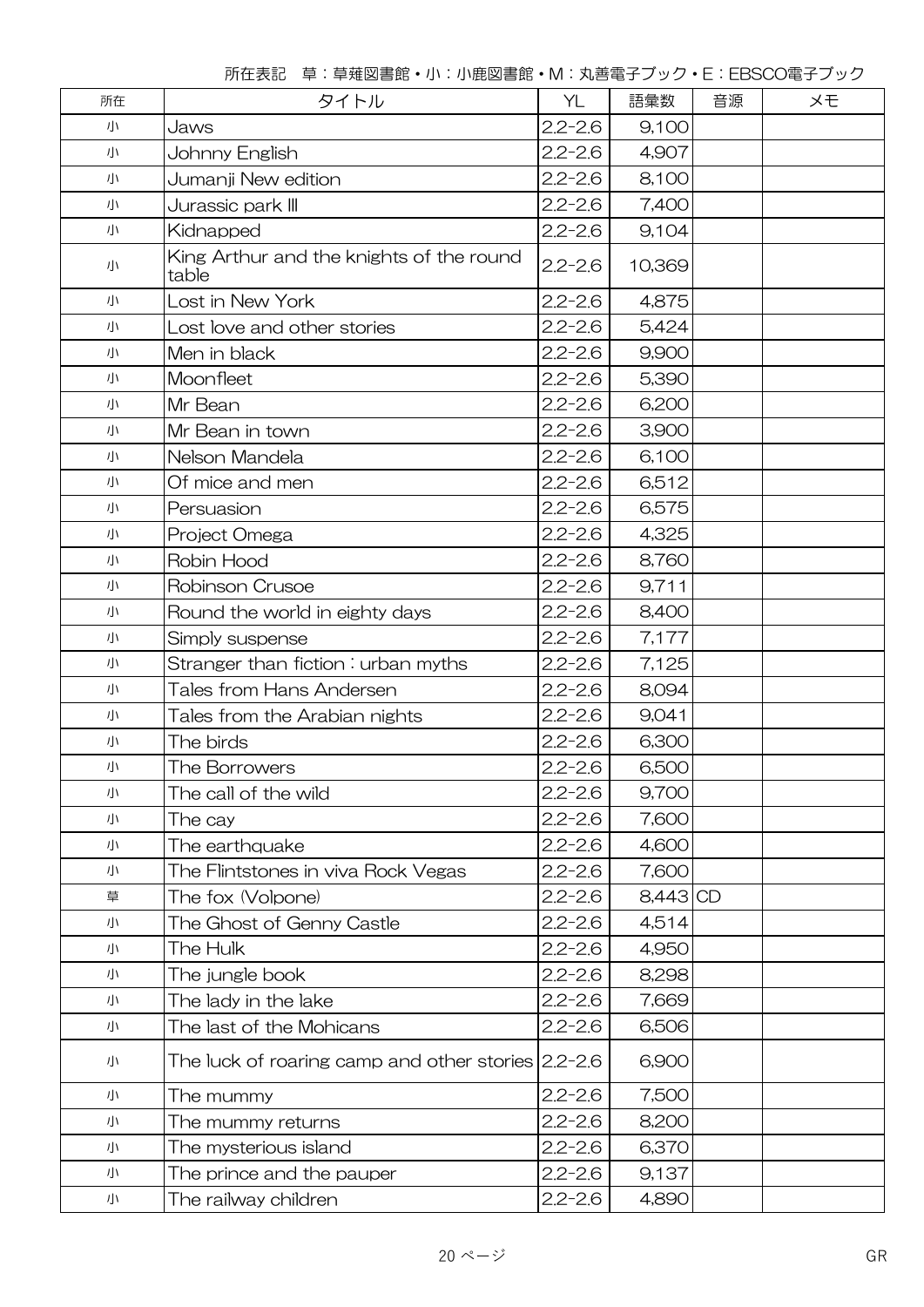| 所在表記 草:草薙図書館・小:小鹿図書館・M:丸善電子ブック・E:EBSCO電子ブック |
|---------------------------------------------|
|---------------------------------------------|

| 所在 | タイトル                                                  | YL          | 語彙数        | 音源 | メモ |
|----|-------------------------------------------------------|-------------|------------|----|----|
| 小  | Jaws                                                  | $2.2 - 2.6$ | 9,100      |    |    |
| 小  | Johnny English                                        | $2.2 - 2.6$ | 4,907      |    |    |
| 小  | Jumanji New edition                                   | $2.2 - 2.6$ | 8,100      |    |    |
| 小  | Jurassic park III                                     | $2.2 - 2.6$ | 7,400      |    |    |
| 小  | Kidnapped                                             | $2.2 - 2.6$ | 9,104      |    |    |
| 小  | King Arthur and the knights of the round<br>table     | $2.2 - 2.6$ | 10,369     |    |    |
| 小  | Lost in New York                                      | $2.2 - 2.6$ | 4,875      |    |    |
| 小  | Lost love and other stories                           | $2.2 - 2.6$ | 5,424      |    |    |
| 小  | Men in black                                          | $2.2 - 2.6$ | 9,900      |    |    |
| 小  | Moonfleet                                             | $2.2 - 2.6$ | 5,390      |    |    |
| 小  | Mr Bean                                               | $2.2 - 2.6$ | 6,200      |    |    |
| 小  | Mr Bean in town                                       | $2.2 - 2.6$ | 3,900      |    |    |
| 小  | Nelson Mandela                                        | $2.2 - 2.6$ | 6,100      |    |    |
| 小  | Of mice and men                                       | $2.2 - 2.6$ | 6,512      |    |    |
| 小  | Persuasion                                            | $2.2 - 2.6$ | 6,575      |    |    |
| 小  | Project Omega                                         | $2.2 - 2.6$ | 4,325      |    |    |
| 小  | Robin Hood                                            | $2.2 - 2.6$ | 8,760      |    |    |
| 小  | Robinson Crusoe                                       | $2.2 - 2.6$ | 9,711      |    |    |
| 小  | Round the world in eighty days                        | $2.2 - 2.6$ | 8,400      |    |    |
| 小  | Simply suspense                                       | $2.2 - 2.6$ | 7,177      |    |    |
| 小  | Stranger than fiction : urban myths                   | $2.2 - 2.6$ | 7,125      |    |    |
| 小  | Tales from Hans Andersen                              | $2.2 - 2.6$ | 8,094      |    |    |
| 小  | Tales from the Arabian nights                         | $2.2 - 2.6$ | 9,041      |    |    |
| 小  | The birds                                             | $2.2 - 2.6$ | 6,300      |    |    |
| 小  | The Borrowers                                         | $2.2 - 2.6$ | 6,500      |    |    |
| 小  | The call of the wild                                  | $2.2 - 2.6$ | 9,700      |    |    |
| 小  | The cay                                               | $2.2 - 2.6$ | 7,600      |    |    |
| 小  | The earthquake                                        | $2.2 - 2.6$ | 4,600      |    |    |
| 小  | The Flintstones in viva Rock Vegas                    | $2.2 - 2.6$ | 7,600      |    |    |
| 草  | The fox (Volpone)                                     | $2.2 - 2.6$ | $8,443$ CD |    |    |
| 小  | The Ghost of Genny Castle                             | $2.2 - 2.6$ | 4,514      |    |    |
| 小  | The Hulk                                              | $2.2 - 2.6$ | 4,950      |    |    |
| 小  | The jungle book                                       | $2.2 - 2.6$ | 8,298      |    |    |
| 小  | The lady in the lake                                  | $2.2 - 2.6$ | 7,669      |    |    |
| 小  | The last of the Mohicans                              | $2.2 - 2.6$ | 6,506      |    |    |
| 小  | The luck of roaring camp and other stories $2.2$ -2.6 |             | 6,900      |    |    |
| 小  | The mummy                                             | $2.2 - 2.6$ | 7,500      |    |    |
| 小  | The mummy returns                                     | $2.2 - 2.6$ | 8,200      |    |    |
| 小  | The mysterious island                                 | $2.2 - 2.6$ | 6,370      |    |    |
| 小  | The prince and the pauper                             | $2.2 - 2.6$ | 9,137      |    |    |
| 小  | The railway children                                  | $2.2 - 2.6$ | 4,890      |    |    |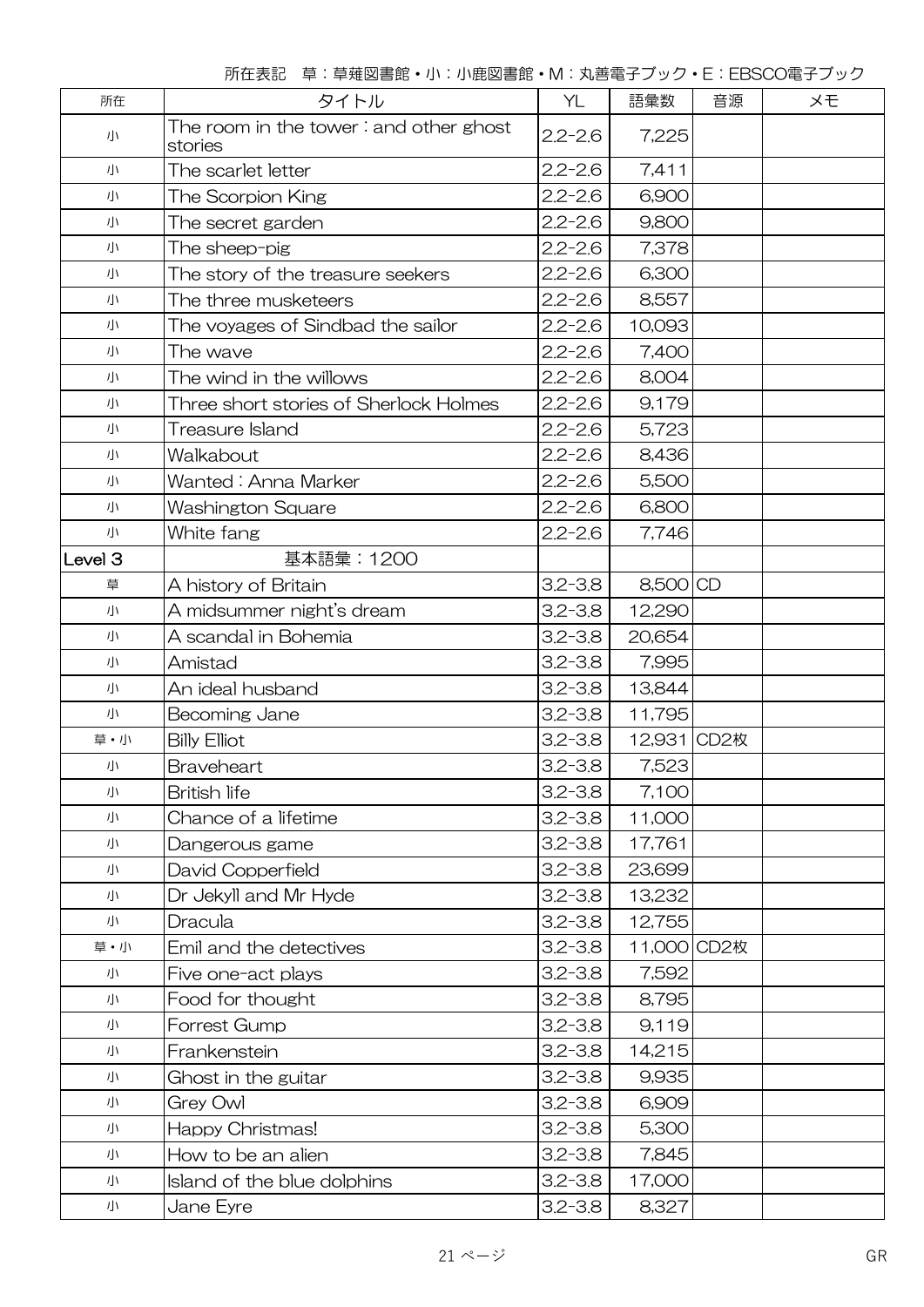|  |  |  | 所在表記 草:草薙図書館・小:小鹿図書館・M:丸善電子ブック・E:EBSCO電子ブック |
|--|--|--|---------------------------------------------|
|--|--|--|---------------------------------------------|

| 所在                 | タイトル                                                      | YL          | 語彙数         | 音源 | メモ |
|--------------------|-----------------------------------------------------------|-------------|-------------|----|----|
| 小                  | The room in the tower $\colon$ and other ghost<br>stories | $2.2 - 2.6$ | 7,225       |    |    |
| 小                  | The scarlet letter                                        | $2.2 - 2.6$ | 7,411       |    |    |
| 小                  | The Scorpion King                                         | $2.2 - 2.6$ | 6,900       |    |    |
| 小                  | The secret garden                                         | $2.2 - 2.6$ | 9,800       |    |    |
| 小                  | The sheep-pig                                             | $2.2 - 2.6$ | 7,378       |    |    |
| 小                  | The story of the treasure seekers                         | $2.2 - 2.6$ | 6,300       |    |    |
| 小                  | The three musketeers                                      | $2.2 - 2.6$ | 8,557       |    |    |
| 小                  | The voyages of Sindbad the sailor                         | $2.2 - 2.6$ | 10,093      |    |    |
| 小                  | The wave                                                  | $2.2 - 2.6$ | 7,400       |    |    |
| 小                  | The wind in the willows                                   | $2.2 - 2.6$ | 8,004       |    |    |
| 小                  | Three short stories of Sherlock Holmes                    | $2.2 - 2.6$ | 9,179       |    |    |
| 小                  | Treasure Island                                           | $2.2 - 2.6$ | 5,723       |    |    |
| 小                  | Walkabout                                                 | $2.2 - 2.6$ | 8,436       |    |    |
| 小                  | Wanted : Anna Marker                                      | $2.2 - 2.6$ | 5,500       |    |    |
| 小                  | Washington Square                                         | $2.2 - 2.6$ | 6,800       |    |    |
| 小                  | White fang                                                | $2.2 - 2.6$ | 7,746       |    |    |
| Level <sub>3</sub> | 基本語彙: 1200                                                |             |             |    |    |
| 草                  | A history of Britain                                      | $3.2 - 3.8$ | 8,500 CD    |    |    |
| 小                  | A midsummer night's dream                                 | $3.2 - 3.8$ | 12,290      |    |    |
| 小                  | A scandal in Bohemia                                      | $3.2 - 3.8$ | 20,654      |    |    |
| 小                  | Amistad                                                   | $3.2 - 3.8$ | 7,995       |    |    |
| 小                  | An ideal husband                                          | $3.2 - 3.8$ | 13,844      |    |    |
| 小                  | Becoming Jane                                             | $3.2 - 3.8$ | 11,795      |    |    |
| 草・小                | <b>Billy Elliot</b>                                       | $3.2 - 3.8$ | 12,931 CD2枚 |    |    |
| 小                  | Braveheart                                                | $3.2 - 3.8$ | 7,523       |    |    |
| 小                  | <b>British life</b>                                       | $3.2 - 3.8$ | 7,100       |    |    |
| 小                  | Chance of a lifetime                                      | $3.2 - 3.8$ | 11,000      |    |    |
| 小                  | Dangerous game                                            | $3.2 - 3.8$ | 17,761      |    |    |
| 小                  | David Copperfield                                         | $3.2 - 3.8$ | 23,699      |    |    |
| 小                  | Dr Jekyll and Mr Hyde                                     | $3.2 - 3.8$ | 13,232      |    |    |
| 小                  | Dracula                                                   | $3.2 - 3.8$ | 12,755      |    |    |
| 草・小                | Emil and the detectives                                   | $3.2 - 3.8$ | 11,000 CD2枚 |    |    |
| 小                  | Five one-act plays                                        | $3.2 - 3.8$ | 7,592       |    |    |
| 小                  | Food for thought                                          | $3.2 - 3.8$ | 8,795       |    |    |
| 小                  | Forrest Gump                                              | $3.2 - 3.8$ | 9,119       |    |    |
| 小                  | Frankenstein                                              | $3.2 - 3.8$ | 14,215      |    |    |
| 小                  | Ghost in the guitar                                       | $3.2 - 3.8$ | 9,935       |    |    |
| 小                  | Grey Owl                                                  | $3.2 - 3.8$ | 6,909       |    |    |
| 小                  | Happy Christmas!                                          | $3.2 - 3.8$ | 5,300       |    |    |
| 小                  | How to be an alien                                        | $3.2 - 3.8$ | 7,845       |    |    |
| 小                  | Island of the blue dolphins                               | $3.2 - 3.8$ | 17,000      |    |    |
| 小                  | Jane Eyre                                                 | $3.2 - 3.8$ | 8,327       |    |    |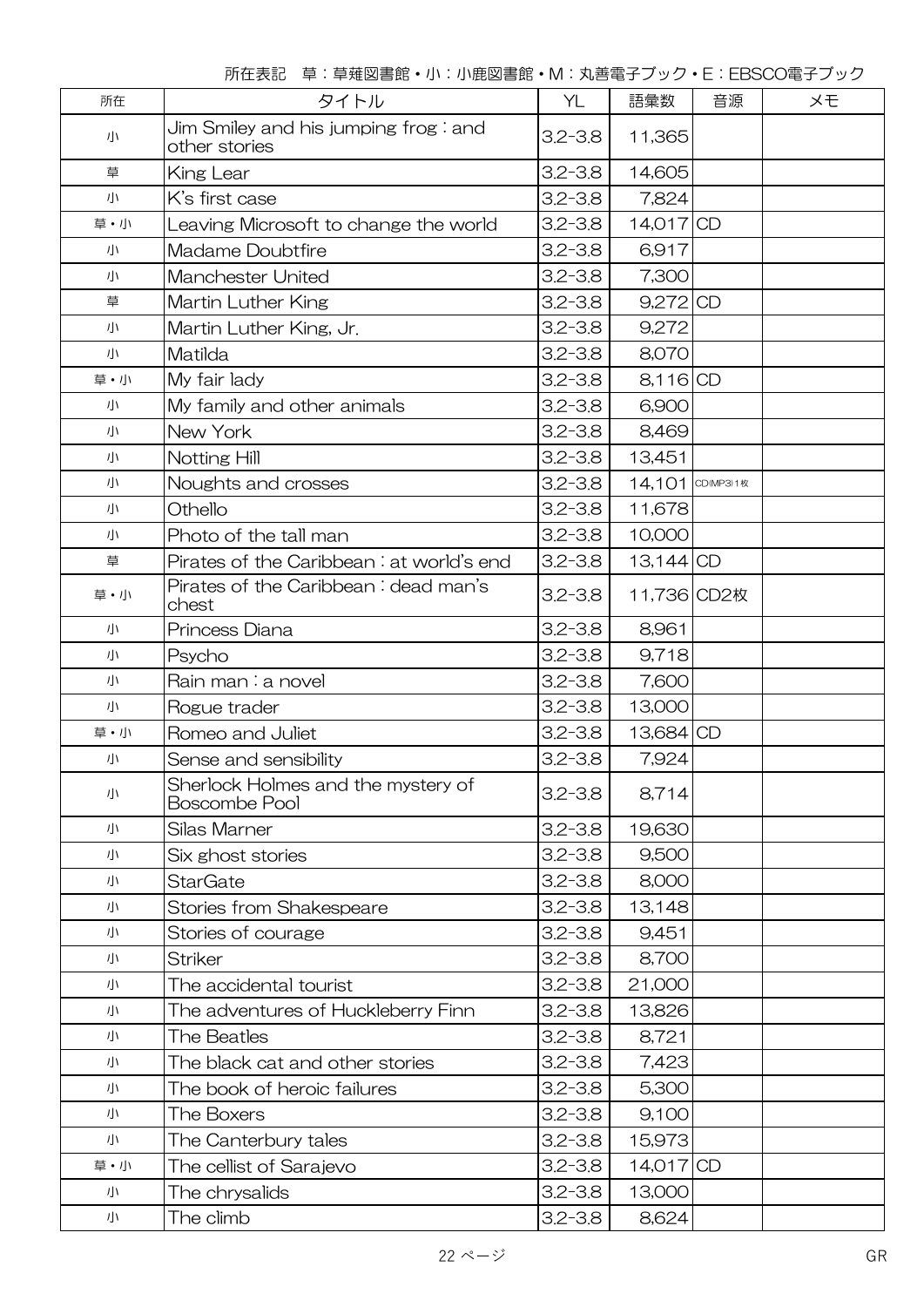| 所在  | タイトル                                                       | YL          | 語彙数              | 音源 | メモ |
|-----|------------------------------------------------------------|-------------|------------------|----|----|
| 小   | Jim Smiley and his jumping frog : and<br>other stories     | $3.2 - 3.8$ | 11,365           |    |    |
| 草   | King Lear                                                  | $3.2 - 3.8$ | 14,605           |    |    |
| 小   | K's first case                                             | $3.2 - 3.8$ | 7,824            |    |    |
| 草・小 | Leaving Microsoft to change the world                      | $3.2 - 3.8$ | 14,017 CD        |    |    |
| 小   | Madame Doubtfire                                           | $3.2 - 3.8$ | 6,917            |    |    |
| 小   | Manchester United                                          | $3.2 - 3.8$ | 7,300            |    |    |
| 草   | Martin Luther King                                         | $3.2 - 3.8$ | 9,272 CD         |    |    |
| 小   | Martin Luther King, Jr.                                    | $3.2 - 3.8$ | 9,272            |    |    |
| 小   | Matilda                                                    | $3.2 - 3.8$ | 8,070            |    |    |
| 草・小 | My fair lady                                               | $3.2 - 3.8$ | 8,116 CD         |    |    |
| 小   | My family and other animals                                | $3.2 - 3.8$ | 6,900            |    |    |
| 小   | New York                                                   | $3.2 - 3.8$ | 8,469            |    |    |
| 小   | Notting Hill                                               | $3.2 - 3.8$ | 13,451           |    |    |
| 小   | Noughts and crosses                                        | $3.2 - 3.8$ | 14,101 CD(MP3)1枚 |    |    |
| 小   | Othello                                                    | $3.2 - 3.8$ | 11,678           |    |    |
| 小   | Photo of the tall man                                      | $3.2 - 3.8$ | 10,000           |    |    |
| 草   | Pirates of the Caribbean: at world's end                   | $3.2 - 3.8$ | 13,144 CD        |    |    |
| 草・小 | Pirates of the Caribbean: dead man's<br>chest              | $3.2 - 3.8$ | 11,736 CD2枚      |    |    |
| 小   | Princess Diana                                             | $3.2 - 3.8$ | 8,961            |    |    |
| 小   | Psycho                                                     | $3.2 - 3.8$ | 9,718            |    |    |
| 小   | Rain man : a novel                                         | $3.2 - 3.8$ | 7,600            |    |    |
| 小   | Rogue trader                                               | $3.2 - 3.8$ | 13,000           |    |    |
| 草・小 | Romeo and Juliet                                           | $3.2 - 3.8$ | 13,684 CD        |    |    |
| 小   | Sense and sensibility                                      | $3.2 - 3.8$ | 7,924            |    |    |
| 小   | Sherlock Holmes and the mystery of<br><b>Boscombe Pool</b> | $3.2 - 3.8$ | 8,714            |    |    |
| 小   | Silas Marner                                               | $3.2 - 3.8$ | 19,630           |    |    |
| 小   | Six ghost stories                                          | $3.2 - 3.8$ | 9,500            |    |    |
| 小   | <b>StarGate</b>                                            | $3.2 - 3.8$ | 8,000            |    |    |
| 小   | Stories from Shakespeare                                   | $3.2 - 3.8$ | 13,148           |    |    |
| 小   | Stories of courage                                         | $3.2 - 3.8$ | 9,451            |    |    |
| 小   | <b>Striker</b>                                             | $3.2 - 3.8$ | 8,700            |    |    |
| 小   | The accidental tourist                                     | $3.2 - 3.8$ | 21,000           |    |    |
| 小   | The adventures of Huckleberry Finn                         | $3.2 - 3.8$ | 13,826           |    |    |
| 小   | The Beatles                                                | $3.2 - 3.8$ | 8,721            |    |    |
| 小   | The black cat and other stories                            | $3.2 - 3.8$ | 7,423            |    |    |
| 小   | The book of heroic failures                                | $3.2 - 3.8$ | 5,300            |    |    |
| 小   | The Boxers                                                 | $3.2 - 3.8$ | 9,100            |    |    |
| 小   | The Canterbury tales                                       | $3.2 - 3.8$ | 15,973           |    |    |
| 草・小 | The cellist of Sarajevo                                    | $3.2 - 3.8$ | 14,017 CD        |    |    |
| 小   | The chrysalids                                             | $3.2 - 3.8$ | 13,000           |    |    |
| 小   | The climb                                                  | $3.2 - 3.8$ | 8,624            |    |    |

所在表記 草:草薙図書館・小:小鹿図書館・M:丸善電子ブック・E:EBSCO電子ブック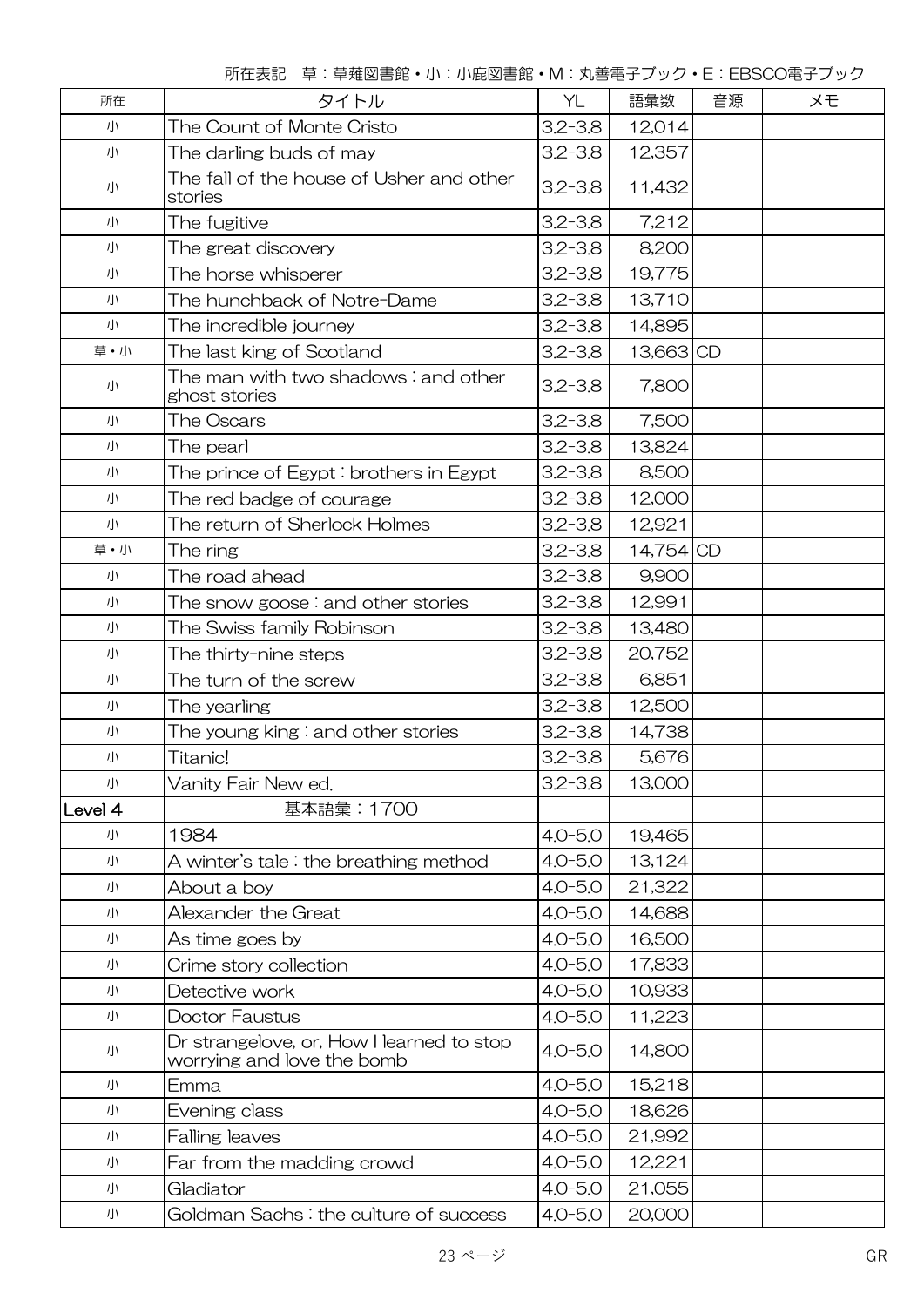所在表記 草:草薙図書館・小:小鹿図書館・M:丸善電子ブック・E:EBSCO電子ブック

| 所在      | タイトル                                                                    | YL          | 語彙数       | 音源 | ×Đ |
|---------|-------------------------------------------------------------------------|-------------|-----------|----|----|
| 小       | The Count of Monte Cristo                                               | $3.2 - 3.8$ | 12,014    |    |    |
| 小       | The darling buds of may                                                 | $3.2 - 3.8$ | 12,357    |    |    |
| 小       | The fall of the house of Usher and other<br>stories                     | $3.2 - 3.8$ | 11,432    |    |    |
| 小       | The fugitive                                                            | $3.2 - 3.8$ | 7,212     |    |    |
| 小       | The great discovery                                                     | $3.2 - 3.8$ | 8,200     |    |    |
| 小       | The horse whisperer                                                     | $3.2 - 3.8$ | 19,775    |    |    |
| 小       | The hunchback of Notre-Dame                                             | $3.2 - 3.8$ | 13,710    |    |    |
| 小       | The incredible journey                                                  | $3.2 - 3.8$ | 14,895    |    |    |
| 草·小     | The last king of Scotland                                               | $3.2 - 3.8$ | 13,663 CD |    |    |
| 小       | The man with two shadows $\colon$ and other<br>ghost stories            | $3.2 - 3.8$ | 7,800     |    |    |
| 小       | The Oscars                                                              | $3.2 - 3.8$ | 7,500     |    |    |
| 小       | The pearl                                                               | $3.2 - 3.8$ | 13,824    |    |    |
| 小       | The prince of Egypt : brothers in Egypt                                 | $3.2 - 3.8$ | 8,500     |    |    |
| 小       | The red badge of courage                                                | $3.2 - 3.8$ | 12,000    |    |    |
| 小       | The return of Sherlock Holmes                                           | $3.2 - 3.8$ | 12,921    |    |    |
| 草・小     | The ring                                                                | $3.2 - 3.8$ | 14,754 CD |    |    |
| 小       | The road ahead                                                          | $3.2 - 3.8$ | 9,900     |    |    |
| 小       | The snow goose $\colon$ and other stories                               | $3.2 - 3.8$ | 12,991    |    |    |
| 小       | The Swiss family Robinson                                               | $3.2 - 3.8$ | 13,480    |    |    |
| 小       | The thirty-nine steps                                                   | $3.2 - 3.8$ | 20,752    |    |    |
| 小       | The turn of the screw                                                   | $3.2 - 3.8$ | 6,851     |    |    |
| 小       | The yearling                                                            | $3.2 - 3.8$ | 12,500    |    |    |
| 小       | The young king $\colon$ and other stories                               | $3.2 - 3.8$ | 14,738    |    |    |
| 小       | Titanic!                                                                | $3.2 - 3.8$ | 5,676     |    |    |
| 小       | Vanity Fair New ed.                                                     | $3.2 - 3.8$ | 13,000    |    |    |
| Level 4 | 基本語彙: 1700                                                              |             |           |    |    |
| 小       | 1984                                                                    | $4.0 - 5.0$ | 19,465    |    |    |
| 小       | A winter's tale: the breathing method                                   | $4.0 - 5.0$ | 13,124    |    |    |
| 小       | About a boy                                                             | $4.0 - 5.0$ | 21,322    |    |    |
| 小       | Alexander the Great                                                     | $4.0 - 5.0$ | 14,688    |    |    |
| 小       | As time goes by                                                         | $4.0 - 5.0$ | 16,500    |    |    |
| 小       | Crime story collection                                                  | $4.0 - 5.0$ | 17,833    |    |    |
| 小       | Detective work                                                          | $4.0 - 5.0$ | 10,933    |    |    |
| 小       | <b>Doctor Faustus</b>                                                   | $4.0 - 5.0$ | 11,223    |    |    |
| 小       | Dr strangelove, or, How I learned to stop<br>worrying and love the bomb | $4.0 - 5.0$ | 14,800    |    |    |
| 小       | Emma                                                                    | $4.0 - 5.0$ | 15,218    |    |    |
| 小       | Evening class                                                           | $4.0 - 5.0$ | 18,626    |    |    |
| 小       | <b>Falling leaves</b>                                                   | $4.0 - 5.0$ | 21,992    |    |    |
| 小       | Far from the madding crowd                                              | $4.0 - 5.0$ | 12,221    |    |    |
| 小       | Gladiator                                                               | $4.0 - 5.0$ | 21,055    |    |    |
| 小       | Goldman Sachs: the culture of success                                   | $4.0 - 5.0$ | 20,000    |    |    |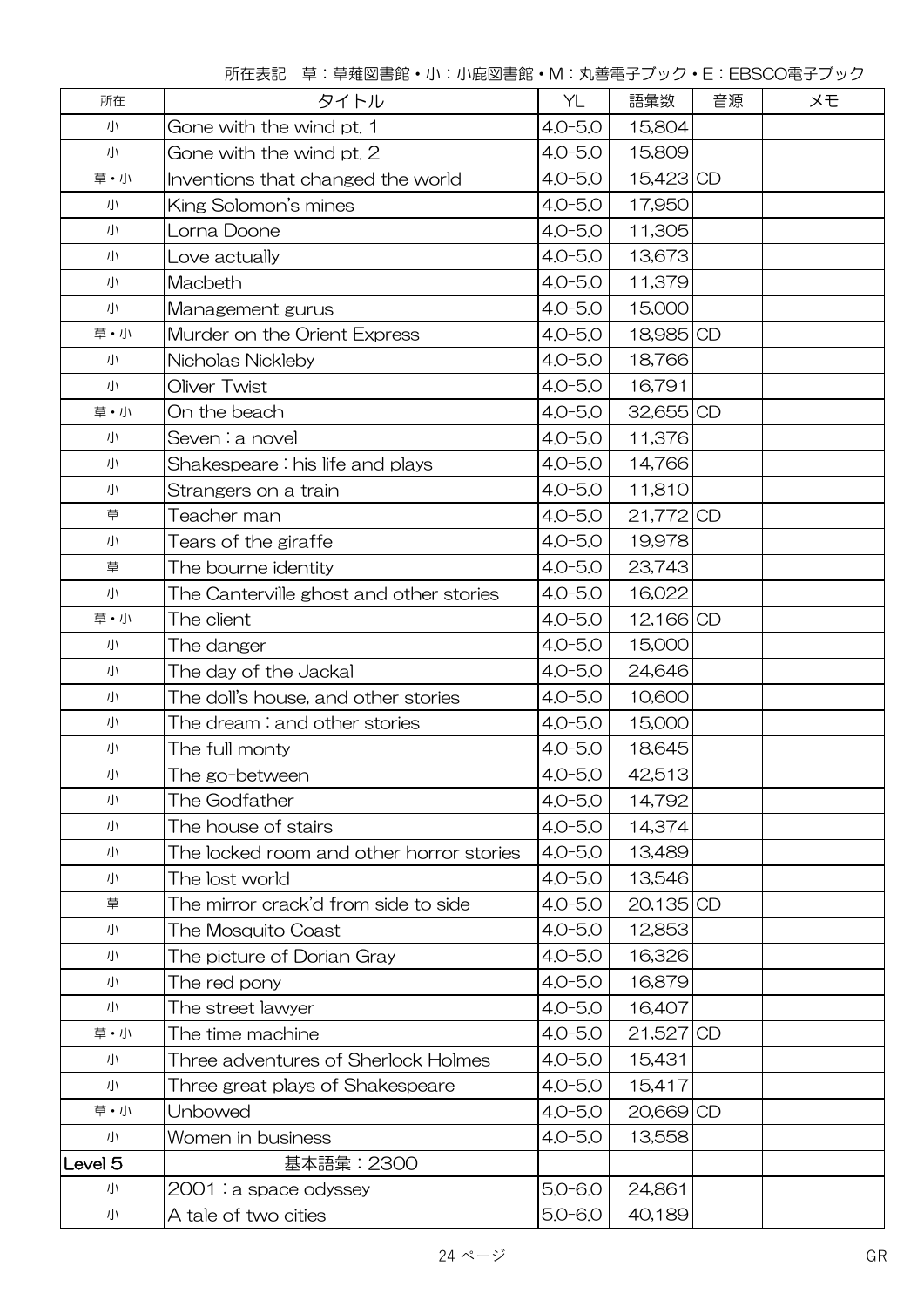所在表記 草:草薙図書館・小:小鹿図書館・M:丸善電子ブック・E:EBSCO電子ブック

| 所在                 | タイトル                                     | YL          | 語彙数       | 音源 | メモ |
|--------------------|------------------------------------------|-------------|-----------|----|----|
| 小                  | Gone with the wind pt. 1                 | $4.0 - 5.0$ | 15,804    |    |    |
| 小                  | Gone with the wind pt. 2                 | $4.0 - 5.0$ | 15,809    |    |    |
| 草・小                | Inventions that changed the world        | $4.0 - 5.0$ | 15,423 CD |    |    |
| 小                  | King Solomon's mines                     | $4.0 - 5.0$ | 17,950    |    |    |
| 小                  | Lorna Doone                              | $4.0 - 5.0$ | 11,305    |    |    |
| 小                  | Love actually                            | $4.0 - 5.0$ | 13,673    |    |    |
| 小                  | Macbeth                                  | $4.0 - 5.0$ | 11,379    |    |    |
| 小                  | Management gurus                         | $4.0 - 5.0$ | 15,000    |    |    |
| 草·小                | Murder on the Orient Express             | $4.0 - 5.0$ | 18,985 CD |    |    |
| 小                  | Nicholas Nickleby                        | $4.0 - 5.0$ | 18,766    |    |    |
| 小                  | Oliver Twist                             | $4.0 - 5.0$ | 16,791    |    |    |
| 草・小                | On the beach                             | $4.0 - 5.0$ | 32,655 CD |    |    |
| 小                  | Seven : a novel                          | $4.0 - 5.0$ | 11,376    |    |    |
| 小                  | Shakespeare: his life and plays          | $4.0 - 5.0$ | 14,766    |    |    |
| 小                  | Strangers on a train                     | $4.0 - 5.0$ | 11,810    |    |    |
| 草                  | Teacher man                              | $4.0 - 5.0$ | 21,772 CD |    |    |
| 小                  | Tears of the giraffe                     | $4.0 - 5.0$ | 19,978    |    |    |
| 草                  | The bourne identity                      | $4.0 - 5.0$ | 23,743    |    |    |
| 小                  | The Canterville ghost and other stories  | $4.0 - 5.0$ | 16,022    |    |    |
| 草·小                | The client                               | $4.0 - 5.0$ | 12,166 CD |    |    |
| 小                  | The danger                               | $4.0 - 5.0$ | 15,000    |    |    |
| 小                  | The day of the Jackal                    | $4.0 - 5.0$ | 24,646    |    |    |
| 小                  | The doll's house, and other stories      | $4.0 - 5.0$ | 10,600    |    |    |
| 小                  | The dream: and other stories             | $4.0 - 5.0$ | 15,000    |    |    |
| 小                  | The full monty                           | $4.0 - 5.0$ | 18,645    |    |    |
| 小                  | The go-between                           | $4.0 - 5.0$ | 42,513    |    |    |
| 小                  | The Godfather                            | $4.0 - 5.0$ | 14,792    |    |    |
| 小                  | The house of stairs                      | $4.0 - 5.0$ | 14,374    |    |    |
| 小                  | The locked room and other horror stories | $4.0 - 5.0$ | 13,489    |    |    |
| 小                  | The lost world                           | $4.0 - 5.0$ | 13,546    |    |    |
| 草                  | The mirror crack'd from side to side     | $4.0 - 5.0$ | 20,135 CD |    |    |
| 小                  | The Mosquito Coast                       | $4.0 - 5.0$ | 12,853    |    |    |
| 小                  | The picture of Dorian Gray               | $4.0 - 5.0$ | 16,326    |    |    |
| 小                  | The red pony                             | $4.0 - 5.0$ | 16,879    |    |    |
| 小                  | The street lawyer                        | $4.0 - 5.0$ | 16,407    |    |    |
| 草・小                | The time machine                         | $4.0 - 5.0$ | 21,527 CD |    |    |
| 小                  | Three adventures of Sherlock Holmes      | $4.0 - 5.0$ | 15,431    |    |    |
| 小                  | Three great plays of Shakespeare         | $4.0 - 5.0$ | 15,417    |    |    |
| 草・小                | Unbowed                                  | $4.0 - 5.0$ | 20,669 CD |    |    |
| 小                  | Women in business                        | $4.0 - 5.0$ | 13,558    |    |    |
| Level <sub>5</sub> | 基本語彙: 2300                               |             |           |    |    |
| 小                  | 2001 : a space odyssey                   | $5.0 - 6.0$ | 24,861    |    |    |
| 小                  | A tale of two cities                     | $5.0 - 6.0$ | 40,189    |    |    |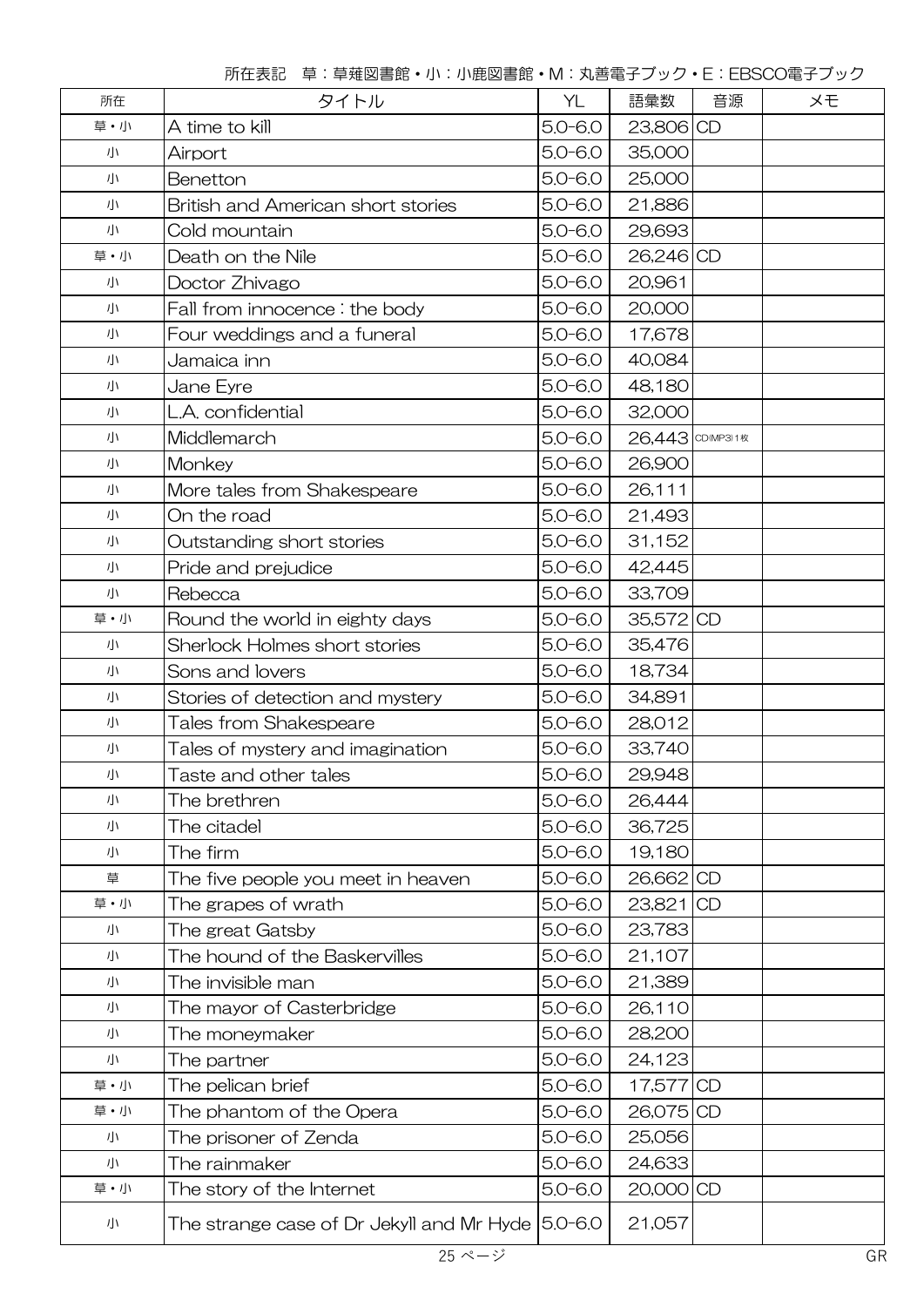| 所在  | タイトル                                              | YL          | 語彙数              | 音源 | メモ |
|-----|---------------------------------------------------|-------------|------------------|----|----|
| 草・小 | A time to kill                                    | $5.0 - 6.0$ | 23,806 CD        |    |    |
| 小   | Airport                                           | $5.0 - 6.0$ | 35,000           |    |    |
| 小   | Benetton                                          | $5.0 - 6.0$ | 25,000           |    |    |
| 小   | British and American short stories                | $5.0 - 6.0$ | 21,886           |    |    |
| 小   | Cold mountain                                     | $5.0 - 6.0$ | 29,693           |    |    |
| 草·小 | Death on the Nile                                 | $5.0 - 6.0$ | 26,246 CD        |    |    |
| 小   | Doctor Zhivago                                    | $5.0 - 6.0$ | 20,961           |    |    |
| 小   | Fall from innocence: the body                     | $5.0 - 6.0$ | 20,000           |    |    |
| 小   | Four weddings and a funeral                       | $5.0 - 6.0$ | 17,678           |    |    |
| 小   | Jamaica inn                                       | $5.0 - 6.0$ | 40,084           |    |    |
| 小   | Jane Eyre                                         | $5.0 - 6.0$ | 48,180           |    |    |
| 小   | L.A. confidential                                 | $5.0 - 6.0$ | 32,000           |    |    |
| 小   | Middlemarch                                       | $5.0 - 6.0$ | 26,443 CD(MP3)1枚 |    |    |
| 小   | Monkey                                            | $5.0 - 6.0$ | 26,900           |    |    |
| 小   | More tales from Shakespeare                       | $5.0 - 6.0$ | 26,111           |    |    |
| 小   | On the road                                       | $5.0 - 6.0$ | 21,493           |    |    |
| 小   | Outstanding short stories                         | $5.0 - 6.0$ | 31,152           |    |    |
| 小   | Pride and prejudice                               | $5.0 - 6.0$ | 42,445           |    |    |
| 小   | Rebecca                                           | $5.0 - 6.0$ | 33,709           |    |    |
| 草・小 | Round the world in eighty days                    | $5.0 - 6.0$ | 35,572 CD        |    |    |
| 小   | Sherlock Holmes short stories                     | $5.0 - 6.0$ | 35,476           |    |    |
| 小   | Sons and lovers                                   | $5.0 - 6.0$ | 18,734           |    |    |
| 小   | Stories of detection and mystery                  | $5.0 - 6.0$ | 34,891           |    |    |
| 小   | Tales from Shakespeare                            | $5.0 - 6.0$ | 28,012           |    |    |
| 小   | Tales of mystery and imagination                  | $5.0 - 6.0$ | 33,740           |    |    |
| 小   | Taste and other tales                             | $5.0 - 6.0$ | 29,948           |    |    |
| 小   | The brethren                                      | $5.0 - 6.0$ | 26,444           |    |    |
| 小   | The citadel                                       | $5.0 - 6.0$ | 36,725           |    |    |
| 小   | The firm                                          | $5.0 - 6.0$ | 19,180           |    |    |
| 草   | The five people you meet in heaven                | $5.0 - 6.0$ | 26,662 CD        |    |    |
| 草・小 | The grapes of wrath                               | $5.0 - 6.0$ | 23,821 CD        |    |    |
| 小   | The great Gatsby                                  | $5.0 - 6.0$ | 23,783           |    |    |
| 小   | The hound of the Baskervilles                     | $5.0 - 6.0$ | 21,107           |    |    |
| 小   | The invisible man                                 | $5.0 - 6.0$ | 21,389           |    |    |
| 小   | The mayor of Casterbridge                         | $5.0 - 6.0$ | 26,110           |    |    |
| 小   | The moneymaker                                    | $5.0 - 6.0$ | 28,200           |    |    |
| 小   | The partner                                       | $5.0 - 6.0$ | 24,123           |    |    |
| 草・小 | The pelican brief                                 | $5.0 - 6.0$ | 17,577 CD        |    |    |
| 草・小 | The phantom of the Opera                          | $5.0 - 6.0$ | 26,075 CD        |    |    |
| 小   | The prisoner of Zenda                             | $5.0 - 6.0$ | 25,056           |    |    |
| 小   | The rainmaker                                     | $5.0 - 6.0$ | 24,633           |    |    |
| 草・小 | The story of the Internet                         | $5.0 - 6.0$ | 20,000 CD        |    |    |
| 小   | The strange case of Dr Jekyll and Mr Hyde 5.0-6.0 |             | 21,057           |    |    |

所在表記 草:草薙図書館・小:小鹿図書館・M:丸善電子ブック・E:EBSCO電子ブック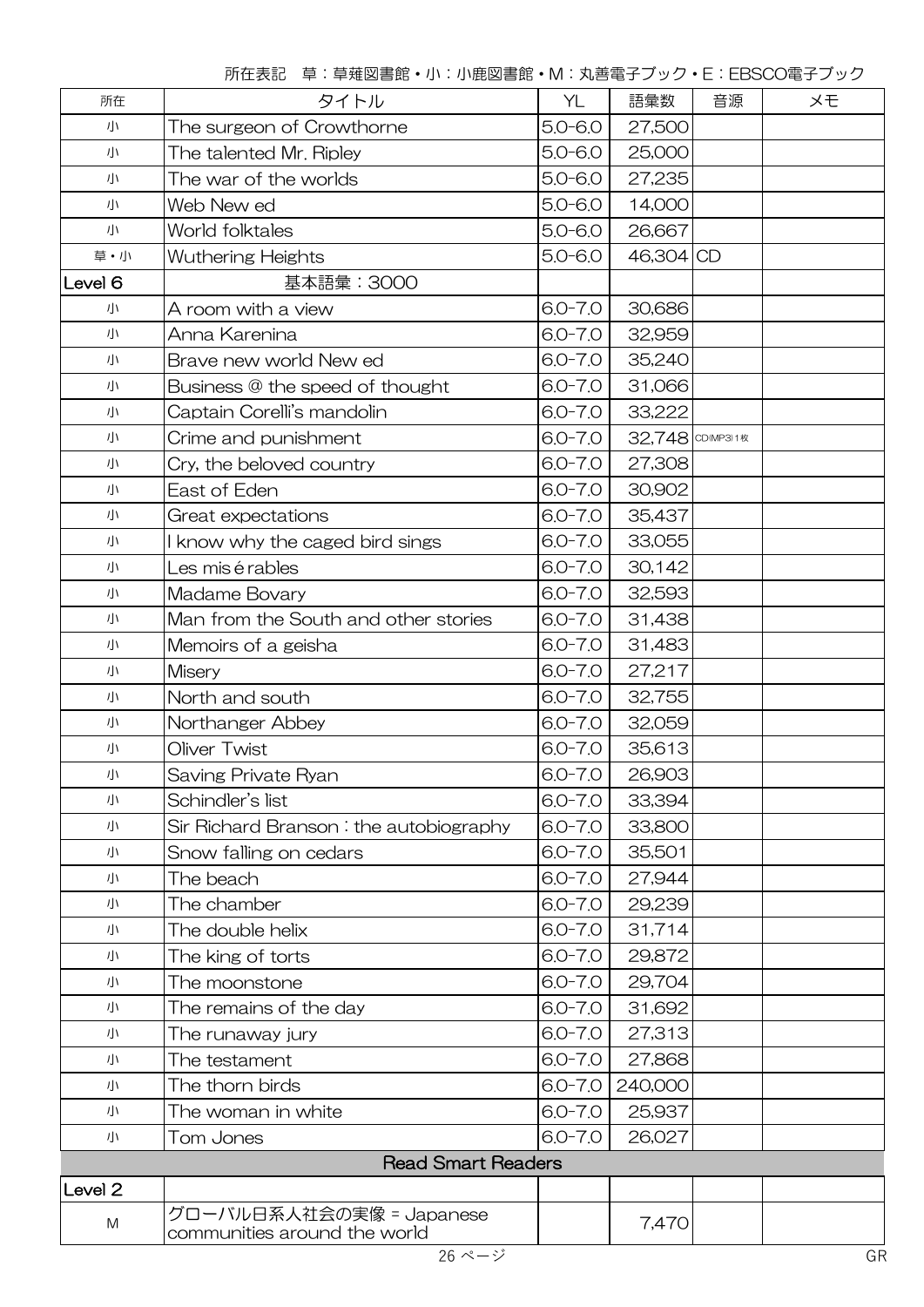| 所在                 | タイトル                                                     | YL          | 語彙数              | 音源 | メモ |
|--------------------|----------------------------------------------------------|-------------|------------------|----|----|
| 小                  | The surgeon of Crowthorne                                | $5.0 - 6.0$ | 27,500           |    |    |
| 小                  | The talented Mr. Ripley                                  | $5.0 - 6.0$ | 25,000           |    |    |
| 小                  | The war of the worlds                                    | $5.0 - 6.0$ | 27,235           |    |    |
| 小                  | Web New ed                                               | $5.0 - 6.0$ | 14,000           |    |    |
| 小                  | World folktales                                          | $5.0 - 6.0$ | 26,667           |    |    |
| 草·小                | <b>Wuthering Heights</b>                                 | $5.0 - 6.0$ | 46,304 CD        |    |    |
| Level 6            | 基本語彙: 3000                                               |             |                  |    |    |
| 小                  | A room with a view                                       | $6.0 - 7.0$ | 30,686           |    |    |
| 小                  | Anna Karenina                                            | $6.0 - 7.0$ | 32,959           |    |    |
| 小                  | Brave new world New ed                                   | $6.0 - 7.0$ | 35,240           |    |    |
| 小                  | Business @ the speed of thought                          | $6.0 - 7.0$ | 31,066           |    |    |
| 小                  | Captain Corelli's mandolin                               | $6.0 - 7.0$ | 33,222           |    |    |
| 小                  | Crime and punishment                                     | $6.0 - 7.0$ | 32,748 CD(MP3)1枚 |    |    |
| 小                  | Cry, the beloved country                                 | $6.0 - 7.0$ | 27,308           |    |    |
| 小                  | East of Eden                                             | $6.0 - 7.0$ | 30,902           |    |    |
| 小                  | Great expectations                                       | $6.0 - 7.0$ | 35,437           |    |    |
| 小                  | know why the caged bird sings                            | $6.0 - 7.0$ | 33,055           |    |    |
| 小                  | Les mis é rables                                         | $6.0 - 7.0$ | 30,142           |    |    |
| 小                  | Madame Bovary                                            | $6.0 - 7.0$ | 32,593           |    |    |
| 小                  | Man from the South and other stories                     | $6.0 - 7.0$ | 31,438           |    |    |
| 小                  | Memoirs of a geisha                                      | $6.0 - 7.0$ | 31,483           |    |    |
| 小                  | <b>Misery</b>                                            | $6.0 - 7.0$ | 27,217           |    |    |
| 小                  | North and south                                          | $6.0 - 7.0$ | 32,755           |    |    |
| 小                  | Northanger Abbey                                         | $6.0 - 7.0$ | 32,059           |    |    |
| 小                  | Oliver Twist                                             | $6.0 - 7.0$ | 35,613           |    |    |
| 小                  | Saving Private Ryan                                      | $6.0 - 7.0$ | 26,903           |    |    |
| 小                  | Schindler's list                                         | $6.0 - 7.0$ | 33,394           |    |    |
| 小                  | Sir Richard Branson: the autobiography                   | $6.0 - 7.0$ | 33,800           |    |    |
| 小                  | Snow falling on cedars                                   | $6.0 - 7.0$ | 35,501           |    |    |
| 小                  | The beach                                                | $6.0 - 7.0$ | 27,944           |    |    |
| 小                  | The chamber                                              | $6.0 - 7.0$ | 29,239           |    |    |
| 小                  | The double helix                                         | $6.0 - 7.0$ | 31,714           |    |    |
| 小                  | The king of torts                                        | $6.0 - 7.0$ | 29,872           |    |    |
| 小                  | The moonstone                                            | $6.0 - 7.0$ | 29,704           |    |    |
| 小                  | The remains of the day                                   | $6.0 - 7.0$ | 31,692           |    |    |
| 小                  | The runaway jury                                         | $6.0 - 7.0$ | 27,313           |    |    |
| 小                  | The testament                                            | $6.0 - 7.0$ | 27,868           |    |    |
| 小                  | The thorn birds                                          | $6.0 - 7.0$ | 240,000          |    |    |
| 小                  | The woman in white                                       | $6.0 - 7.0$ | 25,937           |    |    |
| 小                  | Tom Jones                                                | $6.0 - 7.0$ | 26,027           |    |    |
|                    | <b>Read Smart Readers</b>                                |             |                  |    |    |
| Level <sub>2</sub> |                                                          |             |                  |    |    |
| ${\sf M}$          | グローバル日系人社会の実像 = Japanese<br>communities around the world |             | 7,470            |    |    |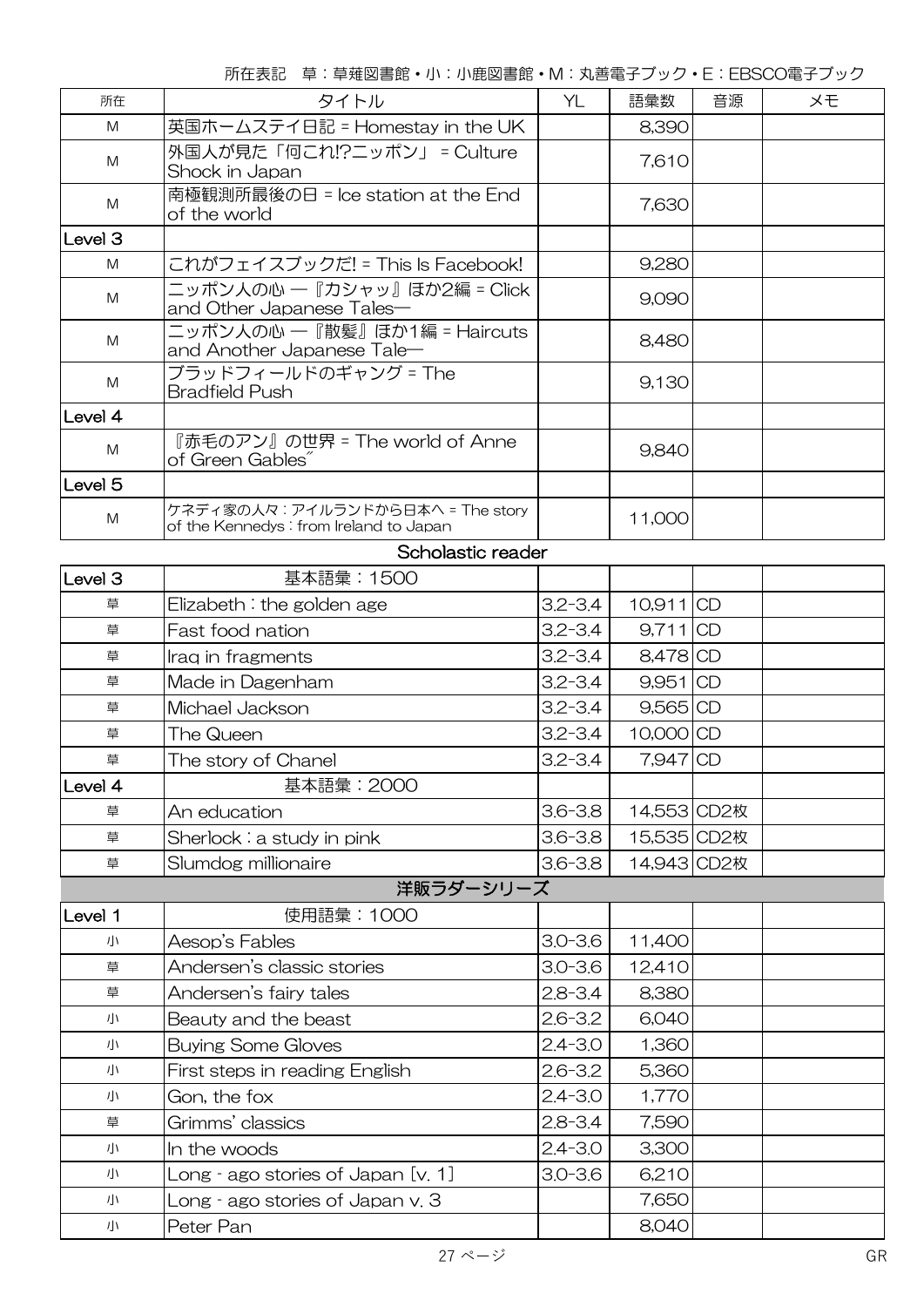所在表記 草:草薙図書館・小:小鹿図書館・M:丸善電子ブック・E:EBSCO電子ブック

| 所在                 | タイトル                                                                        | YL          | 語彙数         | 音源 | メモ |
|--------------------|-----------------------------------------------------------------------------|-------------|-------------|----|----|
| M                  | 英国ホームステイ日記 = Homestay in the UK                                             |             | 8,390       |    |    |
| M                  | 外国人が見た「何これ!?ニッポン」 = Culture<br>Shock in Japan                               |             |             |    |    |
| M                  | 南極観測所最後の日 = Ice station at the End<br>of the world                          |             | 7,630       |    |    |
| Level <sub>3</sub> |                                                                             |             |             |    |    |
| M                  | これがフェイスブックだ! = This Is Facebook!                                            |             | 9,280       |    |    |
| M                  | ニッポン人の心 ―『カシャッ』ほか2編 = Click<br>and Other Japanese Tales—                    |             | 9,090       |    |    |
| M                  | ニッポン人の心 ―『散髪』ほか1編 = Haircuts<br>and Another Japanese Tale-                  |             | 8,480       |    |    |
| M                  | ブラッドフィールドのギャング = The<br>Bradfield Push                                      |             | 9,130       |    |    |
| Level 4            |                                                                             |             |             |    |    |
| M                  | 『赤毛のアン』の世界 = The world of Anne<br>of Green Gables"                          |             | 9,840       |    |    |
| Level <sub>5</sub> |                                                                             |             |             |    |    |
| M                  | ケネディ家の人々: アイルランドから日本へ = The story<br>of the Kennedys: from Ireland to Japan |             | 11,000      |    |    |
|                    | Scholastic reader                                                           |             |             |    |    |
| Level <sub>3</sub> | 基本語彙:1500                                                                   |             |             |    |    |
| 草                  | Elizabeth: the golden age                                                   | $3.2 - 3.4$ | $10,911$ CD |    |    |
| 草                  | Fast food nation                                                            | $3.2 - 3.4$ | $9,711$ CD  |    |    |
| 草                  | Iraq in fragments                                                           | $3.2 - 3.4$ | 8,478 CD    |    |    |
| 草                  | Made in Dagenham                                                            | $3.2 - 3.4$ | $9,951$ CD  |    |    |
| 草                  | Michael Jackson                                                             | $3.2 - 3.4$ | $9,565$ CD  |    |    |
| 草                  | The Queen                                                                   | $3.2 - 3.4$ | 10,000 CD   |    |    |
| 草                  | The story of Chanel                                                         | $3.2 - 3.4$ | $7,947$ CD  |    |    |
| Level 4            | 基本語彙: 2000                                                                  |             |             |    |    |
| 草                  | An education                                                                | $3.6 - 3.8$ | 14,553 CD2枚 |    |    |
| 草                  | Sherlock: a study in pink                                                   | $3.6 - 3.8$ | 15,535 CD2枚 |    |    |
| 草                  | Slumdog millionaire                                                         | $3.6 - 3.8$ | 14,943 CD2枚 |    |    |
|                    | 洋販ラダーシリーズ                                                                   |             |             |    |    |
| Level 1            | 使用語彙:1000                                                                   |             |             |    |    |
| 小                  | Aesop's Fables                                                              | $3.0 - 3.6$ | 11,400      |    |    |
| 草                  | Andersen's classic stories                                                  | $3.0 - 3.6$ | 12,410      |    |    |
| 草                  | Andersen's fairy tales                                                      | $2.8 - 3.4$ | 8,380       |    |    |
| 小                  | Beauty and the beast                                                        | $2.6 - 3.2$ | 6,040       |    |    |
| 小                  | <b>Buying Some Gloves</b>                                                   | $2.4 - 3.0$ | 1,360       |    |    |
| 小                  | First steps in reading English                                              | $2.6 - 3.2$ | 5,360       |    |    |
| 小                  | Gon, the fox                                                                | $2.4 - 3.0$ | 1,770       |    |    |
| 草                  | Grimms' classics                                                            | $2.8 - 3.4$ | 7,590       |    |    |
| 小                  | In the woods                                                                | $2.4 - 3.0$ | 3,300       |    |    |
| 小                  | Long - ago stories of Japan [v. 1]                                          | $3.0 - 3.6$ | 6,210       |    |    |
| 小                  | Long - ago stories of Japan v. 3                                            |             | 7,650       |    |    |
| 小                  | Peter Pan                                                                   |             | 8,040       |    |    |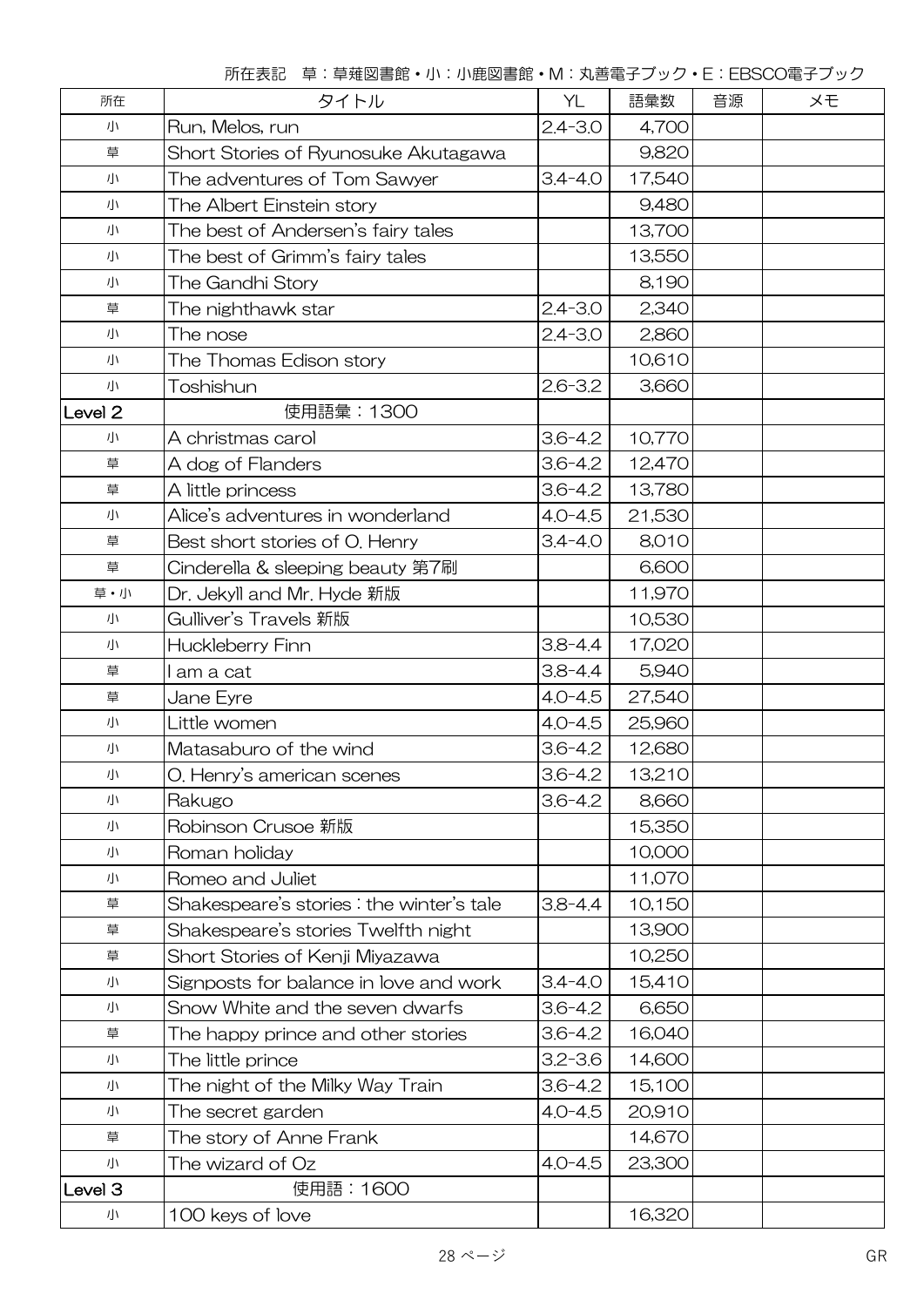所在表記 草:草薙図書館・小:小鹿図書館・M:丸善電子ブック・E:EBSCO電子ブック

| 所在                 | タイトル                                     | YL          | 語彙数    | 音源 | メモ |
|--------------------|------------------------------------------|-------------|--------|----|----|
| 小                  | Run, Melos, run                          | $2.4 - 3.0$ | 4,700  |    |    |
| 草                  | Short Stories of Ryunosuke Akutagawa     |             | 9,820  |    |    |
| 小                  | The adventures of Tom Sawyer             | $3.4 - 4.0$ | 17,540 |    |    |
| 小                  | The Albert Einstein story                |             | 9,480  |    |    |
| 小                  | The best of Andersen's fairy tales       |             | 13,700 |    |    |
| 小                  | The best of Grimm's fairy tales          |             | 13,550 |    |    |
| 小                  | The Gandhi Story                         |             | 8,190  |    |    |
| 草                  | The nighthawk star                       | $2.4 - 3.0$ | 2,340  |    |    |
| 小                  | The nose                                 | $2.4 - 3.0$ | 2,860  |    |    |
| 小                  | The Thomas Edison story                  |             | 10,610 |    |    |
| 小                  | Toshishun                                | $2.6 - 3.2$ | 3,660  |    |    |
| Level <sub>2</sub> | 使用語彙: 1300                               |             |        |    |    |
| 小                  | A christmas carol                        | $3.6 - 4.2$ | 10,770 |    |    |
| 草                  | A dog of Flanders                        | $3.6 - 4.2$ | 12,470 |    |    |
| 草                  | A little princess                        | $3.6 - 4.2$ | 13,780 |    |    |
| 小                  | Alice's adventures in wonderland         | $4.0 - 4.5$ | 21,530 |    |    |
| 草                  | Best short stories of O. Henry           | $3.4 - 4.0$ | 8,010  |    |    |
| 草                  | Cinderella & sleeping beauty 第7刷         |             | 6,600  |    |    |
| 草·小                | Dr. Jekyll and Mr. Hyde 新版               |             | 11,970 |    |    |
| 小                  | Gulliver's Travels 新版                    |             | 10,530 |    |    |
| 小                  | Huckleberry Finn                         | $3.8 - 4.4$ | 17,020 |    |    |
| 草                  | am a cat                                 | $3.8 - 4.4$ | 5,940  |    |    |
| 草                  | Jane Eyre                                | $4.0 - 4.5$ | 27,540 |    |    |
| 小                  | Little women                             | $4.0 - 4.5$ | 25,960 |    |    |
| 小                  | Matasaburo of the wind                   | $3.6 - 4.2$ | 12,680 |    |    |
| 小                  | O. Henry's american scenes               | $3.6 - 4.2$ | 13,210 |    |    |
| 小                  | Rakugo                                   | $3.6 - 4.2$ | 8,660  |    |    |
| 小                  | Robinson Crusoe 新版                       |             | 15,350 |    |    |
| 小                  | Roman holiday                            |             | 10,000 |    |    |
| 小                  | Romeo and Juliet                         |             | 11,070 |    |    |
| 草                  | Shakespeare's stories: the winter's tale | $3.8 - 4.4$ | 10,150 |    |    |
| 草                  | Shakespeare's stories Twelfth night      |             | 13,900 |    |    |
| 草                  | Short Stories of Kenji Miyazawa          |             | 10,250 |    |    |
| 小                  | Signposts for balance in love and work   | $3.4 - 4.0$ | 15,410 |    |    |
| 小                  | Snow White and the seven dwarfs          | $3.6 - 4.2$ | 6,650  |    |    |
| 草                  | The happy prince and other stories       | $3.6 - 4.2$ | 16,040 |    |    |
| 小                  | The little prince                        | $3.2 - 3.6$ | 14,600 |    |    |
| 小                  | The night of the Milky Way Train         | $3.6 - 4.2$ | 15,100 |    |    |
| 小                  | The secret garden                        | $4.0 - 4.5$ | 20,910 |    |    |
| 草                  | The story of Anne Frank                  |             | 14,670 |    |    |
| 小                  | The wizard of Oz                         | $4.0 - 4.5$ | 23,300 |    |    |
| Level 3            | 使用語:1600                                 |             |        |    |    |
| 小                  | 100 keys of love                         |             | 16,320 |    |    |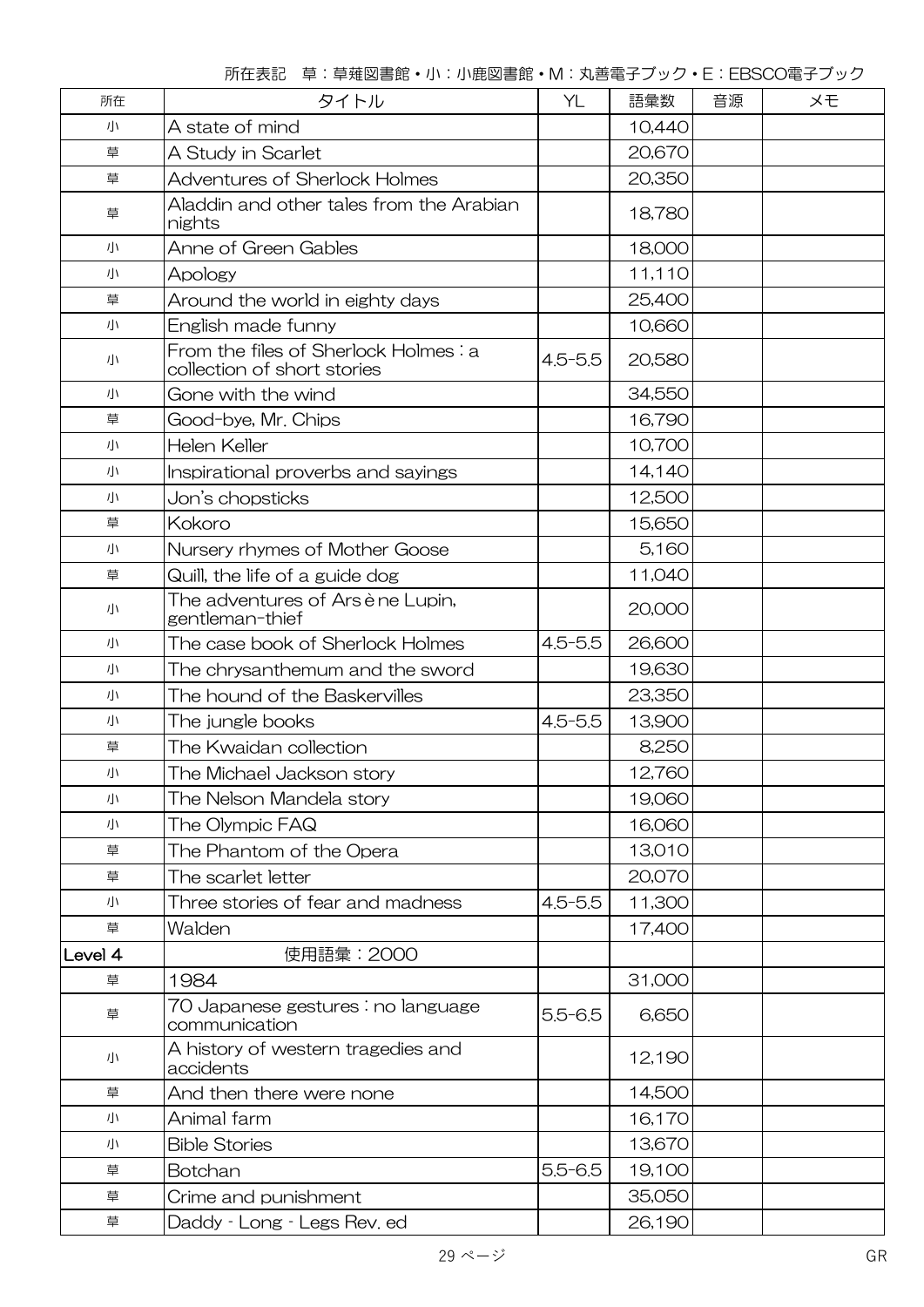所在表記 草:草薙図書館・小:小鹿図書館・M:丸善電子ブック・E:EBSCO電子ブック

| 所在      | タイトル                                                                | YL          | 語彙数    | 音源<br>メモ |  |
|---------|---------------------------------------------------------------------|-------------|--------|----------|--|
| 小       | A state of mind                                                     |             | 10,440 |          |  |
| 草       | A Study in Scarlet                                                  |             | 20,670 |          |  |
| 草       | <b>Adventures of Sherlock Holmes</b>                                |             | 20,350 |          |  |
| 草       | Aladdin and other tales from the Arabian<br>nights                  |             | 18,780 |          |  |
| 小       | Anne of Green Gables                                                |             | 18,000 |          |  |
| 小       | Apology                                                             |             | 11,110 |          |  |
| 草       | Around the world in eighty days                                     |             | 25,400 |          |  |
| 小       | English made funny                                                  |             | 10,660 |          |  |
| 小       | From the files of Sherlock Holmes: a<br>collection of short stories | $4.5 - 5.5$ | 20,580 |          |  |
| 小       | Gone with the wind                                                  |             | 34,550 |          |  |
| 草       | Good-bye, Mr. Chips                                                 |             | 16,790 |          |  |
| 小       | Helen Keller                                                        |             | 10,700 |          |  |
| 小       | Inspirational proverbs and sayings                                  |             | 14,140 |          |  |
| 小       | Jon's chopsticks                                                    |             | 12,500 |          |  |
| 草       | Kokoro                                                              |             | 15,650 |          |  |
| 小       | Nursery rhymes of Mother Goose                                      |             | 5,160  |          |  |
| 草       | Quill, the life of a guide dog                                      |             | 11,040 |          |  |
| 小       | The adventures of Arsène Lupin,<br>gentleman-thief                  |             | 20,000 |          |  |
| 小       | The case book of Sherlock Holmes                                    | $4.5 - 5.5$ | 26,600 |          |  |
| 小       | The chrysanthemum and the sword                                     |             | 19,630 |          |  |
| 小       | The hound of the Baskervilles                                       |             | 23,350 |          |  |
| 小       | The jungle books                                                    | $4.5 - 5.5$ | 13,900 |          |  |
| 草       | The Kwaidan collection                                              |             | 8,250  |          |  |
| 小       | The Michael Jackson story                                           |             | 12,760 |          |  |
| 小       | The Nelson Mandela story                                            |             | 19,060 |          |  |
| 小       | The Olympic FAQ                                                     |             | 16,060 |          |  |
| 草       | The Phantom of the Opera                                            |             | 13,010 |          |  |
| 草       | The scarlet letter                                                  |             | 20,070 |          |  |
| 小       | Three stories of fear and madness                                   | $4.5 - 5.5$ | 11,300 |          |  |
| 草       | Walden                                                              |             | 17,400 |          |  |
| Level 4 | 使用語彙: 2000                                                          |             |        |          |  |
| 草       | 1984                                                                |             | 31,000 |          |  |
| 草       | 70 Japanese gestures : no language<br>communication                 | $5.5 - 6.5$ | 6,650  |          |  |
| 小       | A history of western tragedies and<br>accidents                     |             | 12,190 |          |  |
| 草       | And then there were none                                            |             | 14,500 |          |  |
| 小       | Animal farm                                                         |             | 16,170 |          |  |
| 小       | <b>Bible Stories</b>                                                |             | 13,670 |          |  |
| 草       | Botchan                                                             | $5.5 - 6.5$ | 19,100 |          |  |
| 草       | Crime and punishment                                                |             | 35,050 |          |  |
| 草       | Daddy - Long - Legs Rev. ed                                         |             | 26,190 |          |  |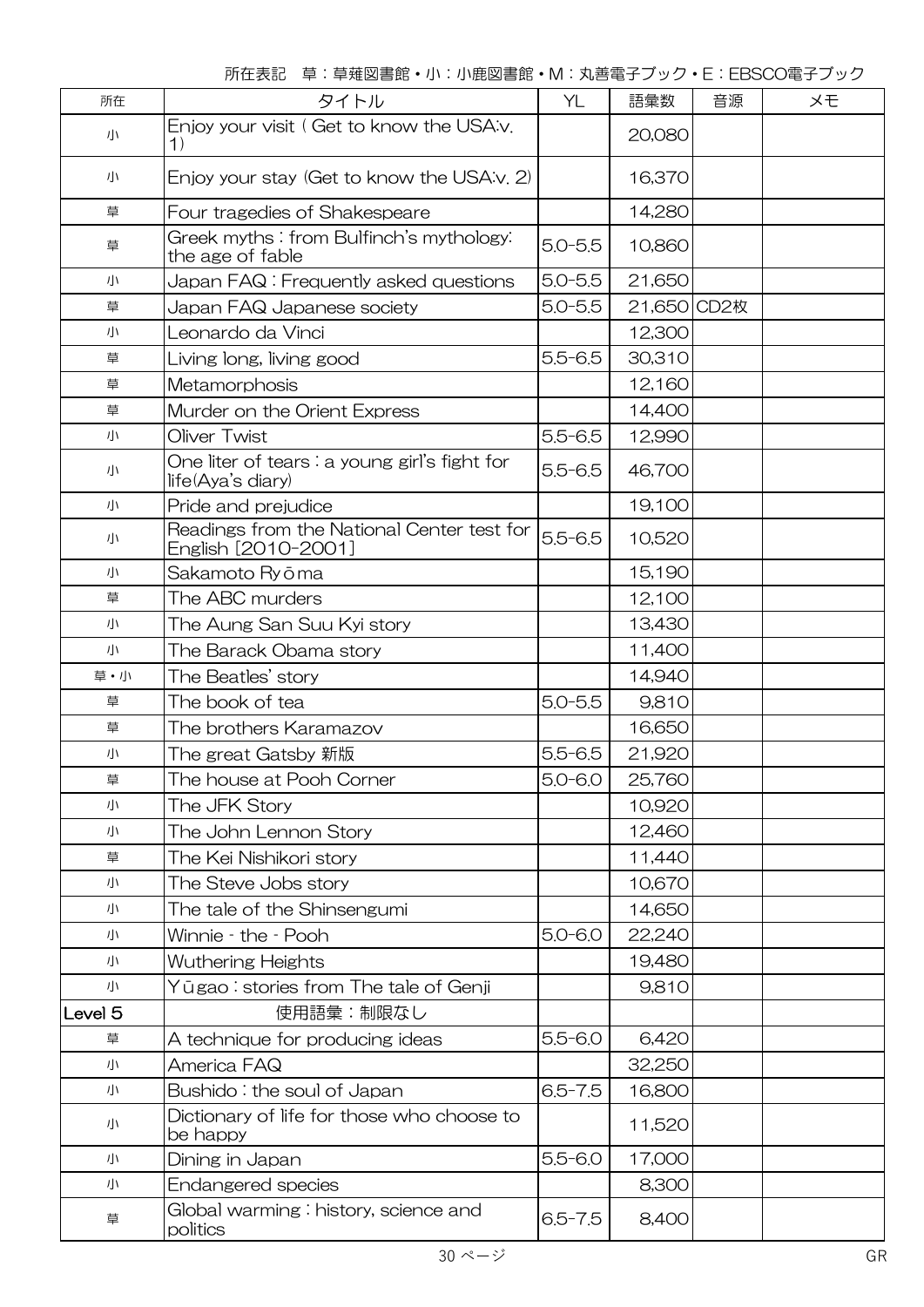所在表記 草:草薙図書館・小:小鹿図書館・M:丸善電子ブック・E:EBSCO電子ブック

| 所在                 | タイトル                                                                        | YL          | 語彙数         | 音源 | ×Đ |
|--------------------|-----------------------------------------------------------------------------|-------------|-------------|----|----|
| 小                  | Enjoy your visit (Get to know the USA:v.<br>$\left( \left  \right  \right)$ |             | 20,080      |    |    |
| 小                  | Enjoy your stay (Get to know the USA:v. 2)                                  |             | 16,370      |    |    |
| 草                  | Four tragedies of Shakespeare                                               |             | 14,280      |    |    |
| 草                  | Greek myths: from Bulfinch's mythology:<br>the age of fable                 | $5.0 - 5.5$ | 10,860      |    |    |
| 小                  | Japan FAQ: Frequently asked questions                                       | $5.0 - 5.5$ | 21,650      |    |    |
| 草                  | Japan FAQ Japanese society                                                  | $5.0 - 5.5$ | 21,650 CD2枚 |    |    |
| 小                  | Leonardo da Vinci                                                           |             | 12,300      |    |    |
| 草                  | Living long, living good                                                    | $5.5 - 6.5$ | 30,310      |    |    |
| 草                  | Metamorphosis                                                               |             | 12,160      |    |    |
| 草                  | Murder on the Orient Express                                                |             | 14,400      |    |    |
| 小                  | Oliver Twist                                                                | $5.5 - 6.5$ | 12,990      |    |    |
| 小                  | One liter of tears : a young girl's fight for<br>life(Aya's diary)          | $5.5 - 6.5$ | 46,700      |    |    |
| 小                  | Pride and prejudice                                                         |             | 19,100      |    |    |
| 小                  | Readings from the National Center test for<br>English [2010-2001]           | $5.5 - 6.5$ | 10,520      |    |    |
| 小                  | Sakamoto Ryōma                                                              |             | 15,190      |    |    |
| 草                  | The ABC murders                                                             |             | 12,100      |    |    |
| 小                  | The Aung San Suu Kyi story                                                  |             | 13,430      |    |    |
| 小                  | The Barack Obama story                                                      |             | 11,400      |    |    |
| 草・小                | The Beatles' story                                                          |             | 14,940      |    |    |
| 草                  | The book of tea                                                             | $5.0 - 5.5$ | 9,810       |    |    |
| 草                  | The brothers Karamazov                                                      |             | 16,650      |    |    |
| 小                  | The great Gatsby 新版                                                         | $5.5 - 6.5$ | 21,920      |    |    |
| 草                  | The house at Pooh Corner                                                    | $5.0 - 6.0$ | 25,760      |    |    |
| 小                  | The JFK Story                                                               |             | 10,920      |    |    |
| 小                  | The John Lennon Story                                                       |             | 12,460      |    |    |
| 草                  | The Kei Nishikori story                                                     |             | 11,440      |    |    |
| 小                  | The Steve Jobs story                                                        |             | 10,670      |    |    |
| 小                  | The tale of the Shinsengumi                                                 |             | 14,650      |    |    |
| 小                  | Winnie - the - Pooh                                                         | $5.0 - 6.0$ | 22,240      |    |    |
| 小                  | Wuthering Heights                                                           |             | 19,480      |    |    |
| 小                  | Yūgao : stories from The tale of Genji                                      |             | 9,810       |    |    |
| Level <sub>5</sub> | 使用語彙:制限なし                                                                   |             |             |    |    |
| 草                  | A technique for producing ideas                                             | $5.5 - 6.0$ | 6,420       |    |    |
| 小                  | America FAQ                                                                 |             | 32,250      |    |    |
| 小                  | Bushido: the soul of Japan                                                  | $6.5 - 7.5$ | 16,800      |    |    |
| 小                  | Dictionary of life for those who choose to<br>be happy                      |             | 11,520      |    |    |
| 小                  | Dining in Japan                                                             | $5.5 - 6.0$ | 17,000      |    |    |
| 小                  | Endangered species                                                          |             | 8,300       |    |    |
| 草                  | Global warming: history, science and<br>politics                            | $6.5 - 7.5$ | 8,400       |    |    |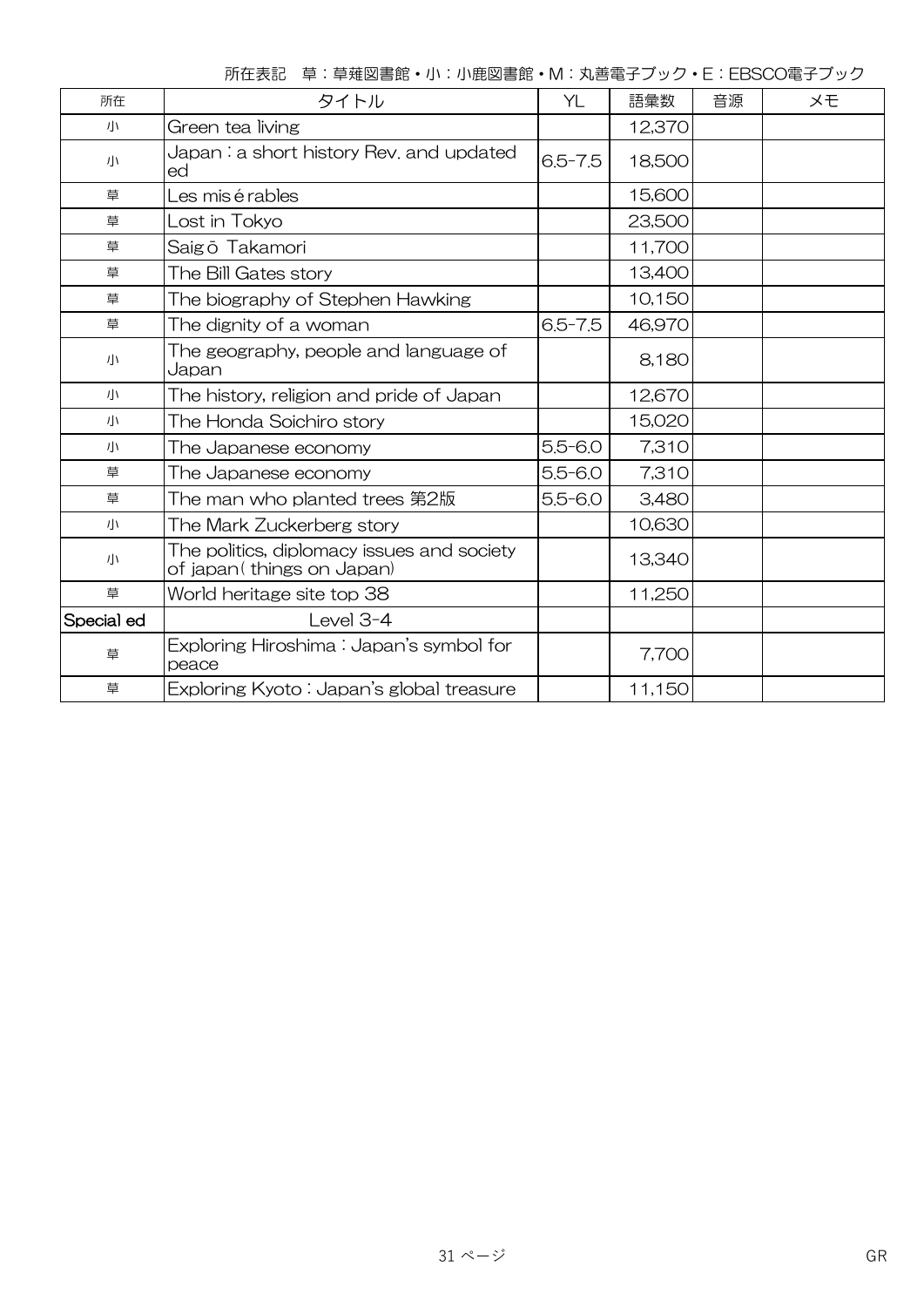|  |  |  | 所在表記 草:草薙図書館·小:小鹿図書館·M:丸善電子ブック·E:EBSCO電子ブック |
|--|--|--|---------------------------------------------|
|--|--|--|---------------------------------------------|

| 所在         | タイトル                                                                    | YL          | 語彙数    | 音源 | メモ |
|------------|-------------------------------------------------------------------------|-------------|--------|----|----|
| 小          | Green tea living                                                        |             | 12,370 |    |    |
| 小          | $Japan: a short history Rev. and updated$<br>ed                         | $6.5 - 7.5$ | 18,500 |    |    |
| 草          | Les mis é rables                                                        |             | 15,600 |    |    |
| 草          | Lost in Tokyo                                                           |             | 23,500 |    |    |
| 草          | Saigō Takamori                                                          |             | 11,700 |    |    |
| 草          | The Bill Gates story                                                    |             | 13,400 |    |    |
| 草          | The biography of Stephen Hawking                                        |             | 10,150 |    |    |
| 草          | The dignity of a woman                                                  | $6.5 - 7.5$ | 46,970 |    |    |
| 小          | The geography, people and language of<br>Japan                          |             | 8,180  |    |    |
| 川          | The history, religion and pride of Japan                                |             | 12,670 |    |    |
| 川          | The Honda Soichiro story                                                |             | 15,020 |    |    |
| 小          | The Japanese economy                                                    | $5.5 - 6.0$ | 7,310  |    |    |
| 草          | The Japanese economy                                                    | $5.5 - 6.0$ | 7,310  |    |    |
| 草          | The man who planted trees 第2版                                           | $5.5 - 6.0$ | 3,480  |    |    |
| 小          | The Mark Zuckerberg story                                               |             | 10,630 |    |    |
| 小          | The politics, diplomacy issues and society<br>of japan(things on Japan) |             | 13,340 |    |    |
| 草          | World heritage site top 38                                              |             | 11,250 |    |    |
| Special ed | Level $3-4$                                                             |             |        |    |    |
| 草          | Exploring Hiroshima : Japan's symbol for<br>peace                       |             | 7,700  |    |    |
| 草          | Exploring Kyoto : Japan's global treasure                               |             | 11,150 |    |    |